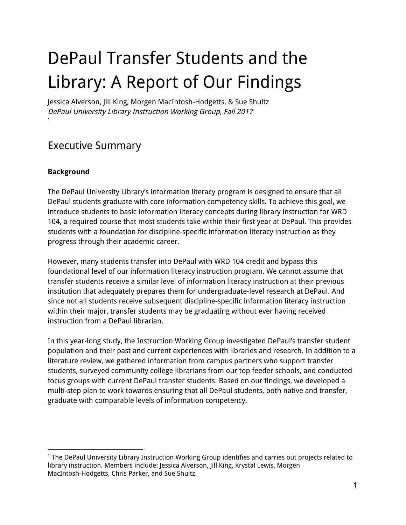## DePaul Transfer Students and the Library: A Report of Our Findings

Jessica Alverson, Jill King, Morgen MacIntosh-Hodgetts, & Sue Shultz DePaul University Library Instruction Working Group, Fall 2017 1

## Executive Summary

#### **Background**

The DePaul University Library's information literacy program is designed to ensure that all DePaul students graduate with core information competency skills. To achieve this goal, we introduce students to basic information literacy concepts during library instruction for WRD 104, a required course that most students take within their first year at DePaul. This provides students with a foundation for discipline-specific information literacy instruction as they progress through their academic career.

However, many students transfer into DePaul with WRD 104 credit and bypass this foundational level of our information literacy instruction program. We cannot assume that transfer students receive a similar level of information literacy instruction at their previous institution that adequately prepares them for undergraduate-level research at DePaul. And since not all students receive subsequent discipline-specific information literacy instruction within their major, transfer students may be graduating without ever having received instruction from a DePaul librarian.

In this year-long study, the Instruction Working Group investigated DePaul's transfer student population and their past and current experiences with libraries and research. In addition to a literature review, we gathered information from campus partners who support transfer students, surveyed community college librarians from our top feeder schools, and conducted focus groups with current DePaul transfer students. Based on our findings, we developed a multi-step plan to work towards ensuring that all DePaul students, both native and transfer, graduate with comparable levels of information competency.

<sup>1</sup> The DePaul University Library Instruction Working Group identifies and carries out projects related to library instruction. Members include: Jessica Alverson, Jill King, Krystal Lewis, Morgen MacIntosh-Hodgetts, Chris Parker, and Sue Shultz.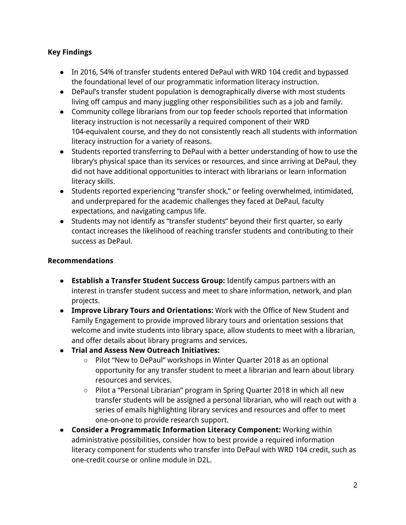#### **Key Findings**

- In 2016, 54% of transfer students entered DePaul with WRD 104 credit and bypassed the foundational level of our programmatic information literacy instruction.
- DePaul's transfer student population is demographically diverse with most students living off campus and many juggling other responsibilities such as a job and family.
- Community college librarians from our top feeder schools reported that information literacy instruction is not necessarily a required component of their WRD 104-equivalent course, and they do not consistently reach all students with information literacy instruction for a variety of reasons.
- Students reported transferring to DePaul with a better understanding of how to use the library's physical space than its services or resources, and since arriving at DePaul, they did not have additional opportunities to interact with librarians or learn information literacy skills.
- Students reported experiencing "transfer shock," or feeling overwhelmed, intimidated, and underprepared for the academic challenges they faced at DePaul, faculty expectations, and navigating campus life.
- Students may not identify as "transfer students" beyond their first quarter, so early contact increases the likelihood of reaching transfer students and contributing to their success as DePaul.

#### **Recommendations**

- **Establish a Transfer Student Success Group:** Identify campus partners with an interest in transfer student success and meet to share information, network, and plan projects.
- **Improve Library Tours and Orientations:** Work with the Office of New Student and Family Engagement to provide improved library tours and orientation sessions that welcome and invite students into library space, allow students to meet with a librarian, and offer details about library programs and services.
- **Trial and Assess New Outreach Initiatives:**
	- Pilot "New to DePaul" workshops in Winter Quarter 2018 as an optional opportunity for any transfer student to meet a librarian and learn about library resources and services.
	- Pilot a "Personal Librarian" program in Spring Quarter 2018 in which all new transfer students will be assigned a personal librarian, who will reach out with a series of emails highlighting library services and resources and offer to meet one-on-one to provide research support.
- **Consider a Programmatic Information Literacy Component:** Working within administrative possibilities, consider how to best provide a required information literacy component for students who transfer into DePaul with WRD 104 credit, such as one-credit course or online module in D2L.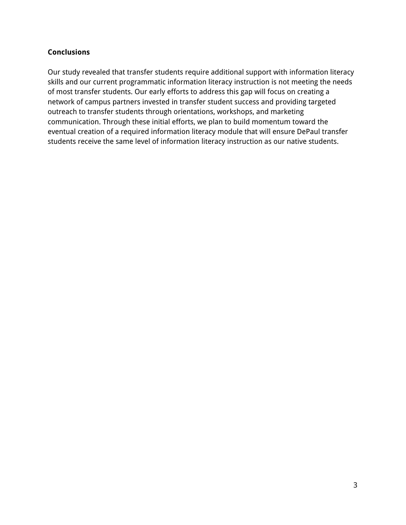#### **Conclusions**

Our study revealed that transfer students require additional support with information literacy skills and our current programmatic information literacy instruction is not meeting the needs of most transfer students. Our early efforts to address this gap will focus on creating a network of campus partners invested in transfer student success and providing targeted outreach to transfer students through orientations, workshops, and marketing communication. Through these initial efforts, we plan to build momentum toward the eventual creation of a required information literacy module that will ensure DePaul transfer students receive the same level of information literacy instruction as our native students.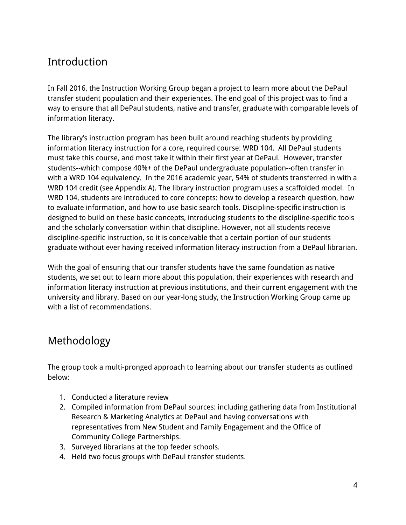## Introduction

In Fall 2016, the Instruction Working Group began a project to learn more about the DePaul transfer student population and their experiences. The end goal of this project was to find a way to ensure that all DePaul students, native and transfer, graduate with comparable levels of information literacy.

The library's instruction program has been built around reaching students by providing information literacy instruction for a core, required course: WRD 104. All DePaul students must take this course, and most take it within their first year at DePaul. However, transfer students--which compose 40%+ of the DePaul undergraduate population--often transfer in with a WRD 104 equivalency. In the 2016 academic year, 54% of students transferred in with a WRD 104 credit (see Appendix A). The library instruction program uses a scaffolded model. In WRD 104, students are introduced to core concepts: how to develop a research question, how to evaluate information, and how to use basic search tools. Discipline-specific instruction is designed to build on these basic concepts, introducing students to the discipline-specific tools and the scholarly conversation within that discipline. However, not all students receive discipline-specific instruction, so it is conceivable that a certain portion of our students graduate without ever having received information literacy instruction from a DePaul librarian.

With the goal of ensuring that our transfer students have the same foundation as native students, we set out to learn more about this population, their experiences with research and information literacy instruction at previous institutions, and their current engagement with the university and library. Based on our year-long study, the Instruction Working Group came up with a list of recommendations.

## Methodology

The group took a multi-pronged approach to learning about our transfer students as outlined below:

- 1. Conducted a literature review
- 2. Compiled information from DePaul sources: including gathering data from Institutional Research & Marketing Analytics at DePaul and having conversations with representatives from New Student and Family Engagement and the Office of Community College Partnerships.
- 3. Surveyed librarians at the top feeder schools.
- 4. Held two focus groups with DePaul transfer students.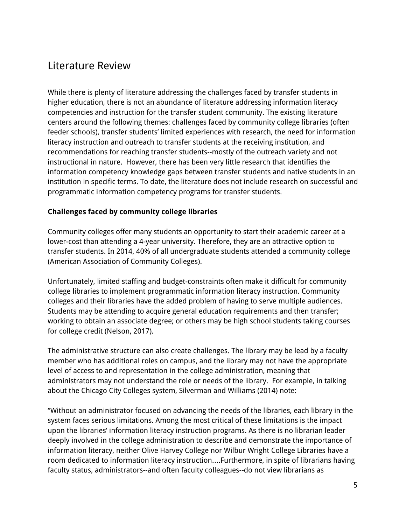### Literature Review

While there is plenty of literature addressing the challenges faced by transfer students in higher education, there is not an abundance of literature addressing information literacy competencies and instruction for the transfer student community. The existing literature centers around the following themes: challenges faced by community college libraries (often feeder schools), transfer students' limited experiences with research, the need for information literacy instruction and outreach to transfer students at the receiving institution, and recommendations for reaching transfer students--mostly of the outreach variety and not instructional in nature. However, there has been very little research that identifies the information competency knowledge gaps between transfer students and native students in an institution in specific terms. To date, the literature does not include research on successful and programmatic information competency programs for transfer students.

#### **Challenges faced by community college libraries**

Community colleges offer many students an opportunity to start their academic career at a lower-cost than attending a 4-year university. Therefore, they are an attractive option to transfer students. In 2014, 40% of all undergraduate students attended a community college (American Association of Community Colleges).

Unfortunately, limited staffing and budget-constraints often make it difficult for community college libraries to implement programmatic information literacy instruction. Community colleges and their libraries have the added problem of having to serve multiple audiences. Students may be attending to acquire general education requirements and then transfer; working to obtain an associate degree; or others may be high school students taking courses for college credit (Nelson, 2017).

The administrative structure can also create challenges. The library may be lead by a faculty member who has additional roles on campus, and the library may not have the appropriate level of access to and representation in the college administration, meaning that administrators may not understand the role or needs of the library. For example, in talking about the Chicago City Colleges system, Silverman and Williams (2014) note:

"Without an administrator focused on advancing the needs of the libraries, each library in the system faces serious limitations. Among the most critical of these limitations is the impact upon the libraries' information literacy instruction programs. As there is no librarian leader deeply involved in the college administration to describe and demonstrate the importance of information literacy, neither Olive Harvey College nor Wilbur Wright College Libraries have a room dedicated to information literacy instruction….Furthermore, in spite of librarians having faculty status, administrators--and often faculty colleagues--do not view librarians as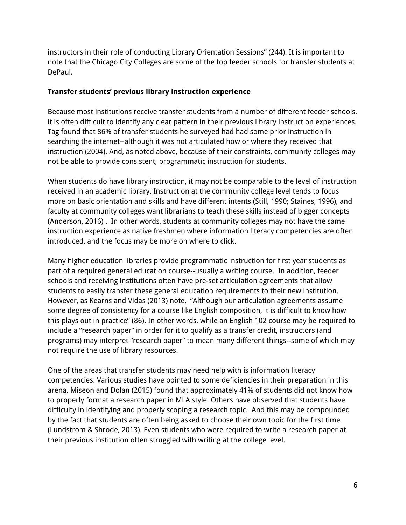instructors in their role of conducting Library Orientation Sessions" (244). It is important to note that the Chicago City Colleges are some of the top feeder schools for transfer students at DePaul.

#### **Transfer students' previous library instruction experience**

Because most institutions receive transfer students from a number of different feeder schools, it is often difficult to identify any clear pattern in their previous library instruction experiences. Tag found that 86% of transfer students he surveyed had had some prior instruction in searching the internet--although it was not articulated how or where they received that instruction (2004). And, as noted above, because of their constraints, community colleges may not be able to provide consistent, programmatic instruction for students.

When students do have library instruction, it may not be comparable to the level of instruction received in an academic library. Instruction at the community college level tends to focus more on basic orientation and skills and have different intents (Still, 1990; Staines, 1996), and faculty at community colleges want librarians to teach these skills instead of bigger concepts (Anderson, 2016) . In other words, students at community colleges may not have the same instruction experience as native freshmen where information literacy competencies are often introduced, and the focus may be more on where to click.

Many higher education libraries provide programmatic instruction for first year students as part of a required general education course--usually a writing course. In addition, feeder schools and receiving institutions often have pre-set articulation agreements that allow students to easily transfer these general education requirements to their new institution. However, as Kearns and Vidas (2013) note, "Although our articulation agreements assume some degree of consistency for a course like English composition, it is difficult to know how this plays out in practice" (86). In other words, while an English 102 course may be required to include a "research paper" in order for it to qualify as a transfer credit, instructors (and programs) may interpret "research paper" to mean many different things--some of which may not require the use of library resources.

One of the areas that transfer students may need help with is information literacy competencies. Various studies have pointed to some deficiencies in their preparation in this arena. Miseon and Dolan (2015) found that approximately 41% of students did not know how to properly format a research paper in MLA style. Others have observed that students have difficulty in identifying and properly scoping a research topic. And this may be compounded by the fact that students are often being asked to choose their own topic for the first time (Lundstrom & Shrode, 2013). Even students who were required to write a research paper at their previous institution often struggled with writing at the college level.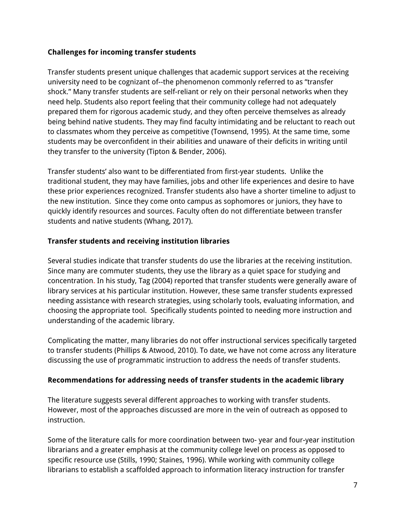#### **Challenges for incoming transfer students**

Transfer students present unique challenges that academic support services at the receiving university need to be cognizant of--the phenomenon commonly referred to as "transfer shock." Many transfer students are self-reliant or rely on their personal networks when they need help. Students also report feeling that their community college had not adequately prepared them for rigorous academic study, and they often perceive themselves as already being behind native students. They may find faculty intimidating and be reluctant to reach out to classmates whom they perceive as competitive (Townsend, 1995). At the same time, some students may be overconfident in their abilities and unaware of their deficits in writing until they transfer to the university (Tipton & Bender, 2006).

Transfer students' also want to be differentiated from first-year students. Unlike the traditional student, they may have families, jobs and other life experiences and desire to have these prior experiences recognized. Transfer students also have a shorter timeline to adjust to the new institution. Since they come onto campus as sophomores or juniors, they have to quickly identify resources and sources. Faculty often do not differentiate between transfer students and native students (Whang, 2017).

#### **Transfer students and receiving institution libraries**

Several studies indicate that transfer students do use the libraries at the receiving institution. Since many are commuter students, they use the library as a quiet space for studying and concentration. In his study, Tag (2004) reported that transfer students were generally aware of library services at his particular institution. However, these same transfer students expressed needing assistance with research strategies, using scholarly tools, evaluating information, and choosing the appropriate tool. Specifically students pointed to needing more instruction and understanding of the academic library.

Complicating the matter, many libraries do not offer instructional services specifically targeted to transfer students (Phillips & Atwood, 2010). To date, we have not come across any literature discussing the use of programmatic instruction to address the needs of transfer students.

#### **Recommendations for addressing needs of transfer students in the academic library**

The literature suggests several different approaches to working with transfer students. However, most of the approaches discussed are more in the vein of outreach as opposed to instruction.

Some of the literature calls for more coordination between two- year and four-year institution librarians and a greater emphasis at the community college level on process as opposed to specific resource use (Stills, 1990; Staines, 1996). While working with community college librarians to establish a scaffolded approach to information literacy instruction for transfer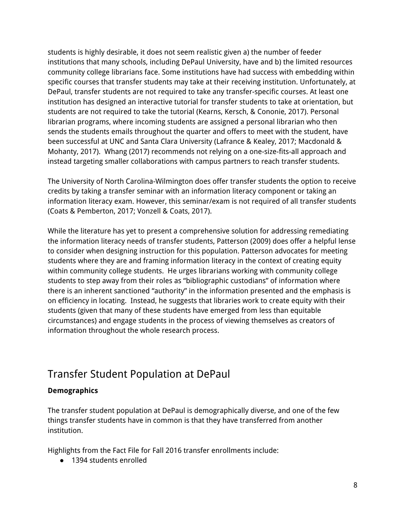students is highly desirable, it does not seem realistic given a) the number of feeder institutions that many schools, including DePaul University, have and b) the limited resources community college librarians face. Some institutions have had success with embedding within specific courses that transfer students may take at their receiving institution. Unfortunately, at DePaul, transfer students are not required to take any transfer-specific courses. At least one institution has designed an interactive tutorial for transfer students to take at orientation, but students are not required to take the tutorial (Kearns, Kersch, & Cononie, 2017). Personal librarian programs, where incoming students are assigned a personal librarian who then sends the students emails throughout the quarter and offers to meet with the student, have been successful at UNC and Santa Clara University (Lafrance & Kealey, 2017; Macdonald & Mohanty, 2017). Whang (2017) recommends not relying on a one-size-fits-all approach and instead targeting smaller collaborations with campus partners to reach transfer students.

The University of North Carolina-Wilmington does offer transfer students the option to receive credits by taking a transfer seminar with an information literacy component or taking an information literacy exam. However, this seminar/exam is not required of all transfer students (Coats & Pemberton, 2017; Vonzell & Coats, 2017).

While the literature has yet to present a comprehensive solution for addressing remediating the information literacy needs of transfer students, Patterson (2009) does offer a helpful lense to consider when designing instruction for this population. Patterson advocates for meeting students where they are and framing information literacy in the context of creating equity within community college students. He urges librarians working with community college students to step away from their roles as "bibliographic custodians" of information where there is an inherent sanctioned "authority" in the information presented and the emphasis is on efficiency in locating. Instead, he suggests that libraries work to create equity with their students (given that many of these students have emerged from less than equitable circumstances) and engage students in the process of viewing themselves as creators of information throughout the whole research process.

### Transfer Student Population at DePaul

#### **Demographics**

The transfer student population at DePaul is demographically diverse, and one of the few things transfer students have in common is that they have transferred from another institution.

Highlights from the Fact File for Fall 2016 transfer enrollments include:

● 1394 students enrolled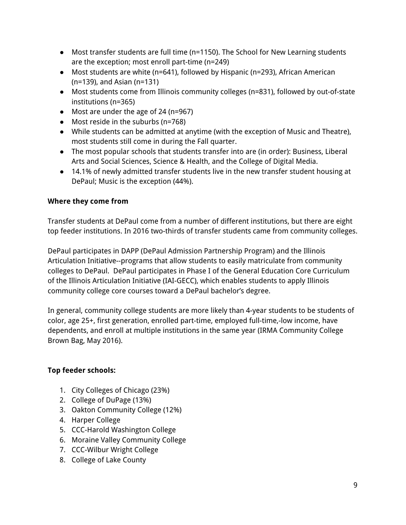- Most transfer students are full time (n=1150). The School for New Learning students are the exception; most enroll part-time (n=249)
- Most students are white (n=641), followed by Hispanic (n=293), African American (n=139), and Asian (n=131)
- Most students come from Illinois community colleges (n=831), followed by out-of-state institutions (n=365)
- Most are under the age of 24 (n=967)
- Most reside in the suburbs (n=768)
- While students can be admitted at anytime (with the exception of Music and Theatre), most students still come in during the Fall quarter.
- The most popular schools that students transfer into are (in order): Business, Liberal Arts and Social Sciences, Science & Health, and the College of Digital Media.
- 14.1% of newly admitted transfer students live in the new transfer student housing at DePaul; Music is the exception (44%).

#### **Where they come from**

Transfer students at DePaul come from a number of different institutions, but there are eight top feeder institutions. In 2016 two-thirds of transfer students came from community colleges.

DePaul participates in DAPP (DePaul Admission [Partnership](http://www.depaul.edu/admission-and-aid/types-of-admission/transfer-student/dapp/Pages/default.aspx) Program) and the Illinois [Articulation](http://www.depaul.edu/admission-and-aid/types-of-admission/transfer-student/dapp/Pages/default.aspx) Initiative--programs that allow students to easily matriculate from community colleges to DePaul. DePaul participates in Phase I of the General Education Core Curriculum of the Illinois Articulation Initiative (IAI-GECC), which enables students to apply Illinois community college core courses toward a DePaul bachelor's degree.

In general, community college students are more likely than 4-year students to be students of color, age 25+, first generation, enrolled part-time, employed full-time,-low income, have dependents, and enroll at multiple institutions in the same year (IRMA Community College Brown Bag, May 2016).

#### **Top feeder schools:**

- 1. City Colleges of Chicago (23%)
- 2. College of DuPage (13%)
- 3. Oakton Community College (12%)
- 4. Harper College
- 5. CCC-Harold Washington College
- 6. Moraine Valley Community College
- 7. CCC-Wilbur Wright College
- 8. College of Lake County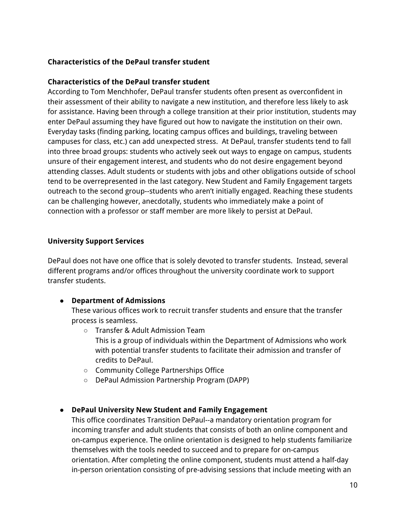#### **Characteristics of the DePaul transfer student**

#### **Characteristics of the DePaul transfer student**

According to Tom Menchhofer, DePaul transfer students often present as overconfident in their assessment of their ability to navigate a new institution, and therefore less likely to ask for assistance. Having been through a college transition at their prior institution, students may enter DePaul assuming they have figured out how to navigate the institution on their own. Everyday tasks (finding parking, locating campus offices and buildings, traveling between campuses for class, etc.) can add unexpected stress. At DePaul, transfer students tend to fall into three broad groups: students who actively seek out ways to engage on campus, students unsure of their engagement interest, and students who do not desire engagement beyond attending classes. Adult students or students with jobs and other obligations outside of school tend to be overrepresented in the last category. New Student and Family Engagement targets outreach to the second group--students who aren't initially engaged. Reaching these students can be challenging however, anecdotally, students who immediately make a point of connection with a professor or staff member are more likely to persist at DePaul.

#### **University Support Services**

DePaul does not have one office that is solely devoted to transfer students. Instead, several different programs and/or offices throughout the university coordinate work to support transfer students.

#### **● Department of Admissions**

These various offices work to recruit transfer students and ensure that the transfer process is seamless.

○ Transfer & Adult Admission Team

This is a group of individuals within the Department of Admissions who work with potential transfer students to facilitate their admission and transfer of credits to DePaul.

- Community College Partnerships Office
- DePaul Admission Partnership Program (DAPP)

#### ● **DePaul University New Student and Family Engagement**

This office coordinates Transition DePaul--a mandatory orientation program for incoming transfer and adult students that consists of both an online component and on-campus experience. The online orientation is designed to help students familiarize themselves with the tools needed to succeed and to prepare for on-campus orientation. After completing the online component, students must attend a half-day in-person orientation consisting of pre-advising sessions that include meeting with an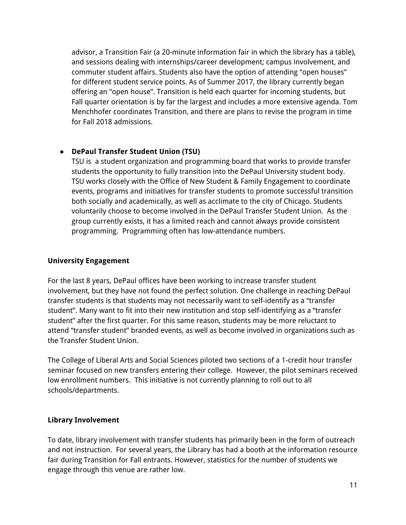advisor, a Transition Fair (a 20-minute information fair in which the library has a table), and sessions dealing with internships/career development; campus involvement, and commuter student affairs. Students also have the option of attending "open houses" for different student service points. As of Summer 2017, the library currently began offering an "open house". Transition is held each quarter for incoming students, but Fall quarter orientation is by far the largest and includes a more extensive agenda. Tom Menchhofer coordinates Transition, and there are plans to revise the program in time for Fall 2018 admissions.

#### ● **DePaul Transfer Student Union (TSU)**

TSU is a student organization and programming board that works to provide transfer students the opportunity to fully transition into the DePaul University student body. TSU works closely with the Office of New Student & Family Engagement to coordinate events, programs and initiatives for transfer students to promote successful transition both socially and academically, as well as acclimate to the city of Chicago. Students voluntarily choose to become involved in the DePaul Transfer Student Union. As the group currently exists, it has a limited reach and cannot always provide consistent programming. Programming often has low-attendance numbers.

#### **University Engagement**

For the last 8 years, DePaul offices have been working to increase transfer student involvement, but they have not found the perfect solution. One challenge in reaching DePaul transfer students is that students may not necessarily want to self-identify as a "transfer student". Many want to fit into their new institution and stop self-identifying as a "transfer student" after the first quarter. For this same reason, students may be more reluctant to attend "transfer student" branded events, as well as become involved in organizations such as the Transfer Student Union.

The College of Liberal Arts and Social Sciences piloted two sections of a 1-credit hour transfer seminar focused on new transfers entering their college. However, the pilot seminars received low enrollment numbers. This initiative is not currently planning to roll out to all schools/departments.

#### **Library Involvement**

To date, library involvement with transfer students has primarily been in the form of outreach and not instruction. For several years, the Library has had a booth at the information resource fair during Transition for Fall entrants. However, statistics for the number of students we engage through this venue are rather low.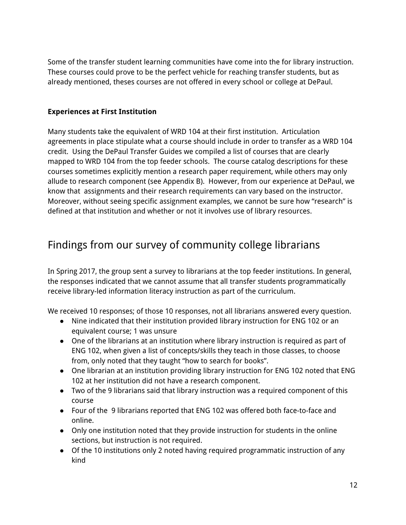Some of the transfer student learning communities have come into the for library instruction. These courses could prove to be the perfect vehicle for reaching transfer students, but as already mentioned, theses courses are not offered in every school or college at DePaul.

#### **Experiences at First Institution**

Many students take the equivalent of WRD 104 at their first institution. Articulation agreements in place stipulate what a course should include in order to transfer as a WRD 104 credit. Using the DePaul Transfer Guides we compiled a list of courses that are clearly mapped to WRD 104 from the top feeder schools. The course catalog descriptions for these courses sometimes explicitly mention a research paper requirement, while others may only allude to research component (see Appendix B). However, from our experience at DePaul, we know that assignments and their research requirements can vary based on the instructor. Moreover, without seeing specific assignment examples, we cannot be sure how "research" is defined at that institution and whether or not it involves use of library resources.

## Findings from our survey of community college librarians

In Spring 2017, the group sent a survey to librarians at the top feeder institutions. In general, the responses indicated that we cannot assume that all transfer students programmatically receive library-led information literacy instruction as part of the curriculum.

We received 10 responses; of those 10 responses, not all librarians answered every question.

- Nine indicated that their institution provided library instruction for ENG 102 or an equivalent course; 1 was unsure
- One of the librarians at an institution where library instruction is required as part of ENG 102, when given a list of concepts/skills they teach in those classes, to choose from, only noted that they taught "how to search for books".
- One librarian at an institution providing library instruction for ENG 102 noted that ENG 102 at her institution did not have a research component.
- Two of the 9 librarians said that library instruction was a required component of this course
- Four of the 9 librarians reported that ENG 102 was offered both face-to-face and online.
- Only one institution noted that they provide instruction for students in the online sections, but instruction is not required.
- Of the 10 institutions only 2 noted having required programmatic instruction of any kind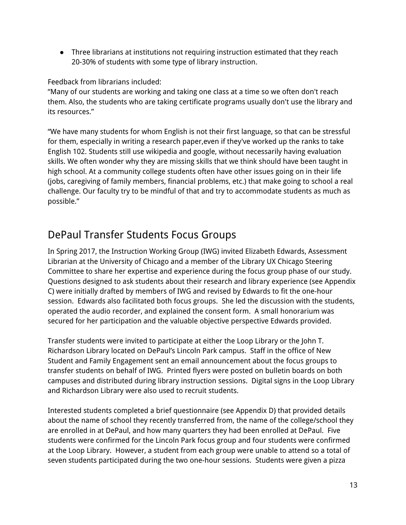● Three librarians at institutions not requiring instruction estimated that they reach 20-30% of students with some type of library instruction.

#### Feedback from librarians included:

"Many of our students are working and taking one class at a time so we often don't reach them. Also, the students who are taking certificate programs usually don't use the library and its resources."

"We have many students for whom English is not their first language, so that can be stressful for them, especially in writing a research paper,even if they've worked up the ranks to take English 102. Students still use wikipedia and google, without necessarily having evaluation skills. We often wonder why they are missing skills that we think should have been taught in high school. At a community college students often have other issues going on in their life (jobs, caregiving of family members, financial problems, etc.) that make going to school a real challenge. Our faculty try to be mindful of that and try to accommodate students as much as possible."

## DePaul Transfer Students Focus Groups

In Spring 2017, the Instruction Working Group (IWG) invited Elizabeth Edwards, Assessment Librarian at the University of Chicago and a member of the Library UX Chicago Steering Committee to share her expertise and experience during the focus group phase of our study. Questions designed to ask students about their research and library experience (see Appendix C) were initially drafted by members of IWG and revised by Edwards to fit the one-hour session. Edwards also facilitated both focus groups. She led the discussion with the students, operated the audio recorder, and explained the consent form. A small honorarium was secured for her participation and the valuable objective perspective Edwards provided.

Transfer students were invited to participate at either the Loop Library or the John T. Richardson Library located on DePaul's Lincoln Park campus. Staff in the office of New Student and Family Engagement sent an email announcement about the focus groups to transfer students on behalf of IWG. Printed flyers were posted on bulletin boards on both campuses and distributed during library instruction sessions. Digital signs in the Loop Library and Richardson Library were also used to recruit students.

Interested students completed a brief questionnaire (see Appendix D) that provided details about the name of school they recently transferred from, the name of the college/school they are enrolled in at DePaul, and how many quarters they had been enrolled at DePaul. Five students were confirmed for the Lincoln Park focus group and four students were confirmed at the Loop Library. However, a student from each group were unable to attend so a total of seven students participated during the two one-hour sessions. Students were given a pizza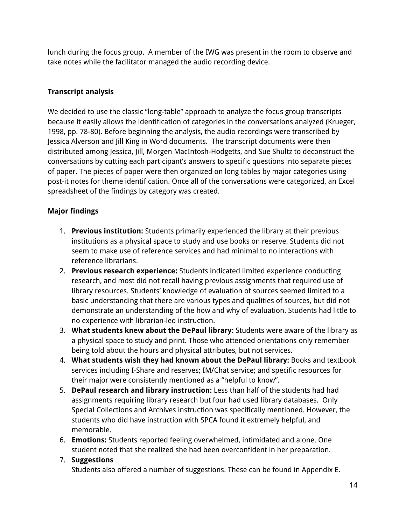lunch during the focus group. A member of the IWG was present in the room to observe and take notes while the facilitator managed the audio recording device.

#### **Transcript analysis**

We decided to use the classic "long-table" approach to analyze the focus group transcripts because it easily allows the identification of categories in the conversations analyzed (Krueger, 1998, pp. 78-80). Before beginning the analysis, the audio recordings were transcribed by Jessica Alverson and Jill King in Word documents. The transcript documents were then distributed among Jessica, Jill, Morgen MacIntosh-Hodgetts, and Sue Shultz to deconstruct the conversations by cutting each participant's answers to specific questions into separate pieces of paper. The pieces of paper were then organized on long tables by major categories using post-it notes for theme identification. Once all of the conversations were categorized, an Excel spreadsheet of the findings by category was created.

#### **Major findings**

- 1. **Previous institution:** Students primarily experienced the library at their previous institutions as a physical space to study and use books on reserve. Students did not seem to make use of reference services and had minimal to no interactions with reference librarians.
- 2. **Previous research experience:** Students indicated limited experience conducting research, and most did not recall having previous assignments that required use of library resources. Students' knowledge of evaluation of sources seemed limited to a basic understanding that there are various types and qualities of sources, but did not demonstrate an understanding of the how and why of evaluation. Students had little to no experience with librarian-led instruction.
- 3. **What students knew about the DePaul library:** Students were aware of the library as a physical space to study and print. Those who attended orientations only remember being told about the hours and physical attributes, but not services.
- 4. **What students wish they had known about the DePaul library:** Books and textbook services including I-Share and reserves; IM/Chat service; and specific resources for their major were consistently mentioned as a "helpful to know".
- 5. **DePaul research and library instruction:** Less than half of the students had had assignments requiring library research but four had used library databases. Only Special Collections and Archives instruction was specifically mentioned. However, the students who did have instruction with SPCA found it extremely helpful, and memorable.
- 6. **Emotions:** Students reported feeling overwhelmed, intimidated and alone. One student noted that she realized she had been overconfident in her preparation.
- 7. **Suggestions** Students also offered a number of suggestions. These can be found in Appendix E.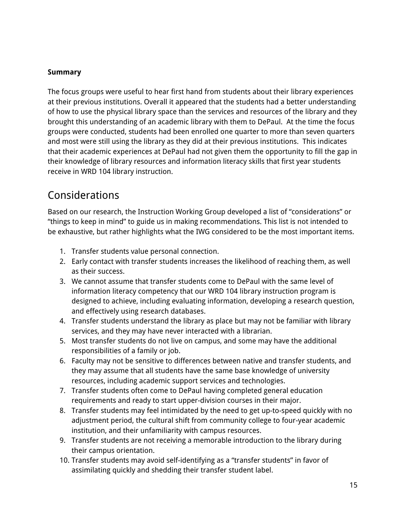#### **Summary**

The focus groups were useful to hear first hand from students about their library experiences at their previous institutions. Overall it appeared that the students had a better understanding of how to use the physical library space than the services and resources of the library and they brought this understanding of an academic library with them to DePaul. At the time the focus groups were conducted, students had been enrolled one quarter to more than seven quarters and most were still using the library as they did at their previous institutions. This indicates that their academic experiences at DePaul had not given them the opportunity to fill the gap in their knowledge of library resources and information literacy skills that first year students receive in WRD 104 library instruction.

### Considerations

Based on our research, the Instruction Working Group developed a list of "considerations" or "things to keep in mind" to guide us in making recommendations. This list is not intended to be exhaustive, but rather highlights what the IWG considered to be the most important items.

- 1. Transfer students value personal connection.
- 2. Early contact with transfer students increases the likelihood of reaching them, as well as their success.
- 3. We cannot assume that transfer students come to DePaul with the same level of information literacy competency that our WRD 104 library instruction program is designed to achieve, including evaluating information, developing a research question, and effectively using research databases.
- 4. Transfer students understand the library as place but may not be familiar with library services, and they may have never interacted with a librarian.
- 5. Most transfer students do not live on campus, and some may have the additional responsibilities of a family or job.
- 6. Faculty may not be sensitive to differences between native and transfer students, and they may assume that all students have the same base knowledge of university resources, including academic support services and technologies.
- 7. Transfer students often come to DePaul having completed general education requirements and ready to start upper-division courses in their major.
- 8. Transfer students may feel intimidated by the need to get up-to-speed quickly with no adjustment period, the cultural shift from community college to four-year academic institution, and their unfamiliarity with campus resources.
- 9. Transfer students are not receiving a memorable introduction to the library during their campus orientation.
- 10. Transfer students may avoid self-identifying as a "transfer students" in favor of assimilating quickly and shedding their transfer student label.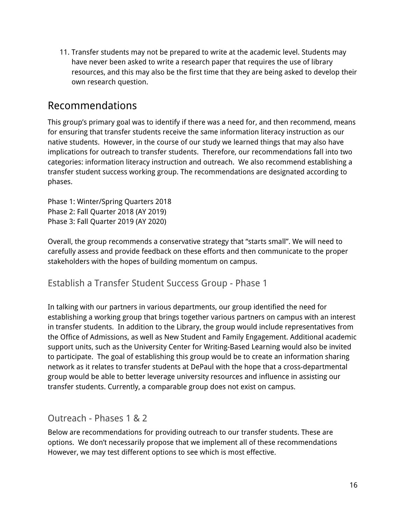11. Transfer students may not be prepared to write at the academic level. Students may have never been asked to write a research paper that requires the use of library resources, and this may also be the first time that they are being asked to develop their own research question.

### Recommendations

This group's primary goal was to identify if there was a need for, and then recommend, means for ensuring that transfer students receive the same information literacy instruction as our native students. However, in the course of our study we learned things that may also have implications for outreach to transfer students. Therefore, our recommendations fall into two categories: information literacy instruction and outreach. We also recommend establishing a transfer student success working group. The recommendations are designated according to phases.

Phase 1: Winter/Spring Quarters 2018 Phase 2: Fall Quarter 2018 (AY 2019) Phase 3: Fall Quarter 2019 (AY 2020)

Overall, the group recommends a conservative strategy that "starts small". We will need to carefully assess and provide feedback on these efforts and then communicate to the proper stakeholders with the hopes of building momentum on campus.

#### Establish a Transfer Student Success Group - Phase 1

In talking with our partners in various departments, our group identified the need for establishing a working group that brings together various partners on campus with an interest in transfer students. In addition to the Library, the group would include representatives from the Office of Admissions, as well as New Student and Family Engagement. Additional academic support units, such as the University Center for Writing-Based Learning would also be invited to participate. The goal of establishing this group would be to create an information sharing network as it relates to transfer students at DePaul with the hope that a cross-departmental group would be able to better leverage university resources and influence in assisting our transfer students. Currently, a comparable group does not exist on campus.

### Outreach - Phases 1 & 2

Below are recommendations for providing outreach to our transfer students. These are options. We don't necessarily propose that we implement all of these recommendations However, we may test different options to see which is most effective.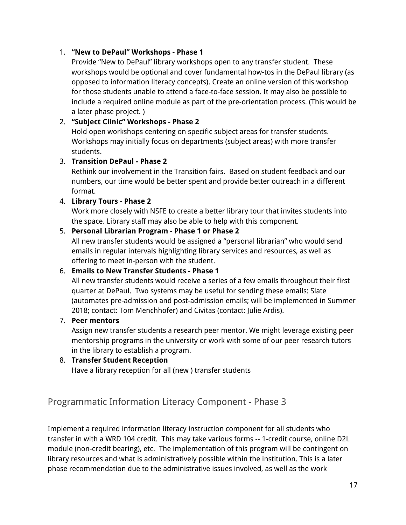#### 1. **"New to DePaul" Workshops - Phase 1**

Provide "New to DePaul" library workshops open to any transfer student. These workshops would be optional and cover fundamental how-tos in the DePaul library (as opposed to information literacy concepts). Create an online version of this workshop for those students unable to attend a face-to-face session. It may also be possible to include a required online module as part of the pre-orientation process. (This would be a later phase project. )

#### 2. **"Subject Clinic" Workshops - Phase 2**

Hold open workshops centering on specific subject areas for transfer students. Workshops may initially focus on departments (subject areas) with more transfer students.

#### 3. **Transition DePaul - Phase 2**

Rethink our involvement in the Transition fairs. Based on student feedback and our numbers, our time would be better spent and provide better outreach in a different format.

#### 4. **Library Tours - Phase 2**

Work more closely with NSFE to create a better library tour that invites students into the space. Library staff may also be able to help with this component.

#### 5. **Personal Librarian Program - Phase 1 or Phase 2**

All new transfer students would be assigned a "personal librarian" who would send emails in regular intervals highlighting library services and resources, as well as offering to meet in-person with the student.

#### 6. **Emails to New Transfer Students - Phase 1**

All new transfer students would receive a series of a few emails throughout their first quarter at DePaul. Two systems may be useful for sending these emails: Slate (automates pre-admission and post-admission emails; will be implemented in Summer 2018; contact: Tom Menchhofer) and Civitas (contact: Julie Ardis).

#### 7. **Peer mentors**

Assign new transfer students a research peer mentor. We might leverage existing peer mentorship programs in the university or work with some of our peer research tutors in the library to establish a program.

#### 8. **Transfer Student Reception**

Have a library reception for all (new ) transfer students

### Programmatic Information Literacy Component - Phase 3

Implement a required information literacy instruction component for all students who transfer in with a WRD 104 credit. This may take various forms -- 1-credit course, online D2L module (non-credit bearing), etc. The implementation of this program will be contingent on library resources and what is administratively possible within the institution. This is a later phase recommendation due to the administrative issues involved, as well as the work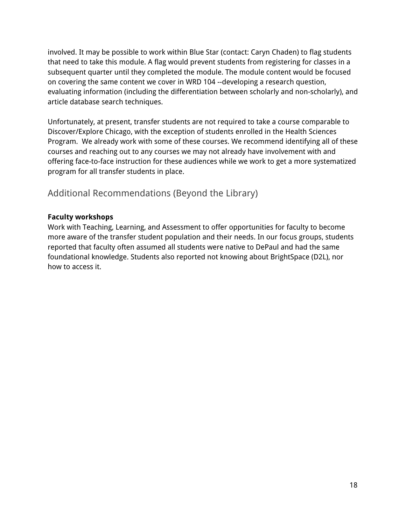involved. It may be possible to work within Blue Star (contact: Caryn Chaden) to flag students that need to take this module. A flag would prevent students from registering for classes in a subsequent quarter until they completed the module. The module content would be focused on covering the same content we cover in WRD 104 --developing a research question, evaluating information (including the differentiation between scholarly and non-scholarly), and article database search techniques.

Unfortunately, at present, transfer students are not required to take a course comparable to Discover/Explore Chicago, with the exception of students enrolled in the Health Sciences Program. We already work with some of these courses. We recommend identifying all of these courses and reaching out to any courses we may not already have involvement with and offering face-to-face instruction for these audiences while we work to get a more systematized program for all transfer students in place.

### Additional Recommendations (Beyond the Library)

#### **Faculty workshops**

Work with Teaching, Learning, and Assessment to offer opportunities for faculty to become more aware of the transfer student population and their needs. In our focus groups, students reported that faculty often assumed all students were native to DePaul and had the same foundational knowledge. Students also reported not knowing about BrightSpace (D2L), nor how to access it.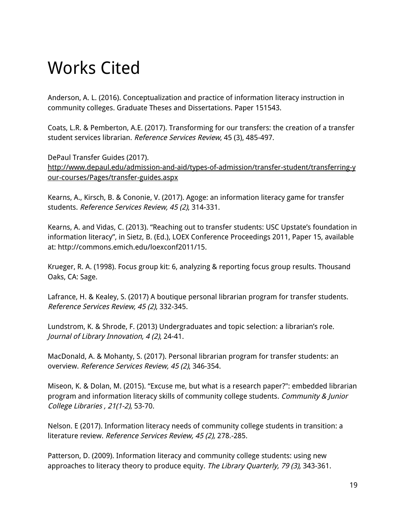## Works Cited

Anderson, A. L. (2016). Conceptualization and practice of information literacy instruction in community colleges. Graduate Theses and Dissertations. Paper 151543.

Coats, L.R. & Pemberton, A.E. (2017). Transforming for our transfers: the creation of a transfer student services librarian. Reference Services Review, 45 (3), 485-497.

DePaul Transfer Guides (2017). [http://www.depaul.edu/admission-and-aid/types-of-admission/transfer-student/transferring-y](http://www.depaul.edu/admission-and-aid/types-of-admission/transfer-student/transferring-your-courses/Pages/transfer-guides.aspx) [our-courses/Pages/transfer-guides.aspx](http://www.depaul.edu/admission-and-aid/types-of-admission/transfer-student/transferring-your-courses/Pages/transfer-guides.aspx)

Kearns, A., Kirsch, B. & Cononie, V. (2017). Agoge: an information literacy game for transfer students. Reference Services Review, 45 (2), 314-331.

Kearns, A. and Vidas, C. (2013). "Reaching out to transfer students: USC Upstate's foundation in information literacy", in Sietz, B. (Ed.), LOEX Conference Proceedings 2011, Paper 15, available at: http://commons.emich.edu/loexconf2011/15.

Krueger, R. A. (1998). Focus group kit: 6, analyzing & reporting focus group results. Thousand Oaks, CA: Sage.

Lafrance, H. & Kealey, S. (2017) A boutique personal librarian program for transfer students. Reference Services Review, 45 (2), 332-345.

Lundstrom, K. & Shrode, F. (2013) Undergraduates and topic selection: a librarian's role. Journal of Library Innovation, 4 (2), 24-41.

MacDonald, A. & Mohanty, S. (2017). Personal librarian program for transfer students: an overview. Reference Services Review, 45 (2), 346-354.

Miseon, K. & Dolan, M. (2015). "Excuse me, but what is a research paper?": embedded librarian program and information literacy skills of community college students. Community & Junior College Libraries , 21(1-2), 53-70.

Nelson. E (2017). Information literacy needs of community college students in transition: a literature review. Reference Services Review, 45 (2), 278.-285.

Patterson, D. (2009). Information literacy and community college students: using new approaches to literacy theory to produce equity. The Library Quarterly, 79 (3), 343-361.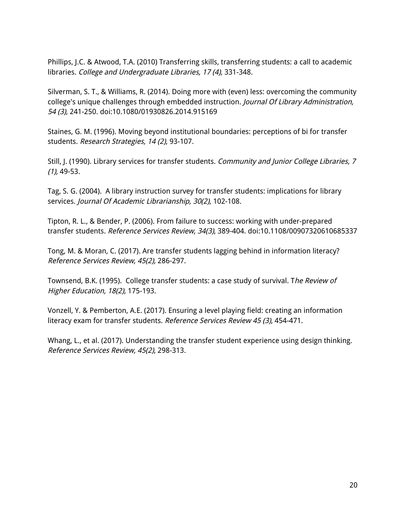Phillips, J.C. & Atwood, T.A. (2010) Transferring skills, transferring students: a call to academic libraries. College and Undergraduate Libraries, 17 (4), 331-348.

Silverman, S. T., & Williams, R. (2014). Doing more with (even) less: overcoming the community college's unique challenges through embedded instruction. Journal Of Library Administration, 54 (3), 241-250. doi:10.1080/01930826.2014.915169

Staines, G. M. (1996). Moving beyond institutional boundaries: perceptions of bi for transfer students. Research Strategies, 14 (2), 93-107.

Still, J. (1990). Library services for transfer students. Community and Junior College Libraries, 7 (1), 49-53.

Tag, S. G. (2004). A library instruction survey for transfer students: implications for library services. Journal Of Academic Librarianship, 30(2), 102-108.

Tipton, R. L., & Bender, P. (2006). From failure to success: working with under-prepared transfer students. Reference Services Review, 34(3), 389-404. doi:10.1108/00907320610685337

Tong, M. & Moran, C. (2017). Are transfer students lagging behind in information literacy? Reference Services Review, 45(2), 286-297.

Townsend, B.K. (1995). College transfer students: a case study of survival. The Review of Higher Education, 18(2), 175-193.

Vonzell, Y. & Pemberton, A.E. (2017). Ensuring a level playing field: creating an information literacy exam for transfer students. Reference Services Review 45 (3), 454-471.

Whang, L., et al. (2017). Understanding the transfer student experience using design thinking. Reference Services Review, 45(2), 298-313.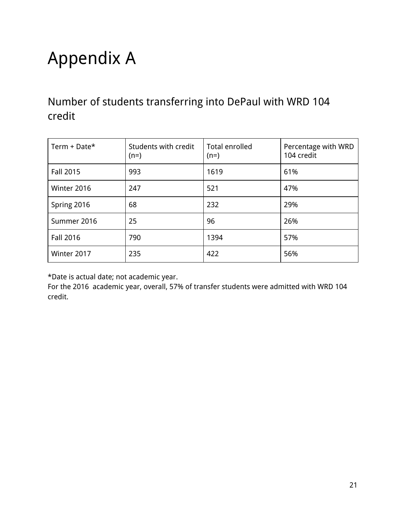# Appendix A

Number of students transferring into DePaul with WRD 104 credit

| Term + Date* | Students with credit<br>$(n=)$ | Total enrolled<br>$(n=)$ | Percentage with WRD<br>104 credit |
|--------------|--------------------------------|--------------------------|-----------------------------------|
| Fall 2015    | 993                            | 1619                     | 61%                               |
| Winter 2016  | 247                            | 521                      | 47%                               |
| Spring 2016  | 68                             | 232                      | 29%                               |
| Summer 2016  | 25                             | 96                       | 26%                               |
| Fall 2016    | 790                            | 1394                     | 57%                               |
| Winter 2017  | 235                            | 422                      | 56%                               |

\*Date is actual date; not academic year.

For the 2016 academic year, overall, 57% of transfer students were admitted with WRD 104 credit.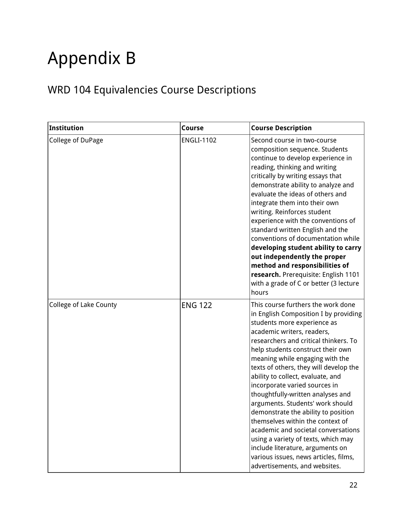# Appendix B

## WRD 104 Equivalencies Course Descriptions

| Institution            | Course            | <b>Course Description</b>                                                                                                                                                                                                                                                                                                                                                                                                                                                                                                                                                                                                                                                                                                 |
|------------------------|-------------------|---------------------------------------------------------------------------------------------------------------------------------------------------------------------------------------------------------------------------------------------------------------------------------------------------------------------------------------------------------------------------------------------------------------------------------------------------------------------------------------------------------------------------------------------------------------------------------------------------------------------------------------------------------------------------------------------------------------------------|
| College of DuPage      | <b>ENGLI-1102</b> | Second course in two-course<br>composition sequence. Students<br>continue to develop experience in<br>reading, thinking and writing<br>critically by writing essays that<br>demonstrate ability to analyze and<br>evaluate the ideas of others and<br>integrate them into their own<br>writing. Reinforces student<br>experience with the conventions of<br>standard written English and the<br>conventions of documentation while<br>developing student ability to carry<br>out independently the proper<br>method and responsibilities of<br>research. Prerequisite: English 1101<br>with a grade of C or better (3 lecture<br>hours                                                                                    |
| College of Lake County | <b>ENG 122</b>    | This course furthers the work done<br>in English Composition I by providing<br>students more experience as<br>academic writers, readers,<br>researchers and critical thinkers. To<br>help students construct their own<br>meaning while engaging with the<br>texts of others, they will develop the<br>ability to collect, evaluate, and<br>incorporate varied sources in<br>thoughtfully-written analyses and<br>arguments. Students' work should<br>demonstrate the ability to position<br>themselves within the context of<br>academic and societal conversations<br>using a variety of texts, which may<br>include literature, arguments on<br>various issues, news articles, films,<br>advertisements, and websites. |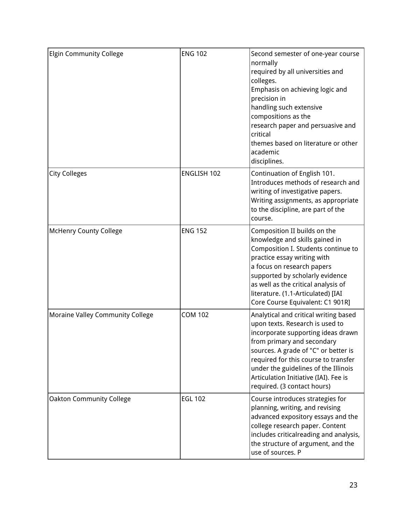| <b>Elgin Community College</b>   | <b>ENG 102</b> | Second semester of one-year course<br>normally<br>required by all universities and<br>colleges.<br>Emphasis on achieving logic and<br>precision in<br>handling such extensive<br>compositions as the<br>research paper and persuasive and<br>critical<br>themes based on literature or other<br>academic<br>disciplines.                     |
|----------------------------------|----------------|----------------------------------------------------------------------------------------------------------------------------------------------------------------------------------------------------------------------------------------------------------------------------------------------------------------------------------------------|
| <b>City Colleges</b>             | ENGLISH 102    | Continuation of English 101.<br>Introduces methods of research and<br>writing of investigative papers.<br>Writing assignments, as appropriate<br>to the discipline, are part of the<br>course.                                                                                                                                               |
| <b>McHenry County College</b>    | <b>ENG 152</b> | Composition II builds on the<br>knowledge and skills gained in<br>Composition I. Students continue to<br>practice essay writing with<br>a focus on research papers<br>supported by scholarly evidence<br>as well as the critical analysis of<br>literature. (1.1-Articulated) [IAI<br>Core Course Equivalent: C1 901R]                       |
| Moraine Valley Community College | <b>COM 102</b> | Analytical and critical writing based<br>upon texts. Research is used to<br>incorporate supporting ideas drawn<br>from primary and secondary<br>sources. A grade of "C" or better is<br>required for this course to transfer<br>under the guidelines of the Illinois<br>Articulation Initiative (IAI). Fee is<br>required. (3 contact hours) |
| <b>Oakton Community College</b>  | <b>EGL 102</b> | Course introduces strategies for<br>planning, writing, and revising<br>advanced expository essays and the<br>college research paper. Content<br>includes criticalreading and analysis,<br>the structure of argument, and the<br>use of sources. P                                                                                            |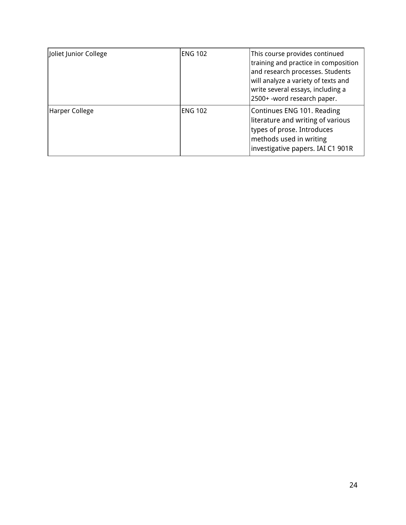| Joliet Junior College | <b>ENG 102</b> | This course provides continued<br>training and practice in composition<br>and research processes. Students<br>will analyze a variety of texts and<br>write several essays, including a<br>2500+ -word research paper. |
|-----------------------|----------------|-----------------------------------------------------------------------------------------------------------------------------------------------------------------------------------------------------------------------|
| Harper College        | <b>ENG 102</b> | Continues ENG 101. Reading<br>literature and writing of various<br>types of prose. Introduces<br>methods used in writing<br>investigative papers. IAI C1 901R                                                         |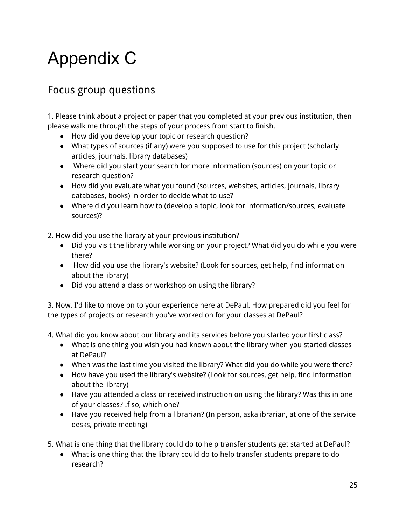## Appendix C

## Focus group questions

1. Please think about a project or paper that you completed at your previous institution, then please walk me through the steps of your process from start to finish.

- How did you develop your topic or research question?
- What types of sources (if any) were you supposed to use for this project (scholarly articles, journals, library databases)
- Where did you start your search for more information (sources) on your topic or research question?
- How did you evaluate what you found (sources, websites, articles, journals, library databases, books) in order to decide what to use?
- Where did you learn how to (develop a topic, look for information/sources, evaluate sources)?

2. How did you use the library at your previous institution?

- Did you visit the library while working on your project? What did you do while you were there?
- How did you use the library's website? (Look for sources, get help, find information about the library)
- Did you attend a class or workshop on using the library?

3. Now, I'd like to move on to your experience here at DePaul. How prepared did you feel for the types of projects or research you've worked on for your classes at DePaul?

4. What did you know about our library and its services before you started your first class?

- What is one thing you wish you had known about the library when you started classes at DePaul?
- When was the last time you visited the library? What did you do while you were there?
- How have you used the library's website? (Look for sources, get help, find information about the library)
- Have you attended a class or received instruction on using the library? Was this in one of your classes? If so, which one?
- Have you received help from a librarian? (In person, askalibrarian, at one of the service desks, private meeting)

5. What is one thing that the library could do to help transfer students get started at DePaul?

● What is one thing that the library could do to help transfer students prepare to do research?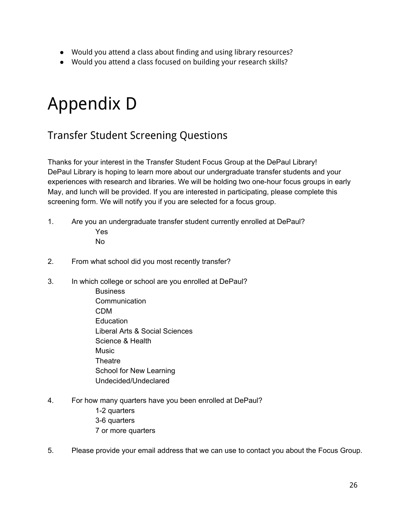- Would you attend a class about finding and using library resources?
- Would you attend a class focused on building your research skills?

## Appendix D

## Transfer Student Screening Questions

Thanks for your interest in the Transfer Student Focus Group at the DePaul Library! DePaul Library is hoping to learn more about our undergraduate transfer students and your experiences with research and libraries. We will be holding two one-hour focus groups in early May, and lunch will be provided. If you are interested in participating, please complete this screening form. We will notify you if you are selected for a focus group.

- 1. Are you an undergraduate transfer student currently enrolled at DePaul? Yes No
- 2. From what school did you most recently transfer?
- 3. In which college or school are you enrolled at DePaul?
	- **Business Communication** CDM Education Liberal Arts & Social Sciences Science & Health **Music Theatre** School for New Learning Undecided/Undeclared
- 4. For how many quarters have you been enrolled at DePaul?
	- 1-2 quarters 3-6 quarters 7 or more quarters
- 5. Please provide your email address that we can use to contact you about the Focus Group.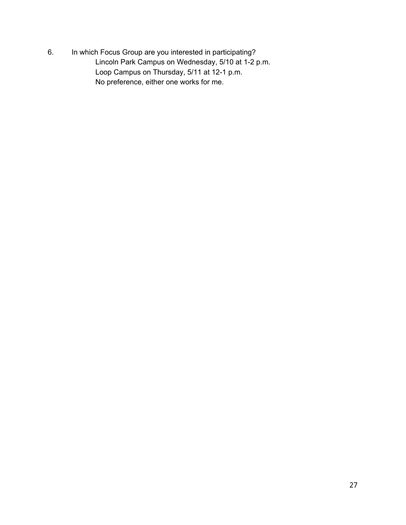6. In which Focus Group are you interested in participating? Lincoln Park Campus on Wednesday, 5/10 at 1-2 p.m. Loop Campus on Thursday, 5/11 at 12-1 p.m. No preference, either one works for me.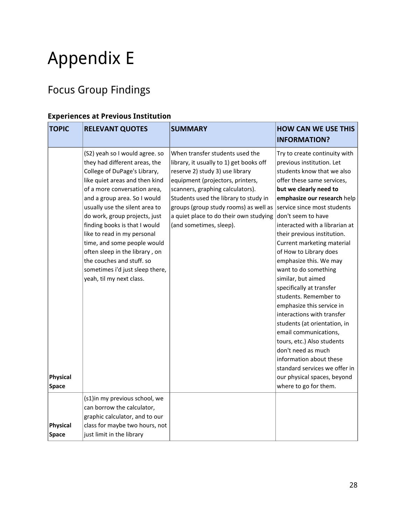# Appendix E

## Focus Group Findings

#### **Experiences at Previous Institution**

| <b>TOPIC</b>             | <b>RELEVANT QUOTES</b>                                                                                                                                                                                                                                                                                                                                                                                                                                                                            | <b>SUMMARY</b>                                                                                                                                                                                                                                                                                                                               | <b>HOW CAN WE USE THIS</b><br><b>INFORMATION?</b>                                                                                                                                                                                                                                                                                                                                                                                                                                                                                                                                                                                                                                                                                                                                      |
|--------------------------|---------------------------------------------------------------------------------------------------------------------------------------------------------------------------------------------------------------------------------------------------------------------------------------------------------------------------------------------------------------------------------------------------------------------------------------------------------------------------------------------------|----------------------------------------------------------------------------------------------------------------------------------------------------------------------------------------------------------------------------------------------------------------------------------------------------------------------------------------------|----------------------------------------------------------------------------------------------------------------------------------------------------------------------------------------------------------------------------------------------------------------------------------------------------------------------------------------------------------------------------------------------------------------------------------------------------------------------------------------------------------------------------------------------------------------------------------------------------------------------------------------------------------------------------------------------------------------------------------------------------------------------------------------|
| <b>Physical</b><br>Space | (S2) yeah so I would agree. so<br>they had different areas, the<br>College of DuPage's Library,<br>like quiet areas and then kind<br>of a more conversation area,<br>and a group area. So I would<br>usually use the silent area to<br>do work, group projects, just<br>finding books is that I would<br>like to read in my personal<br>time, and some people would<br>often sleep in the library, on<br>the couches and stuff. so<br>sometimes i'd just sleep there,<br>yeah, til my next class. | When transfer students used the<br>library, it usually to 1) get books off<br>reserve 2) study 3) use library<br>equipment (projectors, printers,<br>scanners, graphing calculators).<br>Students used the library to study in<br>groups (group study rooms) as well as<br>a quiet place to do their own studying<br>(and sometimes, sleep). | Try to create continuity with<br>previous institution. Let<br>students know that we also<br>offer these same services,<br>but we clearly need to<br>emphasize our research help<br>service since most students<br>don't seem to have<br>interacted with a librarian at<br>their previous institution.<br>Current marketing material<br>of How to Library does<br>emphasize this. We may<br>want to do something<br>similar, but aimed<br>specifically at transfer<br>students. Remember to<br>emphasize this service in<br>interactions with transfer<br>students (at orientation, in<br>email communications,<br>tours, etc.) Also students<br>don't need as much<br>information about these<br>standard services we offer in<br>our physical spaces, beyond<br>where to go for them. |
| <b>Physical</b><br>Space | (s1)in my previous school, we<br>can borrow the calculator,<br>graphic calculator, and to our<br>class for maybe two hours, not<br>just limit in the library                                                                                                                                                                                                                                                                                                                                      |                                                                                                                                                                                                                                                                                                                                              |                                                                                                                                                                                                                                                                                                                                                                                                                                                                                                                                                                                                                                                                                                                                                                                        |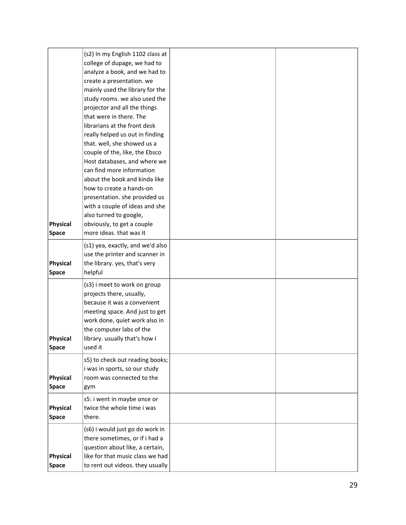|                   | (s2) In my English 1102 class at                                     |  |
|-------------------|----------------------------------------------------------------------|--|
|                   | college of dupage, we had to                                         |  |
|                   | analyze a book, and we had to                                        |  |
|                   | create a presentation. we                                            |  |
|                   | mainly used the library for the                                      |  |
|                   | study rooms. we also used the                                        |  |
|                   | projector and all the things                                         |  |
|                   | that were in there. The                                              |  |
|                   | librarians at the front desk                                         |  |
|                   | really helped us out in finding                                      |  |
|                   | that. well, she showed us a                                          |  |
|                   | couple of the, like, the Ebsco                                       |  |
|                   | Host databases, and where we                                         |  |
|                   | can find more information                                            |  |
|                   | about the book and kinda like                                        |  |
|                   | how to create a hands-on                                             |  |
|                   | presentation. she provided us                                        |  |
|                   | with a couple of ideas and she                                       |  |
|                   | also turned to google,                                               |  |
| Physical          | obviously, to get a couple                                           |  |
| <b>Space</b>      | more ideas. that was it                                              |  |
|                   | (s1) yea, exactly, and we'd also                                     |  |
|                   | use the printer and scanner in                                       |  |
| Physical          | the library. yes, that's very                                        |  |
| <b>Space</b>      | helpful                                                              |  |
|                   | (s3) i meet to work on group                                         |  |
|                   | projects there, usually,                                             |  |
|                   | because it was a convenient                                          |  |
|                   | meeting space. And just to get                                       |  |
|                   | work done, quiet work also in                                        |  |
|                   | the computer labs of the                                             |  |
| Physical          | library. usually that's how I                                        |  |
| <b>Space</b>      | used it                                                              |  |
|                   | s5) to check out reading books;                                      |  |
|                   | i was in sports, so our study                                        |  |
| Physical          | room was connected to the                                            |  |
| <b>Space</b>      | gym                                                                  |  |
|                   | s5: i went in maybe once or                                          |  |
| Physical          | twice the whole time i was                                           |  |
| <b>Space</b>      |                                                                      |  |
|                   |                                                                      |  |
|                   | there.                                                               |  |
|                   | (s6) i would just go do work in                                      |  |
|                   | there sometimes, or if i had a                                       |  |
|                   | question about like, a certain,                                      |  |
| Physical<br>Space | like for that music class we had<br>to rent out videos. they usually |  |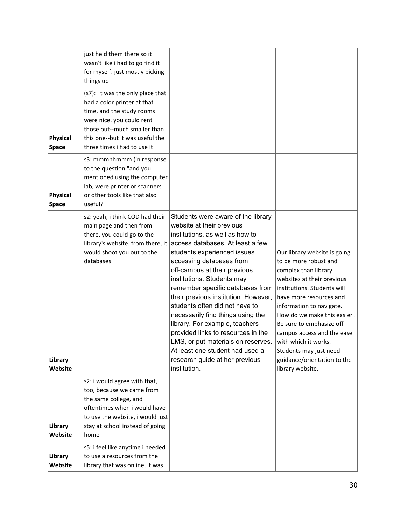|                          | just held them there so it<br>wasn't like i had to go find it<br>for myself. just mostly picking<br>things up                                                                                                                |                                                                                                                                                                                                                                                                                                                                                                                                                                                                                                                                                                                                                       |                                                                                                                                                                                                                                                                                                                                                                                                 |
|--------------------------|------------------------------------------------------------------------------------------------------------------------------------------------------------------------------------------------------------------------------|-----------------------------------------------------------------------------------------------------------------------------------------------------------------------------------------------------------------------------------------------------------------------------------------------------------------------------------------------------------------------------------------------------------------------------------------------------------------------------------------------------------------------------------------------------------------------------------------------------------------------|-------------------------------------------------------------------------------------------------------------------------------------------------------------------------------------------------------------------------------------------------------------------------------------------------------------------------------------------------------------------------------------------------|
| Physical<br>Space        | (s7): i t was the only place that<br>had a color printer at that<br>time, and the study rooms<br>were nice. you could rent<br>those out--much smaller than<br>this one--but it was useful the<br>three times i had to use it |                                                                                                                                                                                                                                                                                                                                                                                                                                                                                                                                                                                                                       |                                                                                                                                                                                                                                                                                                                                                                                                 |
| Physical<br><b>Space</b> | s3: mmmhhmmm (in response<br>to the question "and you<br>mentioned using the computer<br>lab, were printer or scanners<br>or other tools like that also<br>useful?                                                           |                                                                                                                                                                                                                                                                                                                                                                                                                                                                                                                                                                                                                       |                                                                                                                                                                                                                                                                                                                                                                                                 |
| Library<br>Website       | s2: yeah, i think COD had their<br>main page and then from<br>there, you could go to the<br>library's website. from there, it<br>would shoot you out to the<br>databases                                                     | Students were aware of the library<br>website at their previous<br>institutions, as well as how to<br>access databases. At least a few<br>students experienced issues<br>accessing databases from<br>off-campus at their previous<br>institutions. Students may<br>remember specific databases from<br>their previous institution. However,<br>students often did not have to<br>necessarily find things using the<br>library. For example, teachers<br>provided links to resources in the<br>LMS, or put materials on reserves.<br>At least one student had used a<br>research guide at her previous<br>institution. | Our library website is going<br>to be more robust and<br>complex than library<br>websites at their previous<br>institutions. Students will<br>have more resources and<br>information to navigate.<br>How do we make this easier.<br>Be sure to emphasize off<br>campus access and the ease<br>with which it works.<br>Students may just need<br>guidance/orientation to the<br>library website. |
| Library<br>Website       | s2: i would agree with that,<br>too, because we came from<br>the same college, and<br>oftentimes when i would have<br>to use the website, i would just<br>stay at school instead of going<br>home                            |                                                                                                                                                                                                                                                                                                                                                                                                                                                                                                                                                                                                                       |                                                                                                                                                                                                                                                                                                                                                                                                 |
| Library<br>Website       | s5: i feel like anytime i needed<br>to use a resources from the<br>library that was online, it was                                                                                                                           |                                                                                                                                                                                                                                                                                                                                                                                                                                                                                                                                                                                                                       |                                                                                                                                                                                                                                                                                                                                                                                                 |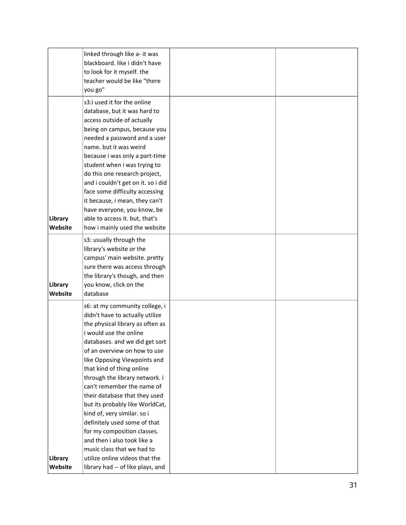|                    | linked through like a- it was<br>blackboard. like i didn't have<br>to look for it myself. the<br>teacher would be like "there<br>you go"                                                                                                                                                                                                                                                                                                                                                                                                                                                                                             |  |
|--------------------|--------------------------------------------------------------------------------------------------------------------------------------------------------------------------------------------------------------------------------------------------------------------------------------------------------------------------------------------------------------------------------------------------------------------------------------------------------------------------------------------------------------------------------------------------------------------------------------------------------------------------------------|--|
| Library<br>Website | s3:i used it for the online<br>database, but it was hard to<br>access outside of actually<br>being on campus, because you<br>needed a password and a user<br>name. but it was weird<br>because i was only a part-time<br>student when i was trying to<br>do this one research project,<br>and i couldn't get on it. so i did<br>face some difficulty accessing<br>it because, i mean, they can't<br>have everyone, you know, be<br>able to access it. but, that's<br>how i mainly used the website                                                                                                                                   |  |
| Library<br>Website | s3: usually through the<br>library's website or the<br>campus' main website. pretty<br>sure there was access through<br>the library's though, and then<br>you know, click on the<br>database                                                                                                                                                                                                                                                                                                                                                                                                                                         |  |
| Library<br>Website | s6: at my community college, i<br>didn't have to actually utilize<br>the physical library as often as<br>i would use the online<br>databases. and we did get sort<br>of an overview on how to use<br>like Opposing Viewpoints and<br>that kind of thing online<br>through the library network. i<br>can't remember the name of<br>their database that they used<br>but its probably like WorldCat,<br>kind of, very similar. so i<br>definitely used some of that<br>for my composition classes.<br>and then i also took like a<br>music class that we had to<br>utilize online videos that the<br>library had -- of like plays, and |  |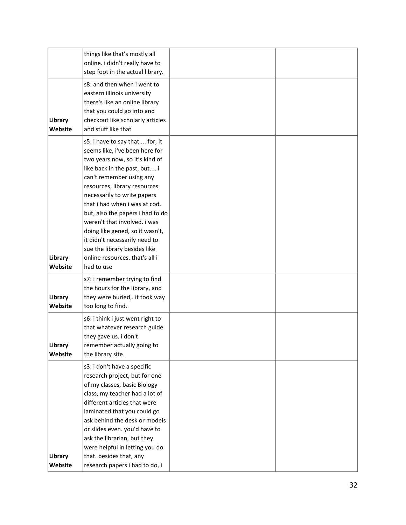|                    | things like that's mostly all<br>online. i didn't really have to                                                                                                                                                                                                                                                                                                                                                                                                                       |  |
|--------------------|----------------------------------------------------------------------------------------------------------------------------------------------------------------------------------------------------------------------------------------------------------------------------------------------------------------------------------------------------------------------------------------------------------------------------------------------------------------------------------------|--|
|                    | step foot in the actual library.                                                                                                                                                                                                                                                                                                                                                                                                                                                       |  |
| Library<br>Website | s8: and then when i went to<br>eastern illinois university<br>there's like an online library<br>that you could go into and<br>checkout like scholarly articles<br>and stuff like that                                                                                                                                                                                                                                                                                                  |  |
| Library<br>Website | s5: i have to say that for, it<br>seems like, i've been here for<br>two years now, so it's kind of<br>like back in the past, but i<br>can't remember using any<br>resources, library resources<br>necessarily to write papers<br>that i had when i was at cod.<br>but, also the papers i had to do<br>weren't that involved. i was<br>doing like gened, so it wasn't,<br>it didn't necessarily need to<br>sue the library besides like<br>online resources. that's all i<br>had to use |  |
|                    |                                                                                                                                                                                                                                                                                                                                                                                                                                                                                        |  |
| Library<br>Website | s7: i remember trying to find<br>the hours for the library, and<br>they were buried,. it took way<br>too long to find.                                                                                                                                                                                                                                                                                                                                                                 |  |
| Library<br>Website | s6: i think i just went right to<br>that whatever research guide<br>they gave us. i don't<br>remember actually going to<br>the library site.                                                                                                                                                                                                                                                                                                                                           |  |
| Library<br>Website | s3: i don't have a specific<br>research project, but for one<br>of my classes, basic Biology<br>class, my teacher had a lot of<br>different articles that were<br>laminated that you could go<br>ask behind the desk or models<br>or slides even. you'd have to<br>ask the librarian, but they<br>were helpful in letting you do<br>that. besides that, any<br>research papers i had to do, i                                                                                          |  |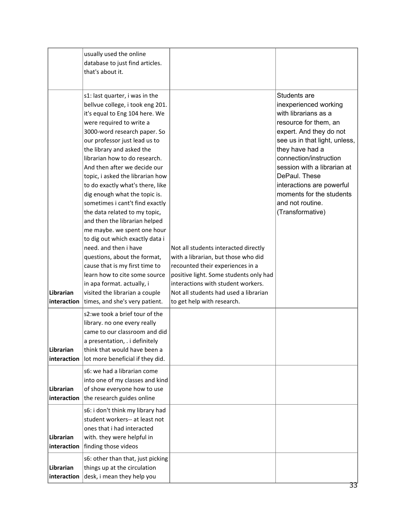|                          | usually used the online<br>database to just find articles.<br>that's about it.                                                                                                                                                                                                                                                                                                                                                                                                                                                                                                                                                                                                                                                                                                                                |                                                                                                                                                                                                                                                                        |                                                                                                                                                                                                                                                                                                                                                  |
|--------------------------|---------------------------------------------------------------------------------------------------------------------------------------------------------------------------------------------------------------------------------------------------------------------------------------------------------------------------------------------------------------------------------------------------------------------------------------------------------------------------------------------------------------------------------------------------------------------------------------------------------------------------------------------------------------------------------------------------------------------------------------------------------------------------------------------------------------|------------------------------------------------------------------------------------------------------------------------------------------------------------------------------------------------------------------------------------------------------------------------|--------------------------------------------------------------------------------------------------------------------------------------------------------------------------------------------------------------------------------------------------------------------------------------------------------------------------------------------------|
| Librarian<br>interaction | s1: last quarter, i was in the<br>bellvue college, i took eng 201.<br>it's equal to Eng 104 here. We<br>were required to write a<br>3000-word research paper. So<br>our professor just lead us to<br>the library and asked the<br>librarian how to do research.<br>And then after we decide our<br>topic, i asked the librarian how<br>to do exactly what's there, like<br>dig enough what the topic is.<br>sometimes i cant't find exactly<br>the data related to my topic,<br>and then the librarian helped<br>me maybe. we spent one hour<br>to dig out which exactly data i<br>need. and then i have<br>questions, about the format,<br>cause that is my first time to<br>learn how to cite some source<br>in apa format. actually, i<br>visited the librarian a couple<br>times, and she's very patient. | Not all students interacted directly<br>with a librarian, but those who did<br>recounted their experiences in a<br>positive light. Some students only had<br>interactions with student workers.<br>Not all students had used a librarian<br>to get help with research. | Students are<br>inexperienced working<br>with librarians as a<br>resource for them, an<br>expert. And they do not<br>see us in that light, unless,<br>they have had a<br>connection/instruction<br>session with a librarian at<br>DePaul. These<br>interactions are powerful<br>moments for the students<br>and not routine.<br>(Transformative) |
| Librarian<br>interaction | s2:we took a brief tour of the<br>library. no one every really<br>came to our classroom and did<br>a presentation, . i definitely<br>think that would have been a<br>lot more beneficial if they did.                                                                                                                                                                                                                                                                                                                                                                                                                                                                                                                                                                                                         |                                                                                                                                                                                                                                                                        |                                                                                                                                                                                                                                                                                                                                                  |
| Librarian<br>interaction | s6: we had a librarian come<br>into one of my classes and kind<br>of show everyone how to use<br>the research guides online                                                                                                                                                                                                                                                                                                                                                                                                                                                                                                                                                                                                                                                                                   |                                                                                                                                                                                                                                                                        |                                                                                                                                                                                                                                                                                                                                                  |
| Librarian<br>interaction | s6: i don't think my library had<br>student workers-- at least not<br>ones that i had interacted<br>with. they were helpful in<br>finding those videos                                                                                                                                                                                                                                                                                                                                                                                                                                                                                                                                                                                                                                                        |                                                                                                                                                                                                                                                                        |                                                                                                                                                                                                                                                                                                                                                  |
| Librarian<br>interaction | s6: other than that, just picking<br>things up at the circulation<br>desk, i mean they help you                                                                                                                                                                                                                                                                                                                                                                                                                                                                                                                                                                                                                                                                                                               |                                                                                                                                                                                                                                                                        |                                                                                                                                                                                                                                                                                                                                                  |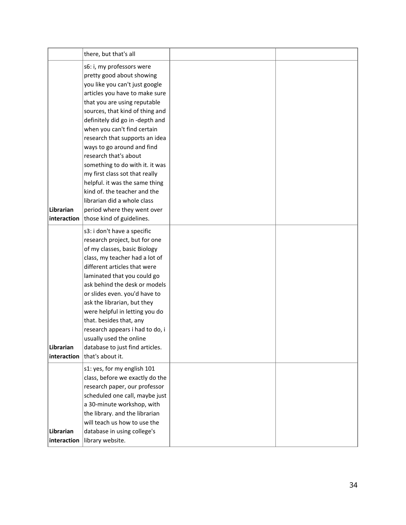|                          | there, but that's all                                                                                                                                                                                                                                                                                                                                                                                                                                                                                                                                                                      |  |
|--------------------------|--------------------------------------------------------------------------------------------------------------------------------------------------------------------------------------------------------------------------------------------------------------------------------------------------------------------------------------------------------------------------------------------------------------------------------------------------------------------------------------------------------------------------------------------------------------------------------------------|--|
| Librarian<br>interaction | s6: i, my professors were<br>pretty good about showing<br>you like you can't just google<br>articles you have to make sure<br>that you are using reputable<br>sources, that kind of thing and<br>definitely did go in -depth and<br>when you can't find certain<br>research that supports an idea<br>ways to go around and find<br>research that's about<br>something to do with it. it was<br>my first class sot that really<br>helpful. it was the same thing<br>kind of, the teacher and the<br>librarian did a whole class<br>period where they went over<br>those kind of guidelines. |  |
| Librarian<br>interaction | s3: i don't have a specific<br>research project, but for one<br>of my classes, basic Biology<br>class, my teacher had a lot of<br>different articles that were<br>laminated that you could go<br>ask behind the desk or models<br>or slides even. you'd have to<br>ask the librarian, but they<br>were helpful in letting you do<br>that. besides that, any<br>research appears i had to do, i<br>usually used the online<br>database to just find articles.<br>that's about it.                                                                                                           |  |
| Librarian<br>interaction | s1: yes, for my english 101<br>class, before we exactly do the<br>research paper, our professor<br>scheduled one call, maybe just<br>a 30-minute workshop, with<br>the library. and the librarian<br>will teach us how to use the<br>database in using college's<br>library website.                                                                                                                                                                                                                                                                                                       |  |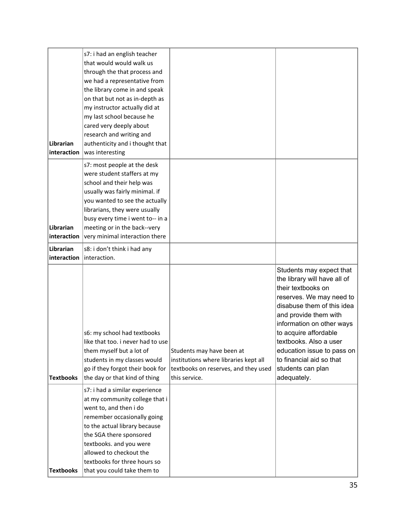|                  | s7: i had an english teacher                                |                                       |                              |
|------------------|-------------------------------------------------------------|---------------------------------------|------------------------------|
|                  | that would would walk us                                    |                                       |                              |
|                  | through the that process and                                |                                       |                              |
|                  | we had a representative from                                |                                       |                              |
|                  | the library come in and speak                               |                                       |                              |
|                  | on that but not as in-depth as                              |                                       |                              |
|                  | my instructor actually did at                               |                                       |                              |
|                  | my last school because he                                   |                                       |                              |
|                  | cared very deeply about                                     |                                       |                              |
|                  | research and writing and                                    |                                       |                              |
| Librarian        | authenticity and i thought that                             |                                       |                              |
| interaction      | was interesting                                             |                                       |                              |
|                  |                                                             |                                       |                              |
|                  | s7: most people at the desk                                 |                                       |                              |
|                  | were student staffers at my                                 |                                       |                              |
|                  | school and their help was                                   |                                       |                              |
|                  | usually was fairly minimal. if                              |                                       |                              |
|                  | you wanted to see the actually                              |                                       |                              |
|                  | librarians, they were usually                               |                                       |                              |
|                  | busy every time i went to-- in a                            |                                       |                              |
| Librarian        | meeting or in the back--very                                |                                       |                              |
| interaction      | very minimal interaction there                              |                                       |                              |
| Librarian        | s8: i don't think i had any                                 |                                       |                              |
| interaction      | interaction.                                                |                                       |                              |
|                  |                                                             |                                       |                              |
|                  |                                                             |                                       | Students may expect that     |
|                  |                                                             |                                       | the library will have all of |
|                  |                                                             |                                       | their textbooks on           |
|                  |                                                             |                                       | reserves. We may need to     |
|                  |                                                             |                                       | disabuse them of this idea   |
|                  |                                                             |                                       | and provide them with        |
|                  |                                                             |                                       | information on other ways    |
|                  | s6: my school had textbooks                                 |                                       | to acquire affordable        |
|                  | like that too. i never had to use                           |                                       | textbooks. Also a user       |
|                  | them myself but a lot of                                    | Students may have been at             | education issue to pass on   |
|                  | students in my classes would                                | institutions where libraries kept all | to financial aid so that     |
|                  | go if they forgot their book for                            | textbooks on reserves, and they used  | students can plan            |
| <b>Textbooks</b> | the day or that kind of thing                               | this service.                         | adequately.                  |
|                  | s7: i had a similar experience                              |                                       |                              |
|                  | at my community college that i                              |                                       |                              |
|                  | went to, and then i do                                      |                                       |                              |
|                  | remember occasionally going                                 |                                       |                              |
|                  | to the actual library because                               |                                       |                              |
|                  | the SGA there sponsored                                     |                                       |                              |
|                  |                                                             |                                       |                              |
|                  |                                                             |                                       |                              |
|                  | textbooks. and you were                                     |                                       |                              |
|                  | allowed to checkout the                                     |                                       |                              |
| <b>Textbooks</b> | textbooks for three hours so<br>that you could take them to |                                       |                              |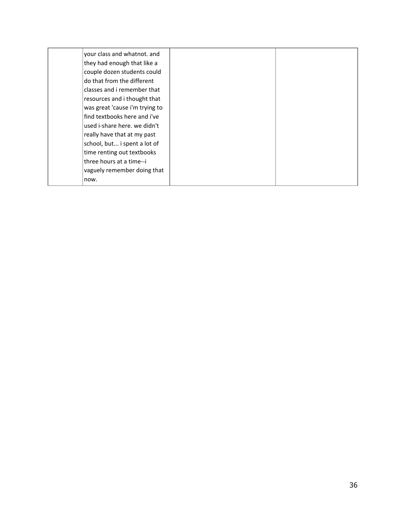| your class and whatnot. and    |  |
|--------------------------------|--|
| they had enough that like a    |  |
| couple dozen students could    |  |
| do that from the different     |  |
| classes and i remember that    |  |
| resources and i thought that   |  |
| was great 'cause i'm trying to |  |
| find textbooks here and i've   |  |
| used i-share here, we didn't   |  |
| really have that at my past    |  |
| school, but i spent a lot of   |  |
| time renting out textbooks     |  |
| three hours at a time--i       |  |
| vaguely remember doing that    |  |
| now.                           |  |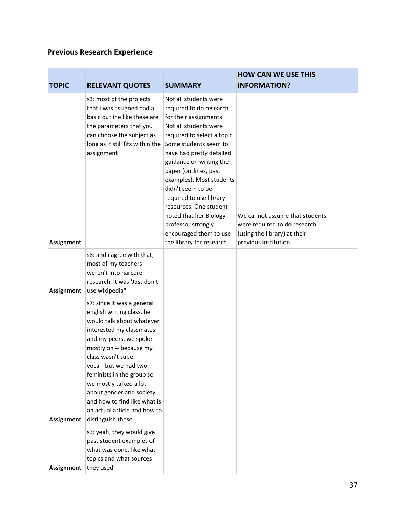### **Previous Research Experience**

| <b>TOPIC</b>      | <b>RELEVANT QUOTES</b>                                                                                                                                                                                                                                                                                                                                                                       | <b>SUMMARY</b>                                                                                                                                                                                                                                                                                                                                                                                                                                           | <b>HOW CAN WE USE THIS</b><br><b>INFORMATION?</b>                                                                       |  |
|-------------------|----------------------------------------------------------------------------------------------------------------------------------------------------------------------------------------------------------------------------------------------------------------------------------------------------------------------------------------------------------------------------------------------|----------------------------------------------------------------------------------------------------------------------------------------------------------------------------------------------------------------------------------------------------------------------------------------------------------------------------------------------------------------------------------------------------------------------------------------------------------|-------------------------------------------------------------------------------------------------------------------------|--|
| <b>Assignment</b> | s3: most of the projects<br>that i was assigned had a<br>basic outline like these are<br>the parameters that you<br>can choose the subject as<br>long as it still fits within the<br>assignment                                                                                                                                                                                              | Not all students were<br>required to do research<br>for their assignments.<br>Not all students were<br>required to select a topic.<br>Some students seem to<br>have had pretty detailed<br>guidance on writing the<br>paper (outlines, past<br>examples). Most students<br>didn't seem to be<br>required to use library<br>resources. One student<br>noted that her Biology<br>professor strongly<br>encouraged them to use<br>the library for research. | We cannot assume that students<br>were required to do research<br>(using the library) at their<br>previous institution. |  |
| <b>Assignment</b> | s8: and i agree with that,<br>most of my teachers<br>weren't into harcore<br>research. it was 'Just don't<br>use wikipedia"                                                                                                                                                                                                                                                                  |                                                                                                                                                                                                                                                                                                                                                                                                                                                          |                                                                                                                         |  |
| <b>Assignment</b> | s7: since it was a general<br>english writing class, he<br>would talk about whatever<br>interested my classmates<br>and my peers. we spoke<br>mostly on -- because my<br>class wasn't super<br>vocal--but we had two<br>feminists in the group so<br>we mostly talked a lot<br>about gender and society<br>and how to find like what is<br>an actual article and how to<br>distinguish those |                                                                                                                                                                                                                                                                                                                                                                                                                                                          |                                                                                                                         |  |
| <b>Assignment</b> | s3: yeah, they would give<br>past student examples of<br>what was done. like what<br>topics and what sources<br>they used.                                                                                                                                                                                                                                                                   |                                                                                                                                                                                                                                                                                                                                                                                                                                                          |                                                                                                                         |  |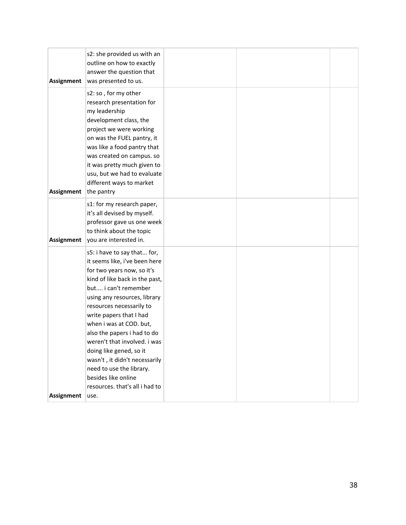| Assignment        | s2: she provided us with an<br>outline on how to exactly<br>answer the question that<br>was presented to us.                                                                                                                                                                                                                                                                                                                                                                           |  |  |
|-------------------|----------------------------------------------------------------------------------------------------------------------------------------------------------------------------------------------------------------------------------------------------------------------------------------------------------------------------------------------------------------------------------------------------------------------------------------------------------------------------------------|--|--|
| Assignment        | s2: so, for my other<br>research presentation for<br>my leadership<br>development class, the<br>project we were working<br>on was the FUEL pantry, it<br>was like a food pantry that<br>was created on campus. so<br>it was pretty much given to<br>usu, but we had to evaluate<br>different ways to market<br>the pantry                                                                                                                                                              |  |  |
| Assignment        | s1: for my research paper,<br>it's all devised by myself.<br>professor gave us one week<br>to think about the topic<br>you are interested in.                                                                                                                                                                                                                                                                                                                                          |  |  |
|                   | s5: i have to say that for,<br>it seems like, i've been here<br>for two years now, so it's<br>kind of like back in the past,<br>but i can't remember<br>using any resources, library<br>resources necessarily to<br>write papers that I had<br>when i was at COD. but,<br>also the papers i had to do<br>weren't that involved. i was<br>doing like gened, so it<br>wasn't, it didn't necessarily<br>need to use the library.<br>besides like online<br>resources. that's all i had to |  |  |
| <b>Assignment</b> | use.                                                                                                                                                                                                                                                                                                                                                                                                                                                                                   |  |  |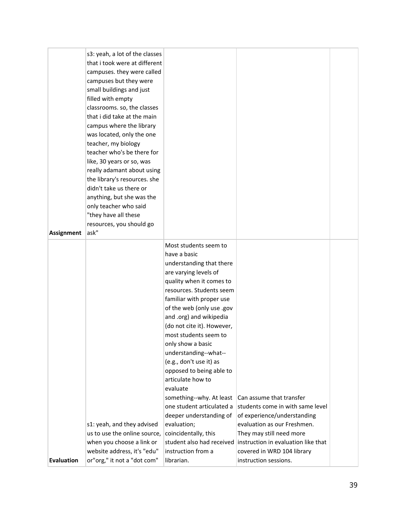|                   | s3: yeah, a lot of the classes<br>that i took were at different<br>campuses. they were called<br>campuses but they were<br>small buildings and just<br>filled with empty<br>classrooms. so, the classes<br>that i did take at the main<br>campus where the library<br>was located, only the one<br>teacher, my biology<br>teacher who's be there for<br>like, 30 years or so, was<br>really adamant about using<br>the library's resources. she<br>didn't take us there or<br>anything, but she was the<br>only teacher who said<br>"they have all these |                                                                                                                                                                                                                                                                                                                                                                                                                                                                                                                                                                                             |                                                                                                                                                                                               |  |
|-------------------|----------------------------------------------------------------------------------------------------------------------------------------------------------------------------------------------------------------------------------------------------------------------------------------------------------------------------------------------------------------------------------------------------------------------------------------------------------------------------------------------------------------------------------------------------------|---------------------------------------------------------------------------------------------------------------------------------------------------------------------------------------------------------------------------------------------------------------------------------------------------------------------------------------------------------------------------------------------------------------------------------------------------------------------------------------------------------------------------------------------------------------------------------------------|-----------------------------------------------------------------------------------------------------------------------------------------------------------------------------------------------|--|
| <b>Assignment</b> | resources, you should go<br>ask"                                                                                                                                                                                                                                                                                                                                                                                                                                                                                                                         |                                                                                                                                                                                                                                                                                                                                                                                                                                                                                                                                                                                             |                                                                                                                                                                                               |  |
|                   | s1: yeah, and they advised<br>us to use the online source,<br>when you choose a link or                                                                                                                                                                                                                                                                                                                                                                                                                                                                  | Most students seem to<br>have a basic<br>understanding that there<br>are varying levels of<br>quality when it comes to<br>resources. Students seem<br>familiar with proper use<br>of the web (only use .gov<br>and .org) and wikipedia<br>(do not cite it). However,<br>most students seem to<br>only show a basic<br>understanding--what--<br>(e.g., don't use it) as<br>opposed to being able to<br>articulate how to<br>evaluate<br>something--why. At least<br>one student articulated a<br>deeper understanding of<br>evaluation;<br>coincidentally, this<br>student also had received | Can assume that transfer<br>students come in with same level<br>of experience/understanding<br>evaluation as our Freshmen.<br>They may still need more<br>instruction in evaluation like that |  |
| <b>Evaluation</b> | website address, it's "edu"<br>or"org," it not a "dot com"                                                                                                                                                                                                                                                                                                                                                                                                                                                                                               | instruction from a<br>librarian.                                                                                                                                                                                                                                                                                                                                                                                                                                                                                                                                                            | covered in WRD 104 library<br>instruction sessions.                                                                                                                                           |  |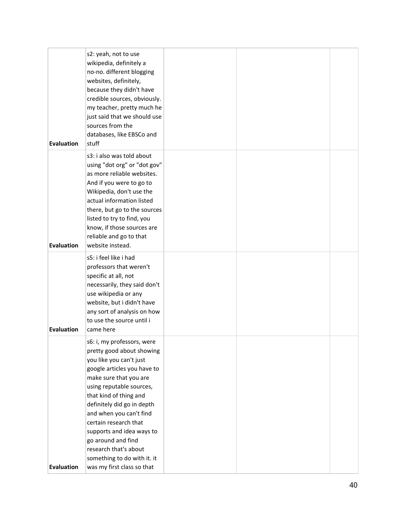| <b>Evaluation</b> | s2: yeah, not to use<br>wikipedia, definitely a<br>no-no. different blogging<br>websites, definitely,<br>because they didn't have<br>credible sources, obviously.<br>my teacher, pretty much he<br>just said that we should use<br>sources from the<br>databases, like EBSCo and<br>stuff                                                                                                                                    |  |  |
|-------------------|------------------------------------------------------------------------------------------------------------------------------------------------------------------------------------------------------------------------------------------------------------------------------------------------------------------------------------------------------------------------------------------------------------------------------|--|--|
| <b>Evaluation</b> | s3: i also was told about<br>using "dot org" or "dot gov"<br>as more reliable websites.<br>And if you were to go to<br>Wikipedia, don't use the<br>actual information listed<br>there, but go to the sources<br>listed to try to find, you<br>know, if those sources are<br>reliable and go to that<br>website instead.                                                                                                      |  |  |
| <b>Evaluation</b> | s5: i feel like i had<br>professors that weren't<br>specific at all, not<br>necessarily, they said don't<br>use wikipedia or any<br>website, but i didn't have<br>any sort of analysis on how<br>to use the source until i<br>came here                                                                                                                                                                                      |  |  |
| <b>Evaluation</b> | s6: i, my professors, were<br>pretty good about showing<br>you like you can't just<br>google articles you have to<br>make sure that you are<br>using reputable sources,<br>that kind of thing and<br>definitely did go in depth<br>and when you can't find<br>certain research that<br>supports and idea ways to<br>go around and find<br>research that's about<br>something to do with it. it<br>was my first class so that |  |  |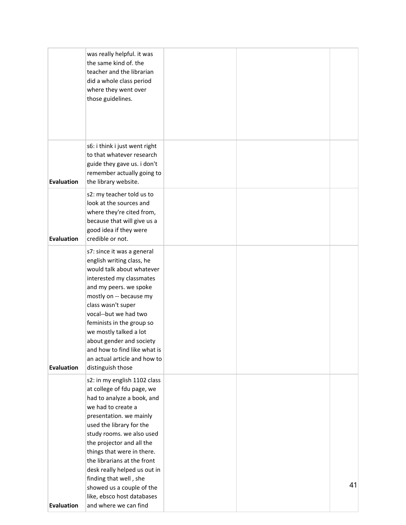|                   | was really helpful. it was<br>the same kind of. the<br>teacher and the librarian<br>did a whole class period<br>where they went over<br>those guidelines.                                                                                                                                                                                                                                    |  |    |
|-------------------|----------------------------------------------------------------------------------------------------------------------------------------------------------------------------------------------------------------------------------------------------------------------------------------------------------------------------------------------------------------------------------------------|--|----|
| <b>Evaluation</b> | s6: i think i just went right<br>to that whatever research<br>guide they gave us. i don't<br>remember actually going to<br>the library website.                                                                                                                                                                                                                                              |  |    |
| <b>Evaluation</b> | s2: my teacher told us to<br>look at the sources and<br>where they're cited from,<br>because that will give us a<br>good idea if they were<br>credible or not.                                                                                                                                                                                                                               |  |    |
| <b>Evaluation</b> | s7: since it was a general<br>english writing class, he<br>would talk about whatever<br>interested my classmates<br>and my peers. we spoke<br>mostly on -- because my<br>class wasn't super<br>vocal--but we had two<br>feminists in the group so<br>we mostly talked a lot<br>about gender and society<br>and how to find like what is<br>an actual article and how to<br>distinguish those |  |    |
|                   | s2: in my english 1102 class<br>at college of fdu page, we<br>had to analyze a book, and<br>we had to create a<br>presentation. we mainly<br>used the library for the<br>study rooms. we also used<br>the projector and all the<br>things that were in there.<br>the librarians at the front<br>desk really helped us out in<br>finding that well, she<br>showed us a couple of the          |  | 41 |
| <b>Evaluation</b> | like, ebsco host databases<br>and where we can find                                                                                                                                                                                                                                                                                                                                          |  |    |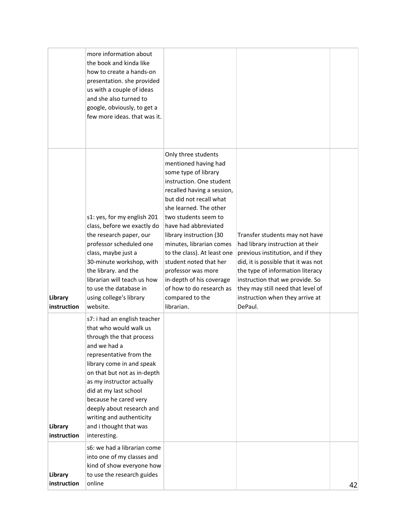|                        | more information about<br>the book and kinda like<br>how to create a hands-on<br>presentation. she provided<br>us with a couple of ideas<br>and she also turned to<br>google, obviously, to get a<br>few more ideas. that was it.                                                                                                                                           |                                                                                                                                                                                                                                                                                                                                                                                                                                                                   |                                                                                                                                                                                                                                                                                                          |    |
|------------------------|-----------------------------------------------------------------------------------------------------------------------------------------------------------------------------------------------------------------------------------------------------------------------------------------------------------------------------------------------------------------------------|-------------------------------------------------------------------------------------------------------------------------------------------------------------------------------------------------------------------------------------------------------------------------------------------------------------------------------------------------------------------------------------------------------------------------------------------------------------------|----------------------------------------------------------------------------------------------------------------------------------------------------------------------------------------------------------------------------------------------------------------------------------------------------------|----|
| Library<br>instruction | s1: yes, for my english 201<br>class, before we exactly do<br>the research paper, our<br>professor scheduled one<br>class, maybe just a<br>30-minute workshop, with<br>the library. and the<br>librarian will teach us how<br>to use the database in<br>using college's library<br>website.                                                                                 | Only three students<br>mentioned having had<br>some type of library<br>instruction. One student<br>recalled having a session,<br>but did not recall what<br>she learned. The other<br>two students seem to<br>have had abbreviated<br>library instruction (30<br>minutes, librarian comes<br>to the class). At least one<br>student noted that her<br>professor was more<br>in-depth of his coverage<br>of how to do research as<br>compared to the<br>librarian. | Transfer students may not have<br>had library instruction at their<br>previous institution, and if they<br>did, it is possible that it was not<br>the type of information literacy<br>instruction that we provide. So<br>they may still need that level of<br>instruction when they arrive at<br>DePaul. |    |
| Library<br>instruction | s7: i had an english teacher<br>that who would walk us<br>through the that process<br>and we had a<br>representative from the<br>library come in and speak<br>on that but not as in-depth<br>as my instructor actually<br>did at my last school<br>because he cared very<br>deeply about research and<br>writing and authenticity<br>and i thought that was<br>interesting. |                                                                                                                                                                                                                                                                                                                                                                                                                                                                   |                                                                                                                                                                                                                                                                                                          |    |
| Library<br>instruction | s6: we had a librarian come<br>into one of my classes and<br>kind of show everyone how<br>to use the research guides<br>online                                                                                                                                                                                                                                              |                                                                                                                                                                                                                                                                                                                                                                                                                                                                   |                                                                                                                                                                                                                                                                                                          | 42 |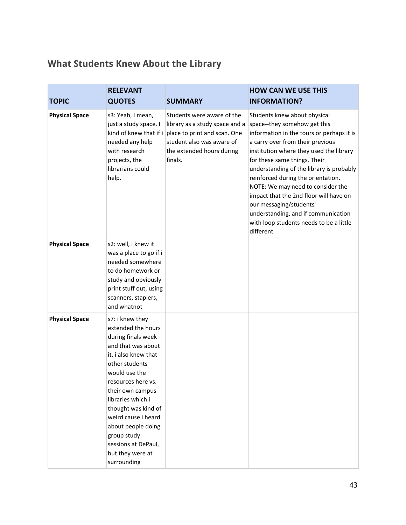# **What Students Knew About the Library**

| <b>TOPIC</b>          | <b>RELEVANT</b><br><b>QUOTES</b>                                                                                                                                                                                                                                                                                                                         | <b>SUMMARY</b>                                                                                                                                                    | <b>HOW CAN WE USE THIS</b><br><b>INFORMATION?</b>                                                                                                                                                                                                                                                                                                                                                                                                                                                                    |
|-----------------------|----------------------------------------------------------------------------------------------------------------------------------------------------------------------------------------------------------------------------------------------------------------------------------------------------------------------------------------------------------|-------------------------------------------------------------------------------------------------------------------------------------------------------------------|----------------------------------------------------------------------------------------------------------------------------------------------------------------------------------------------------------------------------------------------------------------------------------------------------------------------------------------------------------------------------------------------------------------------------------------------------------------------------------------------------------------------|
| <b>Physical Space</b> | s3: Yeah, I mean,<br>just a study space. I<br>kind of knew that if i<br>needed any help<br>with research<br>projects, the<br>librarians could<br>help.                                                                                                                                                                                                   | Students were aware of the<br>library as a study space and a<br>place to print and scan. One<br>student also was aware of<br>the extended hours during<br>finals. | Students knew about physical<br>space--they somehow get this<br>information in the tours or perhaps it is<br>a carry over from their previous<br>institution where they used the library<br>for these same things. Their<br>understanding of the library is probably<br>reinforced during the orientation.<br>NOTE: We may need to consider the<br>impact that the 2nd floor will have on<br>our messaging/students'<br>understanding, and if communication<br>with loop students needs to be a little<br>different. |
| <b>Physical Space</b> | s2: well, i knew it<br>was a place to go if i<br>needed somewhere<br>to do homework or<br>study and obviously<br>print stuff out, using<br>scanners, staplers,<br>and whatnot                                                                                                                                                                            |                                                                                                                                                                   |                                                                                                                                                                                                                                                                                                                                                                                                                                                                                                                      |
| <b>Physical Space</b> | s7: i knew they<br>extended the hours<br>during finals week<br>and that was about<br>it. i also knew that<br>other students<br>would use the<br>resources here vs.<br>their own campus<br>libraries which i<br>thought was kind of<br>weird cause i heard<br>about people doing<br>group study<br>sessions at DePaul,<br>but they were at<br>surrounding |                                                                                                                                                                   |                                                                                                                                                                                                                                                                                                                                                                                                                                                                                                                      |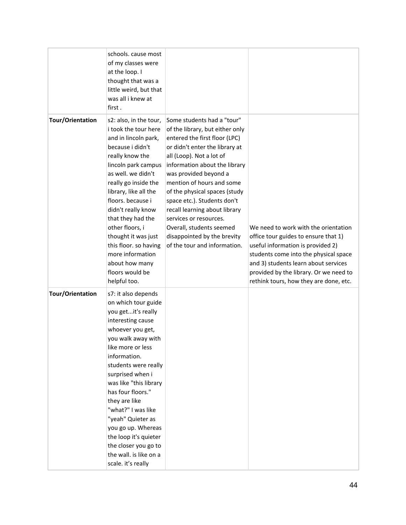|                         | schools. cause most<br>of my classes were<br>at the loop. I<br>thought that was a<br>little weird, but that<br>was all i knew at<br>first.                                                                                                                                                                                                                                                                                                         |                                                                                                                                                                                                                                                                                                                                                                                                                                                                           |                                                                                                                                                                                                                                                                                        |
|-------------------------|----------------------------------------------------------------------------------------------------------------------------------------------------------------------------------------------------------------------------------------------------------------------------------------------------------------------------------------------------------------------------------------------------------------------------------------------------|---------------------------------------------------------------------------------------------------------------------------------------------------------------------------------------------------------------------------------------------------------------------------------------------------------------------------------------------------------------------------------------------------------------------------------------------------------------------------|----------------------------------------------------------------------------------------------------------------------------------------------------------------------------------------------------------------------------------------------------------------------------------------|
| <b>Tour/Orientation</b> | s2: also, in the tour,<br>i took the tour here<br>and in lincoln park,<br>because i didn't<br>really know the<br>lincoln park campus<br>as well, we didn't<br>really go inside the<br>library, like all the<br>floors. because i<br>didn't really know<br>that they had the<br>other floors, i<br>thought it was just<br>this floor. so having<br>more information<br>about how many<br>floors would be<br>helpful too.                            | Some students had a "tour"<br>of the library, but either only<br>entered the first floor (LPC)<br>or didn't enter the library at<br>all (Loop). Not a lot of<br>information about the library<br>was provided beyond a<br>mention of hours and some<br>of the physical spaces (study<br>space etc.). Students don't<br>recall learning about library<br>services or resources.<br>Overall, students seemed<br>disappointed by the brevity<br>of the tour and information. | We need to work with the orientation<br>office tour guides to ensure that 1)<br>useful information is provided 2)<br>students come into the physical space<br>and 3) students learn about services<br>provided by the library. Or we need to<br>rethink tours, how they are done, etc. |
| <b>Tour/Orientation</b> | s7: it also depends<br>on which tour guide<br>you getit's really<br>interesting cause<br>whoever you get,<br>you walk away with<br>like more or less<br>information.<br>students were really<br>surprised when i<br>was like "this library<br>has four floors."<br>they are like<br>"what?" I was like<br>"yeah" Quieter as<br>you go up. Whereas<br>the loop it's quieter<br>the closer you go to<br>the wall. is like on a<br>scale. it's really |                                                                                                                                                                                                                                                                                                                                                                                                                                                                           |                                                                                                                                                                                                                                                                                        |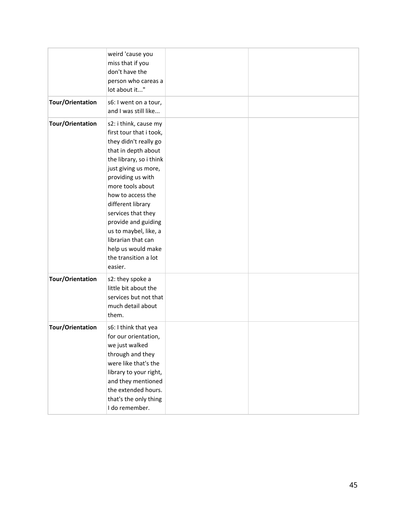|                         | weird 'cause you<br>miss that if you<br>don't have the<br>person who careas a<br>lot about it"                                                                                                                                                                                                                                                                                              |  |
|-------------------------|---------------------------------------------------------------------------------------------------------------------------------------------------------------------------------------------------------------------------------------------------------------------------------------------------------------------------------------------------------------------------------------------|--|
| <b>Tour/Orientation</b> | s6: I went on a tour,<br>and I was still like                                                                                                                                                                                                                                                                                                                                               |  |
| <b>Tour/Orientation</b> | s2: i think, cause my<br>first tour that i took,<br>they didn't really go<br>that in depth about<br>the library, so i think<br>just giving us more,<br>providing us with<br>more tools about<br>how to access the<br>different library<br>services that they<br>provide and guiding<br>us to maybel, like, a<br>librarian that can<br>help us would make<br>the transition a lot<br>easier. |  |
| <b>Tour/Orientation</b> | s2: they spoke a<br>little bit about the<br>services but not that<br>much detail about<br>them.                                                                                                                                                                                                                                                                                             |  |
| Tour/Orientation        | s6: I think that yea<br>for our orientation,<br>we just walked<br>through and they<br>were like that's the<br>library to your right,<br>and they mentioned<br>the extended hours.<br>that's the only thing<br>I do remember.                                                                                                                                                                |  |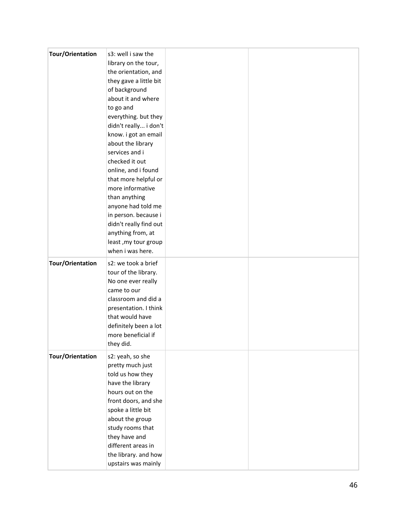| <b>Tour/Orientation</b> | s3: well i saw the<br>library on the tour,<br>the orientation, and<br>they gave a little bit<br>of background<br>about it and where<br>to go and<br>everything. but they<br>didn't really i don't<br>know. i got an email<br>about the library<br>services and i<br>checked it out<br>online, and i found<br>that more helpful or<br>more informative<br>than anything<br>anyone had told me<br>in person. because i<br>didn't really find out<br>anything from, at<br>least, my tour group |  |
|-------------------------|---------------------------------------------------------------------------------------------------------------------------------------------------------------------------------------------------------------------------------------------------------------------------------------------------------------------------------------------------------------------------------------------------------------------------------------------------------------------------------------------|--|
|                         | when i was here.                                                                                                                                                                                                                                                                                                                                                                                                                                                                            |  |
| <b>Tour/Orientation</b> | s2: we took a brief<br>tour of the library.<br>No one ever really<br>came to our<br>classroom and did a<br>presentation. I think<br>that would have<br>definitely been a lot<br>more beneficial if<br>they did.                                                                                                                                                                                                                                                                             |  |
| <b>Tour/Orientation</b> | s2: yeah, so she<br>pretty much just<br>told us how they<br>have the library<br>hours out on the<br>front doors, and she<br>spoke a little bit<br>about the group<br>study rooms that<br>they have and<br>different areas in<br>the library. and how<br>upstairs was mainly                                                                                                                                                                                                                 |  |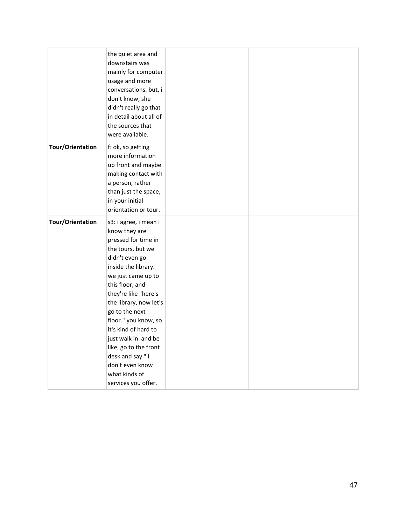|                         | the quiet area and<br>downstairs was<br>mainly for computer<br>usage and more<br>conversations. but, i<br>don't know, she<br>didn't really go that<br>in detail about all of<br>the sources that<br>were available.                                                                                                                                                                                                    |  |
|-------------------------|------------------------------------------------------------------------------------------------------------------------------------------------------------------------------------------------------------------------------------------------------------------------------------------------------------------------------------------------------------------------------------------------------------------------|--|
| <b>Tour/Orientation</b> | f: ok, so getting<br>more information<br>up front and maybe<br>making contact with<br>a person, rather<br>than just the space,<br>in your initial<br>orientation or tour.                                                                                                                                                                                                                                              |  |
| <b>Tour/Orientation</b> | s3: i agree, i mean i<br>know they are<br>pressed for time in<br>the tours, but we<br>didn't even go<br>inside the library.<br>we just came up to<br>this floor, and<br>they're like "here's<br>the library, now let's<br>go to the next<br>floor." you know, so<br>it's kind of hard to<br>just walk in and be<br>like, go to the front<br>desk and say" i<br>don't even know<br>what kinds of<br>services you offer. |  |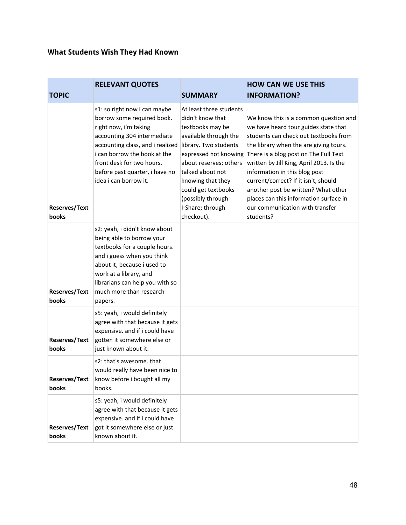### **What Students Wish They Had Known**

|                               | <b>RELEVANT QUOTES</b>                                                                                                                                                                                                                                                         |                                                                                                                                                                                                                                                                                             | <b>HOW CAN WE USE THIS</b>                                                                                                                                                                                                                                                                                                                                                                                                                                      |
|-------------------------------|--------------------------------------------------------------------------------------------------------------------------------------------------------------------------------------------------------------------------------------------------------------------------------|---------------------------------------------------------------------------------------------------------------------------------------------------------------------------------------------------------------------------------------------------------------------------------------------|-----------------------------------------------------------------------------------------------------------------------------------------------------------------------------------------------------------------------------------------------------------------------------------------------------------------------------------------------------------------------------------------------------------------------------------------------------------------|
| <b>TOPIC</b>                  |                                                                                                                                                                                                                                                                                | <b>SUMMARY</b>                                                                                                                                                                                                                                                                              | <b>INFORMATION?</b>                                                                                                                                                                                                                                                                                                                                                                                                                                             |
| <b>Reserves/Text</b><br>books | s1: so right now i can maybe<br>borrow some required book.<br>right now, i'm taking<br>accounting 304 intermediate<br>accounting class, and i realized<br>i can borrow the book at the<br>front desk for two hours.<br>before past quarter, i have no<br>idea i can borrow it. | At least three students<br>didn't know that<br>textbooks may be<br>available through the<br>library. Two students<br>expressed not knowing<br>about reserves; others<br>talked about not<br>knowing that they<br>could get textbooks<br>(possibly through<br>I-Share; through<br>checkout). | We know this is a common question and<br>we have heard tour guides state that<br>students can check out textbooks from<br>the library when the are giving tours.<br>There is a blog post on The Full Text<br>written by Jill King, April 2013. Is the<br>information in this blog post<br>current/correct? If it isn't, should<br>another post be written? What other<br>places can this information surface in<br>our communication with transfer<br>students? |
| <b>Reserves/Text</b><br>books | s2: yeah, i didn't know about<br>being able to borrow your<br>textbooks for a couple hours.<br>and i guess when you think<br>about it, because i used to<br>work at a library, and<br>librarians can help you with so<br>much more than research<br>papers.                    |                                                                                                                                                                                                                                                                                             |                                                                                                                                                                                                                                                                                                                                                                                                                                                                 |
| <b>Reserves/Text</b><br>books | s5: yeah, i would definitely<br>agree with that because it gets<br>expensive. and if i could have<br>gotten it somewhere else or<br>just known about it.                                                                                                                       |                                                                                                                                                                                                                                                                                             |                                                                                                                                                                                                                                                                                                                                                                                                                                                                 |
| <b>Reserves/Text</b><br>books | s2: that's awesome. that<br>would really have been nice to<br>know before i bought all my<br>books.                                                                                                                                                                            |                                                                                                                                                                                                                                                                                             |                                                                                                                                                                                                                                                                                                                                                                                                                                                                 |
| <b>Reserves/Text</b><br>books | s5: yeah, i would definitely<br>agree with that because it gets<br>expensive. and if i could have<br>got it somewhere else or just<br>known about it.                                                                                                                          |                                                                                                                                                                                                                                                                                             |                                                                                                                                                                                                                                                                                                                                                                                                                                                                 |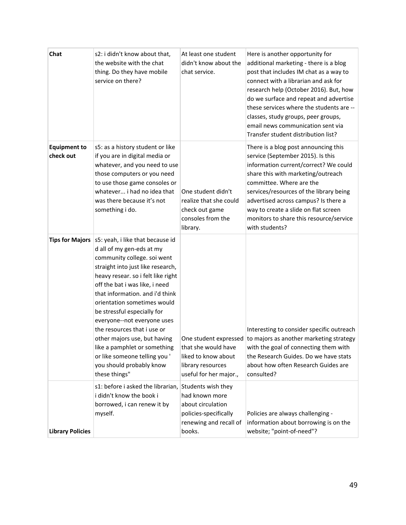| Chat                             | s2: i didn't know about that,<br>the website with the chat<br>thing. Do they have mobile<br>service on there?                                                                                                                                                                                                                                                                                                                                                                                                          | At least one student<br>didn't know about the<br>chat service.                                                         | Here is another opportunity for<br>additional marketing - there is a blog<br>post that includes IM chat as a way to<br>connect with a librarian and ask for<br>research help (October 2016). But, how<br>do we surface and repeat and advertise<br>these services where the students are --<br>classes, study groups, peer groups,<br>email news communication sent via<br>Transfer student distribution list? |
|----------------------------------|------------------------------------------------------------------------------------------------------------------------------------------------------------------------------------------------------------------------------------------------------------------------------------------------------------------------------------------------------------------------------------------------------------------------------------------------------------------------------------------------------------------------|------------------------------------------------------------------------------------------------------------------------|----------------------------------------------------------------------------------------------------------------------------------------------------------------------------------------------------------------------------------------------------------------------------------------------------------------------------------------------------------------------------------------------------------------|
| <b>Equipment to</b><br>check out | s5: as a history student or like<br>if you are in digital media or<br>whatever, and you need to use<br>those computers or you need<br>to use those game consoles or<br>whatever i had no idea that<br>was there because it's not<br>something i do.                                                                                                                                                                                                                                                                    | One student didn't<br>realize that she could<br>check out game<br>consoles from the<br>library.                        | There is a blog post announcing this<br>service (September 2015). Is this<br>information current/correct? We could<br>share this with marketing/outreach<br>committee. Where are the<br>services/resources of the library being<br>advertised across campus? Is there a<br>way to create a slide on flat screen<br>monitors to share this resource/service<br>with students?                                   |
| <b>Tips for Majors</b>           | s5: yeah, i like that because id<br>d all of my gen-eds at my<br>community college. soi went<br>straight into just like research,<br>heavy resear. so i felt like right<br>off the bat i was like, i need<br>that information. and i'd think<br>orientation sometimes would<br>be stressful especially for<br>everyone--not everyone uses<br>the resources that i use or<br>other majors use, but having<br>like a pamphlet or something<br>or like someone telling you '<br>you should probably know<br>these things" | that she would have<br>liked to know about<br>library resources<br>useful for her major.,                              | Interesting to consider specific outreach<br>One student expressed to majors as another marketing strategy<br>with the goal of connecting them with<br>the Research Guides. Do we have stats<br>about how often Research Guides are<br>consulted?                                                                                                                                                              |
| <b>Library Policies</b>          | s1: before i asked the librarian,<br>i didn't know the book i<br>borrowed, i can renew it by<br>myself.                                                                                                                                                                                                                                                                                                                                                                                                                | Students wish they<br>had known more<br>about circulation<br>policies-specifically<br>renewing and recall of<br>books. | Policies are always challenging -<br>information about borrowing is on the<br>website; "point-of-need"?                                                                                                                                                                                                                                                                                                        |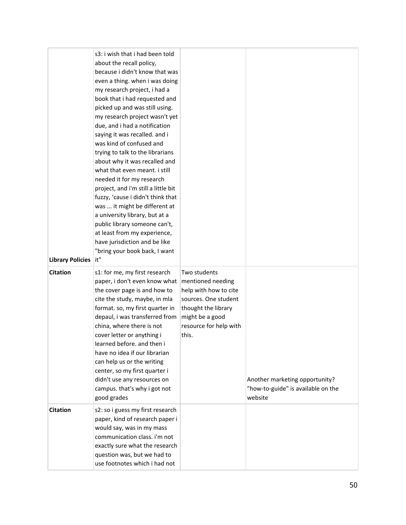| <b>Library Policies</b> | s3: i wish that i had been told<br>about the recall policy,<br>because i didn't know that was<br>even a thing. when i was doing<br>my research project, i had a<br>book that i had requested and<br>picked up and was still using.<br>my research project wasn't yet<br>due, and i had a notification<br>saying it was recalled. and i<br>was kind of confused and<br>trying to talk to the librarians<br>about why it was recalled and<br>what that even meant. i still<br>needed it for my research<br>project, and i'm still a little bit<br>fuzzy, 'cause i didn't think that<br>was  it might be different at<br>a university library, but at a<br>public library someone can't,<br>at least from my experience,<br>have jurisdiction and be like<br>"bring your book back, I want<br>it" |                                                                                                                                                                 |                                                                                 |
|-------------------------|------------------------------------------------------------------------------------------------------------------------------------------------------------------------------------------------------------------------------------------------------------------------------------------------------------------------------------------------------------------------------------------------------------------------------------------------------------------------------------------------------------------------------------------------------------------------------------------------------------------------------------------------------------------------------------------------------------------------------------------------------------------------------------------------|-----------------------------------------------------------------------------------------------------------------------------------------------------------------|---------------------------------------------------------------------------------|
| <b>Citation</b>         | s1: for me, my first research<br>paper, i don't even know what<br>the cover page is and how to<br>cite the study, maybe, in mla<br>format. so, my first quarter in<br>depaul, i was transferred from<br>china, where there is not<br>cover letter or anything i<br>learned before. and then i<br>have no idea if our librarian<br>can help us or the writing<br>center, so my first quarter i<br>didn't use any resources on<br>campus. that's why i got not<br>good grades                                                                                                                                                                                                                                                                                                                    | Two students<br>mentioned needing<br>help with how to cite<br>sources. One student<br>thought the library<br>might be a good<br>resource for help with<br>this. | Another marketing opportunity?<br>"how-to-guide" is available on the<br>website |
| <b>Citation</b>         | s2: so i guess my first research<br>paper, kind of research paper i<br>would say, was in my mass<br>communication class. i'm not<br>exactly sure what the research<br>question was, but we had to<br>use footnotes which i had not                                                                                                                                                                                                                                                                                                                                                                                                                                                                                                                                                             |                                                                                                                                                                 |                                                                                 |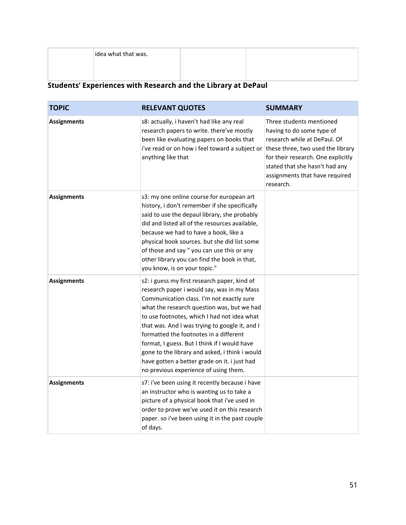idea what that was.

## **Students' Experiences with Research and the Library at DePaul**

| <b>TOPIC</b>       | <b>RELEVANT QUOTES</b>                                                                                                                                                                                                                                                                                                                                                                                                                                                                                                      | <b>SUMMARY</b>                                                                                                                                                                                                                                    |
|--------------------|-----------------------------------------------------------------------------------------------------------------------------------------------------------------------------------------------------------------------------------------------------------------------------------------------------------------------------------------------------------------------------------------------------------------------------------------------------------------------------------------------------------------------------|---------------------------------------------------------------------------------------------------------------------------------------------------------------------------------------------------------------------------------------------------|
| <b>Assignments</b> | s8: actually, i haven't had like any real<br>research papers to write. there've mostly<br>been like evaluating papers on books that<br>i've read or on how i feel toward a subject or<br>anything like that                                                                                                                                                                                                                                                                                                                 | Three students mentioned<br>having to do some type of<br>research while at DePaul. Of<br>these three, two used the library<br>for their research. One explicitly<br>stated that she hasn't had any<br>assignments that have required<br>research. |
| <b>Assignments</b> | s3: my one online course for european art<br>history, i don't remember if she specifically<br>said to use the depaul library, she probably<br>did and listed all of the resources available,<br>because we had to have a book, like a<br>physical book sources. but she did list some<br>of those and say " you can use this or any<br>other library you can find the book in that,<br>you know, is on your topic."                                                                                                         |                                                                                                                                                                                                                                                   |
| <b>Assignments</b> | s2: i guess my first research paper, kind of<br>research paper i would say, was in my Mass<br>Communication class. I'm not exactly sure<br>what the research question was, but we had<br>to use footnotes, which I had not idea what<br>that was. And I was trying to google it, and I<br>formatted the footnotes in a different<br>format, I guess. But I think if I would have<br>gone to the library and asked, i think i would<br>have gotten a better grade on it. i just had<br>no previous experience of using them. |                                                                                                                                                                                                                                                   |
| <b>Assignments</b> | s7: i've been using it recently because i have<br>an instructor who is wanting us to take a<br>picture of a physical book that i've used in<br>order to prove we've used it on this research<br>paper. so i've been using it in the past couple<br>of days.                                                                                                                                                                                                                                                                 |                                                                                                                                                                                                                                                   |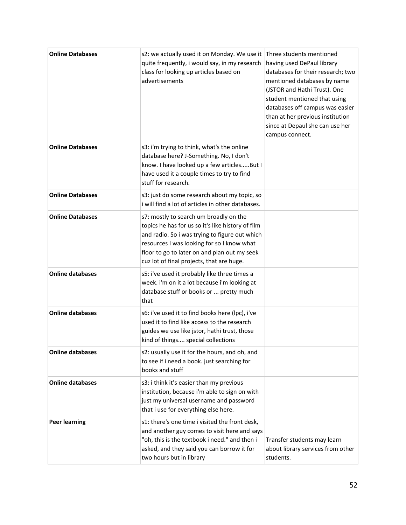| <b>Online Databases</b> | s2: we actually used it on Monday. We use it<br>quite frequently, i would say, in my research<br>class for looking up articles based on<br>advertisements                                                                                                                                | Three students mentioned<br>having used DePaul library<br>databases for their research; two<br>mentioned databases by name<br>(JSTOR and Hathi Trust). One<br>student mentioned that using<br>databases off campus was easier<br>than at her previous institution<br>since at Depaul she can use her<br>campus connect. |
|-------------------------|------------------------------------------------------------------------------------------------------------------------------------------------------------------------------------------------------------------------------------------------------------------------------------------|-------------------------------------------------------------------------------------------------------------------------------------------------------------------------------------------------------------------------------------------------------------------------------------------------------------------------|
| <b>Online Databases</b> | s3: i'm trying to think, what's the online<br>database here? J-Something. No, I don't<br>know. I have looked up a few articlesBut I<br>have used it a couple times to try to find<br>stuff for research.                                                                                 |                                                                                                                                                                                                                                                                                                                         |
| <b>Online Databases</b> | s3: just do some research about my topic, so<br>i will find a lot of articles in other databases.                                                                                                                                                                                        |                                                                                                                                                                                                                                                                                                                         |
| <b>Online Databases</b> | s7: mostly to search um broadly on the<br>topics he has for us so it's like history of film<br>and radio. So i was trying to figure out which<br>resources I was looking for so I know what<br>floor to go to later on and plan out my seek<br>cuz lot of final projects, that are huge. |                                                                                                                                                                                                                                                                                                                         |
| <b>Online databases</b> | s5: i've used it probably like three times a<br>week. i'm on it a lot because i'm looking at<br>database stuff or books or  pretty much<br>that                                                                                                                                          |                                                                                                                                                                                                                                                                                                                         |
| <b>Online databases</b> | s6: i've used it to find books here (lpc), i've<br>used it to find like access to the research<br>guides we use like jstor, hathi trust, those<br>kind of things special collections                                                                                                     |                                                                                                                                                                                                                                                                                                                         |
| <b>Online databases</b> | s2: usually use it for the hours, and oh, and<br>to see if i need a book. just searching for<br>books and stuff                                                                                                                                                                          |                                                                                                                                                                                                                                                                                                                         |
| <b>Online databases</b> | s3: i think it's easier than my previous<br>institution, because i'm able to sign on with<br>just my universal username and password<br>that i use for everything else here.                                                                                                             |                                                                                                                                                                                                                                                                                                                         |
| <b>Peer learning</b>    | s1: there's one time i visited the front desk,<br>and another guy comes to visit here and says<br>"oh, this is the textbook i need." and then i<br>asked, and they said you can borrow it for<br>two hours but in library                                                                | Transfer students may learn<br>about library services from other<br>students.                                                                                                                                                                                                                                           |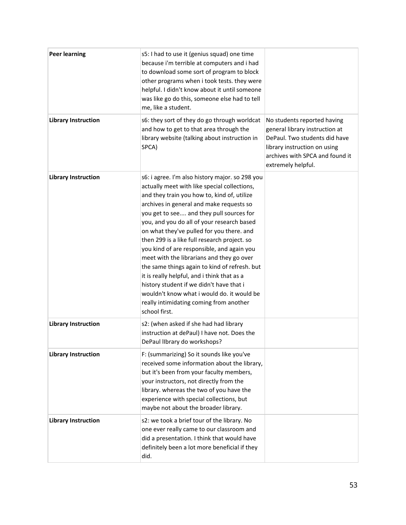| <b>Peer learning</b>       | s5: I had to use it (genius squad) one time<br>because i'm terrible at computers and i had<br>to download some sort of program to block<br>other programs when i took tests. they were<br>helpful. I didn't know about it until someone<br>was like go do this, someone else had to tell<br>me, like a student.                                                                                                                                                                                                                                                                                                                                                                                                                    |                                                                                                                                                                                         |
|----------------------------|------------------------------------------------------------------------------------------------------------------------------------------------------------------------------------------------------------------------------------------------------------------------------------------------------------------------------------------------------------------------------------------------------------------------------------------------------------------------------------------------------------------------------------------------------------------------------------------------------------------------------------------------------------------------------------------------------------------------------------|-----------------------------------------------------------------------------------------------------------------------------------------------------------------------------------------|
| <b>Library Instruction</b> | s6: they sort of they do go through worldcat<br>and how to get to that area through the<br>library website (talking about instruction in<br>SPCA)                                                                                                                                                                                                                                                                                                                                                                                                                                                                                                                                                                                  | No students reported having<br>general library instruction at<br>DePaul. Two students did have<br>library instruction on using<br>archives with SPCA and found it<br>extremely helpful. |
| <b>Library Instruction</b> | s6: i agree. I'm also history major. so 298 you<br>actually meet with like special collections,<br>and they train you how to, kind of, utilize<br>archives in general and make requests so<br>you get to see and they pull sources for<br>you, and you do all of your research based<br>on what they've pulled for you there. and<br>then 299 is a like full research project. so<br>you kind of are responsible, and again you<br>meet with the librarians and they go over<br>the same things again to kind of refresh. but<br>it is really helpful, and i think that as a<br>history student if we didn't have that i<br>wouldn't know what i would do. it would be<br>really intimidating coming from another<br>school first. |                                                                                                                                                                                         |
| <b>Library Instruction</b> | s2: (when asked if she had had library<br>instruction at dePaul) I have not. Does the<br>DePaul IIbrary do workshops?                                                                                                                                                                                                                                                                                                                                                                                                                                                                                                                                                                                                              |                                                                                                                                                                                         |
| <b>Library Instruction</b> | F: (summarizing) So it sounds like you've<br>received some information about the library,<br>but it's been from your faculty members,<br>your instructors, not directly from the<br>library. whereas the two of you have the<br>experience with special collections, but<br>maybe not about the broader library.                                                                                                                                                                                                                                                                                                                                                                                                                   |                                                                                                                                                                                         |
| <b>Library Instruction</b> | s2: we took a brief tour of the library. No<br>one ever really came to our classroom and<br>did a presentation. I think that would have<br>definitely been a lot more beneficial if they<br>did.                                                                                                                                                                                                                                                                                                                                                                                                                                                                                                                                   |                                                                                                                                                                                         |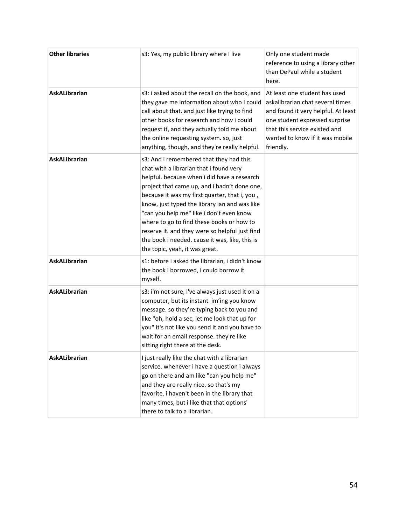| <b>Other libraries</b> | s3: Yes, my public library where I live                                                                                                                                                                                                                                                                                                                                                                                                                                                                            | Only one student made<br>reference to using a library other<br>than DePaul while a student<br>here.                                                                                                                         |
|------------------------|--------------------------------------------------------------------------------------------------------------------------------------------------------------------------------------------------------------------------------------------------------------------------------------------------------------------------------------------------------------------------------------------------------------------------------------------------------------------------------------------------------------------|-----------------------------------------------------------------------------------------------------------------------------------------------------------------------------------------------------------------------------|
| <b>AskALibrarian</b>   | s3: i asked about the recall on the book, and<br>they gave me information about who I could<br>call about that. and just like trying to find<br>other books for research and how i could<br>request it, and they actually told me about<br>the online requesting system. so, just<br>anything, though, and they're really helpful.                                                                                                                                                                                 | At least one student has used<br>askalibrarian chat several times<br>and found it very helpful. At least<br>one student expressed surprise<br>that this service existed and<br>wanted to know if it was mobile<br>friendly. |
| <b>AskALibrarian</b>   | s3: And i remembered that they had this<br>chat with a librarian that i found very<br>helpful. because when i did have a research<br>project that came up, and i hadn't done one,<br>because it was my first quarter, that i, you,<br>know, just typed the library ian and was like<br>"can you help me" like i don't even know<br>where to go to find these books or how to<br>reserve it. and they were so helpful just find<br>the book i needed. cause it was, like, this is<br>the topic, yeah, it was great. |                                                                                                                                                                                                                             |
| <b>AskALibrarian</b>   | s1: before i asked the librarian, i didn't know<br>the book i borrowed, i could borrow it<br>myself.                                                                                                                                                                                                                                                                                                                                                                                                               |                                                                                                                                                                                                                             |
| <b>AskALibrarian</b>   | s3: i'm not sure, i've always just used it on a<br>computer, but its instant im'ing you know<br>message. so they're typing back to you and<br>like "oh, hold a sec, let me look that up for<br>you" it's not like you send it and you have to<br>wait for an email response. they're like<br>sitting right there at the desk.                                                                                                                                                                                      |                                                                                                                                                                                                                             |
| <b>AskALibrarian</b>   | I just really like the chat with a librarian<br>service. whenever i have a question i always<br>go on there and am like "can you help me"<br>and they are really nice. so that's my<br>favorite. i haven't been in the library that<br>many times, but i like that that options'<br>there to talk to a librarian.                                                                                                                                                                                                  |                                                                                                                                                                                                                             |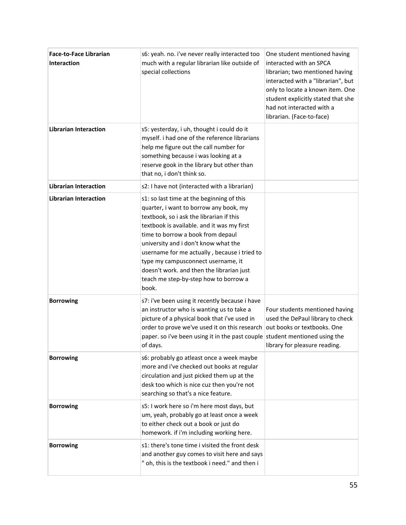| <b>Face-to-Face Librarian</b><br><b>Interaction</b> | s6: yeah. no. i've never really interacted too<br>much with a regular librarian like outside of<br>special collections                                                                                                                                                                                                                                                                                                                          | One student mentioned having<br>interacted with an SPCA<br>librarian; two mentioned having<br>interacted with a "librarian", but<br>only to locate a known item. One<br>student explicitly stated that she<br>had not interacted with a<br>librarian. (Face-to-face) |
|-----------------------------------------------------|-------------------------------------------------------------------------------------------------------------------------------------------------------------------------------------------------------------------------------------------------------------------------------------------------------------------------------------------------------------------------------------------------------------------------------------------------|----------------------------------------------------------------------------------------------------------------------------------------------------------------------------------------------------------------------------------------------------------------------|
| <b>Librarian Interaction</b>                        | s5: yesterday, i uh, thought i could do it<br>myself. i had one of the reference librarians<br>help me figure out the call number for<br>something because i was looking at a<br>reserve gook in the library but other than<br>that no, i don't think so.                                                                                                                                                                                       |                                                                                                                                                                                                                                                                      |
| <b>Librarian Interaction</b>                        | s2: I have not (interacted with a librarian)                                                                                                                                                                                                                                                                                                                                                                                                    |                                                                                                                                                                                                                                                                      |
| <b>Librarian Interaction</b>                        | s1: so last time at the beginning of this<br>quarter, i want to borrow any book, my<br>textbook, so i ask the librarian if this<br>textbook is available. and it was my first<br>time to borrow a book from depaul<br>university and i don't know what the<br>username for me actually, because i tried to<br>type my campusconnect username, it<br>doesn't work. and then the librarian just<br>teach me step-by-step how to borrow a<br>book. |                                                                                                                                                                                                                                                                      |
| <b>Borrowing</b>                                    | s7: i've been using it recently because i have<br>an instructor who is wanting us to take a<br>picture of a physical book that i've used in<br>order to prove we've used it on this research<br>paper. so i've been using it in the past couple student mentioned using the<br>of days.                                                                                                                                                         | Four students mentioned having<br>used the DePaul library to check<br>out books or textbooks. One<br>library for pleasure reading.                                                                                                                                   |
| <b>Borrowing</b>                                    | s6: probably go atleast once a week maybe<br>more and i've checked out books at regular<br>circulation and just picked them up at the<br>desk too which is nice cuz then you're not<br>searching so that's a nice feature.                                                                                                                                                                                                                      |                                                                                                                                                                                                                                                                      |
| <b>Borrowing</b>                                    | s5: I work here so i'm here most days, but<br>um, yeah, probably go at least once a week<br>to either check out a book or just do<br>homework. if i'm including working here.                                                                                                                                                                                                                                                                   |                                                                                                                                                                                                                                                                      |
| <b>Borrowing</b>                                    | s1: there's tone time i visited the front desk<br>and another guy comes to visit here and says<br>" oh, this is the textbook i need." and then i                                                                                                                                                                                                                                                                                                |                                                                                                                                                                                                                                                                      |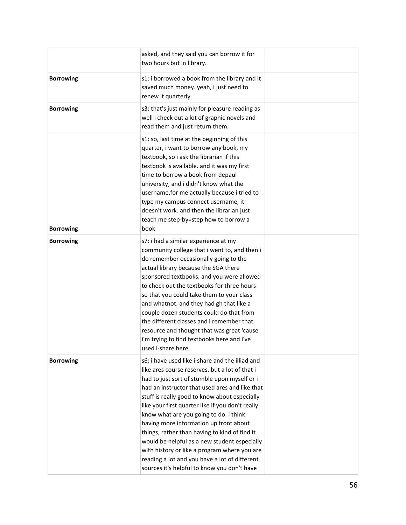|                  | asked, and they said you can borrow it for<br>two hours but in library.                                                                                                                                                                                                                                                                                                                                                                                                                                                                                                                                                                       |  |
|------------------|-----------------------------------------------------------------------------------------------------------------------------------------------------------------------------------------------------------------------------------------------------------------------------------------------------------------------------------------------------------------------------------------------------------------------------------------------------------------------------------------------------------------------------------------------------------------------------------------------------------------------------------------------|--|
| <b>Borrowing</b> | s1: i borrowed a book from the library and it<br>saved much money. yeah, i just need to<br>renew it quarterly.                                                                                                                                                                                                                                                                                                                                                                                                                                                                                                                                |  |
| <b>Borrowing</b> | s3: that's just mainly for pleasure reading as<br>well i check out a lot of graphic novels and<br>read them and just return them.                                                                                                                                                                                                                                                                                                                                                                                                                                                                                                             |  |
| <b>Borrowing</b> | s1: so, last time at the beginning of this<br>quarter, i want to borrow any book, my<br>textbook, so i ask the librarian if this<br>textbook is available. and it was my first<br>time to borrow a book from depaul<br>university, and i didn't know what the<br>username, for me actually because i tried to<br>type my campus connect username, it<br>doesn't work. and then the librarian just<br>teach me step-by=step how to borrow a<br>book                                                                                                                                                                                            |  |
| <b>Borrowing</b> | s7: i had a similar experience at my<br>community college that i went to, and then i<br>do remember occasionally going to the<br>actual library because the SGA there<br>sponsored textbooks. and you were allowed<br>to check out the textbooks for three hours<br>so that you could take them to your class<br>and whatnot. and they had gh that like a<br>couple dozen students could do that from<br>the different classes and i remember that<br>resource and thought that was great 'cause<br>i'm trying to find textbooks here and i've<br>used i-share here.                                                                          |  |
| <b>Borrowing</b> | s6: i have used like i-share and the illiad and<br>like ares course reserves. but a lot of that i<br>had to just sort of stumble upon myself or i<br>had an instructor that used ares and like that<br>stuff is really good to know about especially<br>like your first quarter like if you don't really<br>know what are you going to do. i think<br>having more information up front about<br>things, rather than having to kind of find it<br>would be helpful as a new student especially<br>with history or like a program where you are<br>reading a lot and you have a lot of different<br>sources it's helpful to know you don't have |  |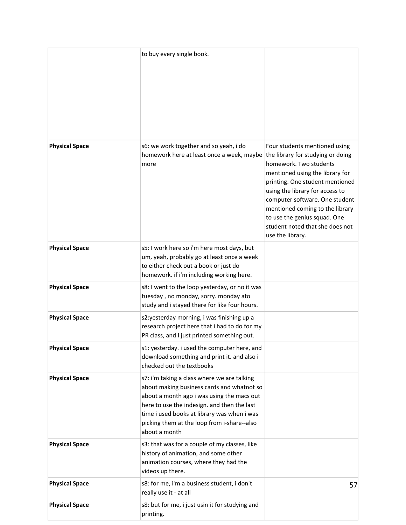|                       | to buy every single book.                                                                                                                                                                                                                                                                             |                                                                                                                                                                                                                                                                                                                                                                   |
|-----------------------|-------------------------------------------------------------------------------------------------------------------------------------------------------------------------------------------------------------------------------------------------------------------------------------------------------|-------------------------------------------------------------------------------------------------------------------------------------------------------------------------------------------------------------------------------------------------------------------------------------------------------------------------------------------------------------------|
| <b>Physical Space</b> | s6: we work together and so yeah, i do<br>homework here at least once a week, maybe<br>more                                                                                                                                                                                                           | Four students mentioned using<br>the library for studying or doing<br>homework. Two students<br>mentioned using the library for<br>printing. One student mentioned<br>using the library for access to<br>computer software. One student<br>mentioned coming to the library<br>to use the genius squad. One<br>student noted that she does not<br>use the library. |
| <b>Physical Space</b> | s5: I work here so i'm here most days, but<br>um, yeah, probably go at least once a week<br>to either check out a book or just do<br>homework. if i'm including working here.                                                                                                                         |                                                                                                                                                                                                                                                                                                                                                                   |
| <b>Physical Space</b> | s8: I went to the loop yesterday, or no it was<br>tuesday, no monday, sorry. monday ato<br>study and i stayed there for like four hours.                                                                                                                                                              |                                                                                                                                                                                                                                                                                                                                                                   |
| <b>Physical Space</b> | s2:yesterday morning, i was finishing up a<br>research project here that i had to do for my<br>PR class, and I just printed something out.                                                                                                                                                            |                                                                                                                                                                                                                                                                                                                                                                   |
| <b>Physical Space</b> | s1: yesterday. i used the computer here, and<br>download something and print it. and also i<br>checked out the textbooks                                                                                                                                                                              |                                                                                                                                                                                                                                                                                                                                                                   |
| <b>Physical Space</b> | s7: i'm taking a class where we are talking<br>about making business cards and whatnot so<br>about a month ago i was using the macs out<br>here to use the indesign. and then the last<br>time i used books at library was when i was<br>picking them at the loop from i-share--also<br>about a month |                                                                                                                                                                                                                                                                                                                                                                   |
| <b>Physical Space</b> | s3: that was for a couple of my classes, like<br>history of animation, and some other<br>animation courses, where they had the<br>videos up there.                                                                                                                                                    |                                                                                                                                                                                                                                                                                                                                                                   |
| <b>Physical Space</b> | s8: for me, i'm a business student, i don't<br>really use it - at all                                                                                                                                                                                                                                 | 57                                                                                                                                                                                                                                                                                                                                                                |
| <b>Physical Space</b> | s8: but for me, i just usin it for studying and<br>printing.                                                                                                                                                                                                                                          |                                                                                                                                                                                                                                                                                                                                                                   |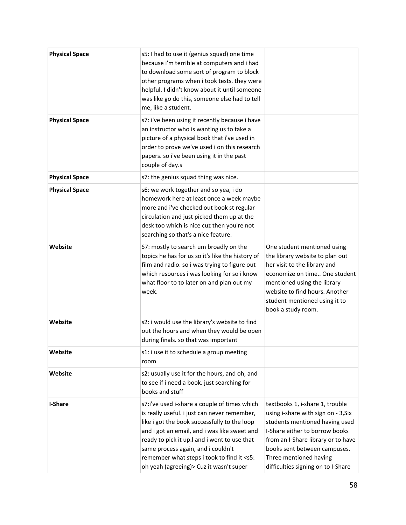| <b>Physical Space</b> | s5: I had to use it (genius squad) one time<br>because i'm terrible at computers and i had<br>to download some sort of program to block<br>other programs when i took tests. they were<br>helpful. I didn't know about it until someone<br>was like go do this, someone else had to tell<br>me, like a student.                                                                          |                                                                                                                                                                                                                                                                                  |
|-----------------------|------------------------------------------------------------------------------------------------------------------------------------------------------------------------------------------------------------------------------------------------------------------------------------------------------------------------------------------------------------------------------------------|----------------------------------------------------------------------------------------------------------------------------------------------------------------------------------------------------------------------------------------------------------------------------------|
| <b>Physical Space</b> | s7: i've been using it recently because i have<br>an instructor who is wanting us to take a<br>picture of a physical book that i've used in<br>order to prove we've used i on this research<br>papers. so i've been using it in the past<br>couple of day.s                                                                                                                              |                                                                                                                                                                                                                                                                                  |
| <b>Physical Space</b> | s7: the genius squad thing was nice.                                                                                                                                                                                                                                                                                                                                                     |                                                                                                                                                                                                                                                                                  |
| <b>Physical Space</b> | s6: we work together and so yea, i do<br>homework here at least once a week maybe<br>more and i've checked out book st regular<br>circulation and just picked them up at the<br>desk too which is nice cuz then you're not<br>searching so that's a nice feature.                                                                                                                        |                                                                                                                                                                                                                                                                                  |
| Website               | S7: mostly to search um broadly on the<br>topics he has for us so it's like the history of<br>film and radio. so i was trying to figure out<br>which resources i was looking for so i know<br>what floor to to later on and plan out my<br>week.                                                                                                                                         | One student mentioned using<br>the library website to plan out<br>her visit to the library and<br>economize on time One student<br>mentioned using the library<br>website to find hours. Another<br>student mentioned using it to<br>book a study room.                          |
| Website               | s2: i would use the library's website to find<br>out the hours and when they would be open<br>during finals. so that was important                                                                                                                                                                                                                                                       |                                                                                                                                                                                                                                                                                  |
| Website               | s1: i use it to schedule a group meeting<br>room                                                                                                                                                                                                                                                                                                                                         |                                                                                                                                                                                                                                                                                  |
| Website               | s2: usually use it for the hours, and oh, and<br>to see if i need a book. just searching for<br>books and stuff                                                                                                                                                                                                                                                                          |                                                                                                                                                                                                                                                                                  |
| <b>I-Share</b>        | s7:i've used i-share a couple of times which<br>is really useful. i just can never remember,<br>like i got the book successfully to the loop<br>and i got an email, and i was like sweet and<br>ready to pick it up.I and i went to use that<br>same process again, and i couldn't<br>remember what steps i took to find it <s5:<br>oh yeah (agreeing) &gt; Cuz it wasn't super</s5:<br> | textbooks 1, i-share 1, trouble<br>using i-share with sign on - 3, Six<br>students mentioned having used<br>I-Share either to borrow books<br>from an I-Share library or to have<br>books sent between campuses.<br>Three mentioned having<br>difficulties signing on to I-Share |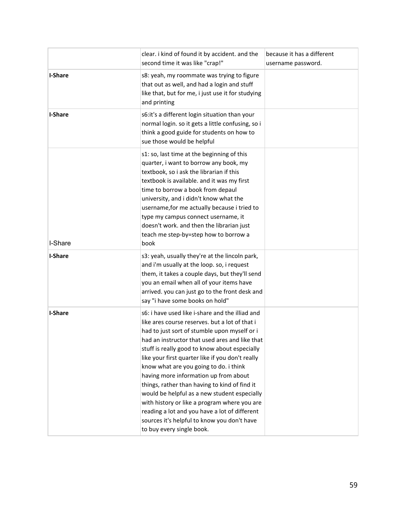|                | clear. i kind of found it by accident. and the<br>second time it was like "crap!"                                                                                                                                                                                                                                                                                                                                                                                                                                                                                                                                                                                         | because it has a different<br>username password. |
|----------------|---------------------------------------------------------------------------------------------------------------------------------------------------------------------------------------------------------------------------------------------------------------------------------------------------------------------------------------------------------------------------------------------------------------------------------------------------------------------------------------------------------------------------------------------------------------------------------------------------------------------------------------------------------------------------|--------------------------------------------------|
| <b>I-Share</b> | s8: yeah, my roommate was trying to figure<br>that out as well, and had a login and stuff<br>like that, but for me, i just use it for studying<br>and printing                                                                                                                                                                                                                                                                                                                                                                                                                                                                                                            |                                                  |
| <b>I-Share</b> | s6:it's a different login situation than your<br>normal login. so it gets a little confusing, so i<br>think a good guide for students on how to<br>sue those would be helpful                                                                                                                                                                                                                                                                                                                                                                                                                                                                                             |                                                  |
| I-Share        | s1: so, last time at the beginning of this<br>quarter, i want to borrow any book, my<br>textbook, so i ask the librarian if this<br>textbook is available. and it was my first<br>time to borrow a book from depaul<br>university, and i didn't know what the<br>username, for me actually because i tried to<br>type my campus connect username, it<br>doesn't work. and then the librarian just<br>teach me step-by=step how to borrow a<br>book                                                                                                                                                                                                                        |                                                  |
| <b>I-Share</b> | s3: yeah, usually they're at the lincoln park,<br>and i'm usually at the loop. so, i request<br>them, it takes a couple days, but they'll send<br>you an email when all of your items have<br>arrived. you can just go to the front desk and<br>say "i have some books on hold"                                                                                                                                                                                                                                                                                                                                                                                           |                                                  |
| <b>I-Share</b> | s6: i have used like i-share and the illiad and<br>like ares course reserves. but a lot of that i<br>had to just sort of stumble upon myself or i<br>had an instructor that used ares and like that<br>stuff is really good to know about especially<br>like your first quarter like if you don't really<br>know what are you going to do. i think<br>having more information up from about<br>things, rather than having to kind of find it<br>would be helpful as a new student especially<br>with history or like a program where you are<br>reading a lot and you have a lot of different<br>sources it's helpful to know you don't have<br>to buy every single book. |                                                  |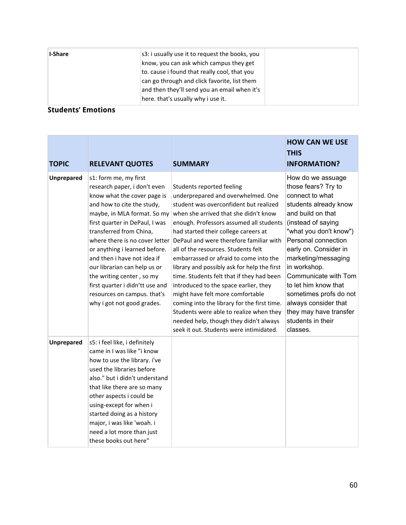| I-Share | s3: i usually use it to request the books, you |  |
|---------|------------------------------------------------|--|
|         | know, you can ask which campus they get        |  |
|         | to. cause i found that really cool, that you   |  |
|         | can go through and click favorite, list them   |  |
|         | and then they'll send you an email when it's   |  |
|         | here. that's usually why i use it.             |  |

#### **Students' Emotions**

**Contract Contract** 

| <b>TOPIC</b>      | <b>RELEVANT QUOTES</b>                                                                                                                                                                                                                                                                                                                                                                                                                                                        | <b>SUMMARY</b>                                                                                                                                                                                                                                                                                                                                                                                                                                                                                                                                                                                                                                                                                                            | <b>HOW CAN WE USE</b><br><b>THIS</b><br><b>INFORMATION?</b>                                                                                                                                                                                                                                                                                                                                                   |
|-------------------|-------------------------------------------------------------------------------------------------------------------------------------------------------------------------------------------------------------------------------------------------------------------------------------------------------------------------------------------------------------------------------------------------------------------------------------------------------------------------------|---------------------------------------------------------------------------------------------------------------------------------------------------------------------------------------------------------------------------------------------------------------------------------------------------------------------------------------------------------------------------------------------------------------------------------------------------------------------------------------------------------------------------------------------------------------------------------------------------------------------------------------------------------------------------------------------------------------------------|---------------------------------------------------------------------------------------------------------------------------------------------------------------------------------------------------------------------------------------------------------------------------------------------------------------------------------------------------------------------------------------------------------------|
| <b>Unprepared</b> | s1: form me, my first<br>research paper, i don't even<br>know what the cover page is<br>and how to cite the study,<br>maybe, in MLA format. So my<br>first quarter in DePaul, I was<br>transferred from China,<br>where there is no cover letter<br>or anything i learned before.<br>and then i have not idea if<br>our librarian can help us or<br>the writing center, so my<br>first quarter i didn'tt use and<br>resources on campus. that's<br>why i got not good grades. | Students reported feeling<br>underprepared and overwhelmed. One<br>student was overconfident but realized<br>when she arrived that she didn't know<br>enough. Professors assumed all students<br>had started their college careers at<br>DePaul and were therefore familiar with<br>all of the resources. Students felt<br>embarrassed or afraid to come into the<br>library and possibly ask for help the first<br>time. Students felt that if they had been<br>introduced to the space earlier, they<br>might have felt more comfortable<br>coming into the library for the first time.<br>Students were able to realize when they<br>needed help, though they didn't always<br>seek it out. Students were intimidated. | How do we assuage<br>those fears? Try to<br>connect to what<br>students already know<br>and build on that<br>(instead of saying<br>"what you don't know")<br>Personal connection<br>early on. Consider in<br>marketing/messaging<br>in workshop.<br>Communicate with Tom<br>to let him know that<br>sometimes profs do not<br>always consider that<br>they may have transfer<br>students in their<br>classes. |
| <b>Unprepared</b> | s5: i feel like, i definitely<br>came in I was like "i know<br>how to use the library. i've<br>used the libraries before<br>also." but i didn't understand<br>that like there are so many<br>other aspects i could be<br>using-except for when i<br>started doing as a history<br>major, i was like 'woah. i<br>need a lot more than just<br>these books out here"                                                                                                            |                                                                                                                                                                                                                                                                                                                                                                                                                                                                                                                                                                                                                                                                                                                           |                                                                                                                                                                                                                                                                                                                                                                                                               |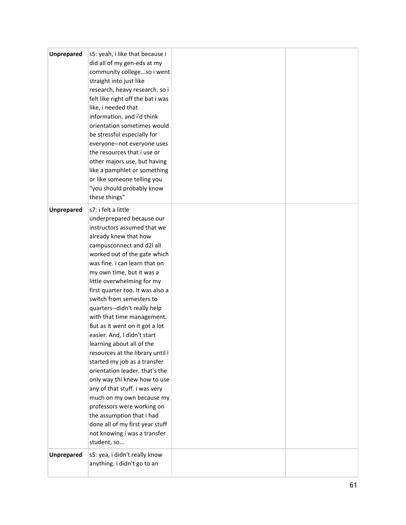| <b>Unprepared</b> | s5: yeah, i like that because i<br>did all of my gen-eds at my<br>community collegeso i went<br>straight into just like<br>research, heavy research. so i<br>felt like right off the bat i was<br>like, i needed that<br>information. and i'd think<br>orientation sometimes would<br>be stressful especially for<br>everyone--not everyone uses<br>the resources that i use or<br>other majors use, but having<br>like a pamphlet or something<br>or like someone telling you<br>"you should probably know<br>these things"                                                                                                                                                                                                                                                                                                                   |  |
|-------------------|------------------------------------------------------------------------------------------------------------------------------------------------------------------------------------------------------------------------------------------------------------------------------------------------------------------------------------------------------------------------------------------------------------------------------------------------------------------------------------------------------------------------------------------------------------------------------------------------------------------------------------------------------------------------------------------------------------------------------------------------------------------------------------------------------------------------------------------------|--|
| <b>Unprepared</b> | s7: i felt a little<br>underprepared because our<br>instructors assumed that we<br>already knew that how<br>campusconnect and d2l all<br>worked out of the gate which<br>was fine. i can learn that on<br>my own time, but it was a<br>little overwhelming for my<br>first quarter too. It was also a<br>switch from semesters to<br>quarters--didn't really help<br>with that time management.<br>But as it went on it got a lot<br>easier. And, I didn't start<br>learning about all of the<br>resources at the library until i<br>started my job as a transfer<br>orientation leader. that's the<br>only way thi knew how to use<br>any of that stuff. i was very<br>much on my own because my<br>professors were working on<br>the assumption that i had<br>done all of my first year stuff<br>not knowing i was a transfer<br>student, so |  |
| <b>Unprepared</b> | s5: yea, i didn't really know<br>anything. i didn't go to an                                                                                                                                                                                                                                                                                                                                                                                                                                                                                                                                                                                                                                                                                                                                                                                   |  |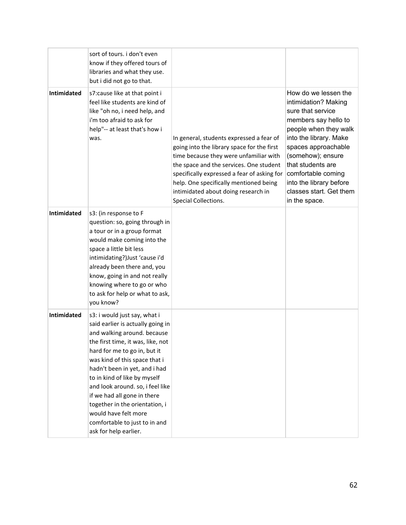|             | sort of tours. i don't even<br>know if they offered tours of<br>libraries and what they use.<br>but i did not go to that.                                                                                                                                                                                                                                                                                                                                      |                                                                                                                                                                                                                                                                                                                                     |                                                                                                                                                                                                                                                                                                            |
|-------------|----------------------------------------------------------------------------------------------------------------------------------------------------------------------------------------------------------------------------------------------------------------------------------------------------------------------------------------------------------------------------------------------------------------------------------------------------------------|-------------------------------------------------------------------------------------------------------------------------------------------------------------------------------------------------------------------------------------------------------------------------------------------------------------------------------------|------------------------------------------------------------------------------------------------------------------------------------------------------------------------------------------------------------------------------------------------------------------------------------------------------------|
| Intimidated | s7: cause like at that point i<br>feel like students are kind of<br>like "oh no, i need help, and<br>i'm too afraid to ask for<br>help"-- at least that's how i<br>was.                                                                                                                                                                                                                                                                                        | In general, students expressed a fear of<br>going into the library space for the first<br>time because they were unfamiliar with<br>the space and the services. One student<br>specifically expressed a fear of asking for<br>help. One specifically mentioned being<br>intimidated about doing research in<br>Special Collections. | How do we lessen the<br>intimidation? Making<br>sure that service<br>members say hello to<br>people when they walk<br>into the library. Make<br>spaces approachable<br>(somehow); ensure<br>that students are<br>comfortable coming<br>into the library before<br>classes start. Get them<br>in the space. |
| Intimidated | s3: (in response to F<br>question: so, going through in<br>a tour or in a group format<br>would make coming into the<br>space a little bit less<br>intimidating?)Just 'cause i'd<br>already been there and, you<br>know, going in and not really<br>knowing where to go or who<br>to ask for help or what to ask,<br>you know?                                                                                                                                 |                                                                                                                                                                                                                                                                                                                                     |                                                                                                                                                                                                                                                                                                            |
| Intimidated | s3: i would just say, what i<br>said earlier is actually going in<br>and walking around. because<br>the first time, it was, like, not<br>hard for me to go in, but it<br>was kind of this space that i<br>hadn't been in yet, and i had<br>to in kind of like by myself<br>and look around. so, i feel like<br>if we had all gone in there<br>together in the orientation, i<br>would have felt more<br>comfortable to just to in and<br>ask for help earlier. |                                                                                                                                                                                                                                                                                                                                     |                                                                                                                                                                                                                                                                                                            |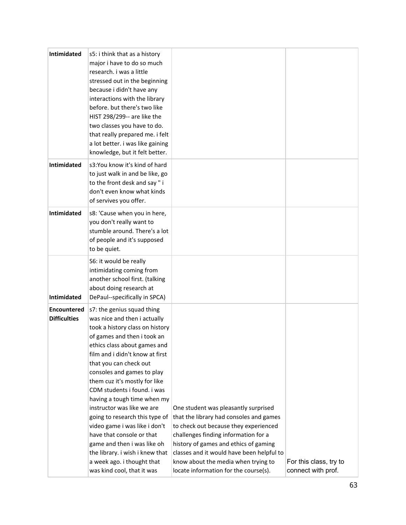| Intimidated                               | s5: i think that as a history<br>major i have to do so much<br>research. i was a little<br>stressed out in the beginning<br>because i didn't have any<br>interactions with the library<br>before. but there's two like<br>HIST 298/299-- are like the<br>two classes you have to do.<br>that really prepared me. i felt<br>a lot better. i was like gaining<br>knowledge, but it felt better.                                                                                                                                                                                                                      |                                                                                                                                                                                                                                                                                                                                        |                                              |
|-------------------------------------------|--------------------------------------------------------------------------------------------------------------------------------------------------------------------------------------------------------------------------------------------------------------------------------------------------------------------------------------------------------------------------------------------------------------------------------------------------------------------------------------------------------------------------------------------------------------------------------------------------------------------|----------------------------------------------------------------------------------------------------------------------------------------------------------------------------------------------------------------------------------------------------------------------------------------------------------------------------------------|----------------------------------------------|
| Intimidated                               | s3:You know it's kind of hard<br>to just walk in and be like, go<br>to the front desk and say" i<br>don't even know what kinds<br>of servives you offer.                                                                                                                                                                                                                                                                                                                                                                                                                                                           |                                                                                                                                                                                                                                                                                                                                        |                                              |
| <b>Intimidated</b>                        | s8: 'Cause when you in here,<br>you don't really want to<br>stumble around. There's a lot<br>of people and it's supposed<br>to be quiet.                                                                                                                                                                                                                                                                                                                                                                                                                                                                           |                                                                                                                                                                                                                                                                                                                                        |                                              |
| Intimidated                               | S6: it would be really<br>intimidating coming from<br>another school first. (talking<br>about doing research at<br>DePaul--specifically in SPCA)                                                                                                                                                                                                                                                                                                                                                                                                                                                                   |                                                                                                                                                                                                                                                                                                                                        |                                              |
| <b>Encountered</b><br><b>Difficulties</b> | s7: the genius squad thing<br>was nice and then i actually<br>took a history class on history<br>of games and then i took an<br>ethics class about games and<br>film and i didn't know at first<br>that you can check out<br>consoles and games to play<br>them cuz it's mostly for like<br>CDM students i found. i was<br>having a tough time when my<br>instructor was like we are<br>going to research this type of<br>video game i was like i don't<br>have that console or that<br>game and then i was like oh<br>the library. i wish i knew that<br>a week ago. i thought that<br>was kind cool, that it was | One student was pleasantly surprised<br>that the library had consoles and games<br>to check out because they experienced<br>challenges finding information for a<br>history of games and ethics of gaming<br>classes and it would have been helpful to<br>know about the media when trying to<br>locate information for the course(s). | For this class, try to<br>connect with prof. |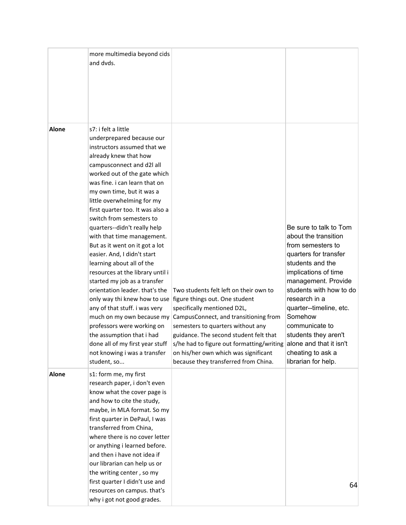|              | more multimedia beyond cids<br>and dvds.                                                                                                                                                                                                                                                                                                                                                                                                                                                                                                                                                                                                                                                                                                                                                                       |                                                                                                                                                                                                                                                                                                                                                                                                                   |                                                                                                                                                                                                                                                                                                                                         |
|--------------|----------------------------------------------------------------------------------------------------------------------------------------------------------------------------------------------------------------------------------------------------------------------------------------------------------------------------------------------------------------------------------------------------------------------------------------------------------------------------------------------------------------------------------------------------------------------------------------------------------------------------------------------------------------------------------------------------------------------------------------------------------------------------------------------------------------|-------------------------------------------------------------------------------------------------------------------------------------------------------------------------------------------------------------------------------------------------------------------------------------------------------------------------------------------------------------------------------------------------------------------|-----------------------------------------------------------------------------------------------------------------------------------------------------------------------------------------------------------------------------------------------------------------------------------------------------------------------------------------|
| <b>Alone</b> | s7: i felt a little<br>underprepared because our<br>instructors assumed that we<br>already knew that how<br>campusconnect and d2l all<br>worked out of the gate which<br>was fine. i can learn that on<br>my own time, but it was a<br>little overwhelming for my<br>first quarter too. It was also a<br>switch from semesters to<br>quarters--didn't really help<br>with that time management.<br>But as it went on it got a lot<br>easier. And, I didn't start<br>learning about all of the<br>resources at the library until i<br>started my job as a transfer<br>orientation leader, that's the<br>any of that stuff. i was very<br>much on my own because my<br>professors were working on<br>the assumption that i had<br>done all of my first year stuff<br>not knowing i was a transfer<br>student, so | Two students felt left on their own to<br>only way thi knew how to use figure things out. One student<br>specifically mentioned D2L,<br>CampusConnect, and transitioning from<br>semesters to quarters without any<br>guidance. The second student felt that<br>s/he had to figure out formatting/writing alone and that it isn't<br>on his/her own which was significant<br>because they transferred from China. | Be sure to talk to Tom<br>about the transition<br>from semesters to<br>quarters for transfer<br>students and the<br>implications of time<br>management. Provide<br>students with how to do<br>research in a<br>quarter--timeline, etc.<br>Somehow<br>communicate to<br>students they aren't<br>cheating to ask a<br>librarian for help. |
| Alone        | s1: form me, my first<br>research paper, i don't even<br>know what the cover page is<br>and how to cite the study,<br>maybe, in MLA format. So my<br>first quarter in DePaul, I was<br>transferred from China,<br>where there is no cover letter<br>or anything i learned before.<br>and then i have not idea if<br>our librarian can help us or<br>the writing center, so my<br>first quarter I didn't use and<br>resources on campus. that's<br>why i got not good grades.                                                                                                                                                                                                                                                                                                                                   |                                                                                                                                                                                                                                                                                                                                                                                                                   | 64                                                                                                                                                                                                                                                                                                                                      |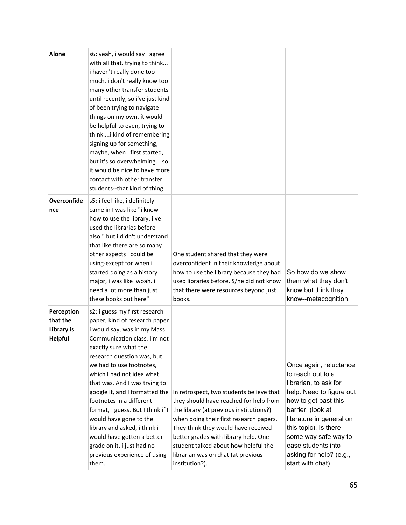| <b>Alone</b>                                           | s6: yeah, i would say i agree<br>with all that. trying to think<br>i haven't really done too<br>much. i don't really know too<br>many other transfer students<br>until recently, so i've just kind<br>of been trying to navigate<br>things on my own. it would<br>be helpful to even, trying to<br>thinki kind of remembering<br>signing up for something,<br>maybe, when i first started,<br>but it's so overwhelming so<br>it would be nice to have more<br>contact with other transfer<br>students--that kind of thing.                       |                                                                                                                                                                                                                                                                                                                                                         |                                                                                                                                                                                                                                                                                                 |
|--------------------------------------------------------|--------------------------------------------------------------------------------------------------------------------------------------------------------------------------------------------------------------------------------------------------------------------------------------------------------------------------------------------------------------------------------------------------------------------------------------------------------------------------------------------------------------------------------------------------|---------------------------------------------------------------------------------------------------------------------------------------------------------------------------------------------------------------------------------------------------------------------------------------------------------------------------------------------------------|-------------------------------------------------------------------------------------------------------------------------------------------------------------------------------------------------------------------------------------------------------------------------------------------------|
| Overconfide<br>nce                                     | s5: i feel like, i definitely<br>came in I was like "i know<br>how to use the library. i've<br>used the libraries before<br>also." but i didn't understand<br>that like there are so many<br>other aspects i could be<br>using-except for when i<br>started doing as a history<br>major, i was like 'woah. i<br>need a lot more than just<br>these books out here"                                                                                                                                                                               | One student shared that they were<br>overconfident in their knowledge about<br>how to use the library because they had<br>used libraries before. S/he did not know<br>that there were resources beyond just<br>books.                                                                                                                                   | So how do we show<br>them what they don't<br>know but think they<br>know--metacognition.                                                                                                                                                                                                        |
| Perception<br>that the<br>Library is<br><b>Helpful</b> | s2: i guess my first research<br>paper, kind of research paper<br>i would say, was in my Mass<br>Communication class. I'm not<br>exactly sure what the<br>research question was, but<br>we had to use footnotes,<br>which I had not idea what<br>that was. And I was trying to<br>google it, and I formatted the<br>footnotes in a different<br>format, I guess. But I think if I<br>would have gone to the<br>library and asked, i think i<br>would have gotten a better<br>grade on it. i just had no<br>previous experience of using<br>them. | In retrospect, two students believe that<br>they should have reached for help from<br>the library (at previous institutions?)<br>when doing their first research papers.<br>They think they would have received<br>better grades with library help. One<br>student talked about how helpful the<br>librarian was on chat (at previous<br>institution?). | Once again, reluctance<br>to reach out to a<br>librarian, to ask for<br>help. Need to figure out<br>how to get past this<br>barrier. (look at<br>literature in general on<br>this topic). Is there<br>some way safe way to<br>ease students into<br>asking for help? (e.g.,<br>start with chat) |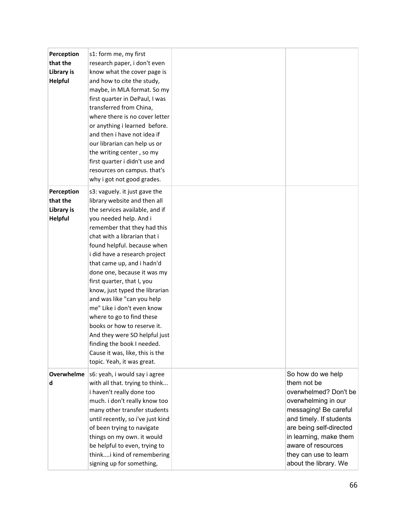| Perception        | s1: form me, my first                                         |                         |
|-------------------|---------------------------------------------------------------|-------------------------|
| that the          | research paper, i don't even                                  |                         |
| Library is        | know what the cover page is                                   |                         |
| <b>Helpful</b>    | and how to cite the study,                                    |                         |
|                   | maybe, in MLA format. So my                                   |                         |
|                   | first quarter in DePaul, I was                                |                         |
|                   | transferred from China,                                       |                         |
|                   | where there is no cover letter                                |                         |
|                   | or anything i learned before.                                 |                         |
|                   | and then i have not idea if                                   |                         |
|                   | our librarian can help us or                                  |                         |
|                   | the writing center, so my                                     |                         |
|                   | first quarter i didn't use and                                |                         |
|                   | resources on campus. that's                                   |                         |
|                   | why i got not good grades.                                    |                         |
| Perception        | s3: vaguely. it just gave the                                 |                         |
| that the          | library website and then all                                  |                         |
| Library is        | the services available, and if                                |                         |
| <b>Helpful</b>    | you needed help. And i                                        |                         |
|                   | remember that they had this                                   |                         |
|                   | chat with a librarian that i                                  |                         |
|                   | found helpful. because when                                   |                         |
|                   | i did have a research project                                 |                         |
|                   | that came up, and i hadn'd                                    |                         |
|                   | done one, because it was my                                   |                         |
|                   | first quarter, that I, you                                    |                         |
|                   | know, just typed the librarian                                |                         |
|                   | and was like "can you help                                    |                         |
|                   | me" Like i don't even know                                    |                         |
|                   | where to go to find these                                     |                         |
|                   | books or how to reserve it.                                   |                         |
|                   | And they were SO helpful just                                 |                         |
|                   |                                                               |                         |
|                   | finding the book I needed.                                    |                         |
|                   | Cause it was, like, this is the<br>topic. Yeah, it was great. |                         |
|                   |                                                               |                         |
| <b>Overwhelme</b> | s6: yeah, i would say i agree                                 | So how do we help       |
| d                 | with all that. trying to think                                | them not be             |
|                   | i haven't really done too                                     | overwhelmed? Don't be   |
|                   | much. i don't really know too                                 | overwhelming in our     |
|                   | many other transfer students                                  | messaging! Be careful   |
|                   | until recently, so i've just kind                             | and timely. If students |
|                   | of been trying to navigate                                    | are being self-directed |
|                   | things on my own. it would                                    | in learning, make them  |
|                   | be helpful to even, trying to                                 | aware of resources      |
|                   | thinki kind of remembering                                    | they can use to learn   |
|                   | signing up for something,                                     | about the library. We   |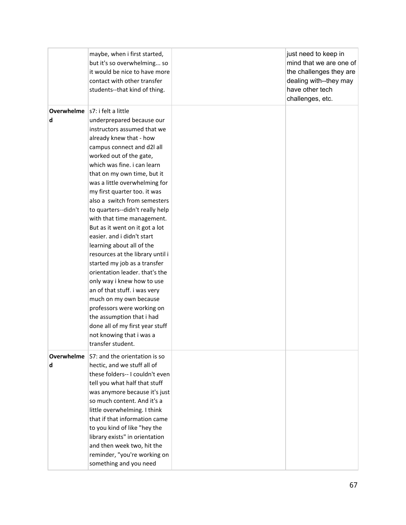|            | maybe, when i first started,     | just need to keep in    |
|------------|----------------------------------|-------------------------|
|            | but it's so overwhelming so      | mind that we are one of |
|            | it would be nice to have more    | the challenges they are |
|            | contact with other transfer      | dealing with--they may  |
|            | students--that kind of thing.    | have other tech         |
|            |                                  | challenges, etc.        |
| Overwhelme | s7: i felt a little              |                         |
| d          | underprepared because our        |                         |
|            | instructors assumed that we      |                         |
|            | already knew that - how          |                         |
|            | campus connect and d2l all       |                         |
|            | worked out of the gate,          |                         |
|            | which was fine. i can learn      |                         |
|            | that on my own time, but it      |                         |
|            | was a little overwhelming for    |                         |
|            | my first quarter too. it was     |                         |
|            | also a switch from semesters     |                         |
|            | to quarters--didn't really help  |                         |
|            | with that time management.       |                         |
|            | But as it went on it got a lot   |                         |
|            | easier. and i didn't start       |                         |
|            | learning about all of the        |                         |
|            | resources at the library until i |                         |
|            | started my job as a transfer     |                         |
|            | orientation leader. that's the   |                         |
|            | only way i knew how to use       |                         |
|            | an of that stuff. i was very     |                         |
|            | much on my own because           |                         |
|            | professors were working on       |                         |
|            | the assumption that i had        |                         |
|            | done all of my first year stuff  |                         |
|            | not knowing that i was a         |                         |
|            | transfer student.                |                         |
|            |                                  |                         |
| Overwhelme | S7: and the orientation is so    |                         |
| d          | hectic, and we stuff all of      |                         |
|            | these folders-- I couldn't even  |                         |
|            | tell you what half that stuff    |                         |
|            | was anymore because it's just    |                         |
|            | so much content. And it's a      |                         |
|            | little overwhelming. I think     |                         |
|            | that if that information came    |                         |
|            | to you kind of like "hey the     |                         |
|            | library exists" in orientation   |                         |
|            | and then week two, hit the       |                         |
|            | reminder, "you're working on     |                         |
|            | something and you need           |                         |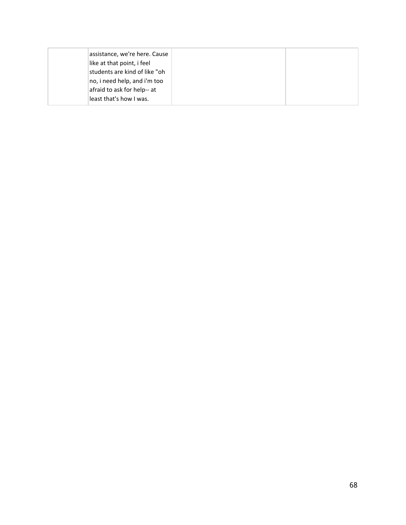| assistance, we're here. Cause |  |
|-------------------------------|--|
| like at that point, i feel    |  |
| students are kind of like "oh |  |
| no, i need help, and i'm too  |  |
| afraid to ask for help-- at   |  |
| least that's how I was.       |  |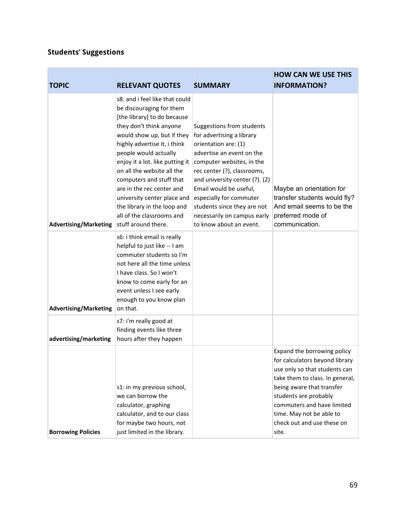## **Students' Suggestions**

| <b>TOPIC</b>                 | <b>RELEVANT QUOTES</b>                                                                                                                                                                                                                                                                                                                                                                                                                                  | <b>SUMMARY</b>                                                                                                                                                                                                                                                                                                                                          | <b>HOW CAN WE USE THIS</b><br><b>INFORMATION?</b>                                                                                                                                                                                                                                        |
|------------------------------|---------------------------------------------------------------------------------------------------------------------------------------------------------------------------------------------------------------------------------------------------------------------------------------------------------------------------------------------------------------------------------------------------------------------------------------------------------|---------------------------------------------------------------------------------------------------------------------------------------------------------------------------------------------------------------------------------------------------------------------------------------------------------------------------------------------------------|------------------------------------------------------------------------------------------------------------------------------------------------------------------------------------------------------------------------------------------------------------------------------------------|
| <b>Advertising/Marketing</b> | s8: and i feel like that could<br>be discouraging for them<br>[the library] to do because<br>they don't think anyone<br>would show up, but if they<br>highly advertise it, i think<br>people would actually<br>enjoy it a lot. like putting it<br>on all the website all the<br>computers and stuff that<br>are in the rec center and<br>university center place and<br>the library in the loop and<br>all of the classrooms and<br>stuff around there. | Suggestions from students<br>for advertising a library<br>orientation are: (1)<br>advertise an event on the<br>computer websites, in the<br>rec center (?), classrooms,<br>and university center (?). (2)<br>Email would be useful,<br>especially for commuter<br>students since they are not<br>necessarily on campus early<br>to know about an event. | Maybe an orientation for<br>transfer students would fly?<br>And email seems to be the<br>preferred mode of<br>communication.                                                                                                                                                             |
| <b>Advertising/Marketing</b> | s6: i think email is really<br>helpful to just like -- I am<br>commuter students so I'm<br>not here all the time unless<br>I have class. So I won't<br>know to come early for an<br>event unless I see early<br>enough to you know plan<br>on that.                                                                                                                                                                                                     |                                                                                                                                                                                                                                                                                                                                                         |                                                                                                                                                                                                                                                                                          |
| advertising/marketing        | s7: i'm really good at<br>finding events like three<br>hours after they happen                                                                                                                                                                                                                                                                                                                                                                          |                                                                                                                                                                                                                                                                                                                                                         |                                                                                                                                                                                                                                                                                          |
| <b>Borrowing Policies</b>    | s1: in my previous school,<br>we can borrow the<br>calculator, graphing<br>calculator, and to our class<br>for maybe two hours, not<br>just limited in the library.                                                                                                                                                                                                                                                                                     |                                                                                                                                                                                                                                                                                                                                                         | Expand the borrowing policy<br>for calculators beyond library<br>use only so that students can<br>take them to class. In general,<br>being aware that transfer<br>students are probably<br>commuters and have limited<br>time. May not be able to<br>check out and use these on<br>site. |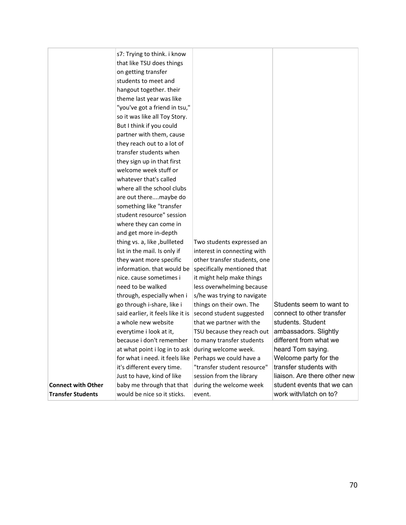|                           | s7: Trying to think. i know       |                              |                              |
|---------------------------|-----------------------------------|------------------------------|------------------------------|
|                           | that like TSU does things         |                              |                              |
|                           | on getting transfer               |                              |                              |
|                           | students to meet and              |                              |                              |
|                           | hangout together. their           |                              |                              |
|                           | theme last year was like          |                              |                              |
|                           | "you've got a friend in tsu,"     |                              |                              |
|                           | so it was like all Toy Story.     |                              |                              |
|                           | But I think if you could          |                              |                              |
|                           | partner with them, cause          |                              |                              |
|                           | they reach out to a lot of        |                              |                              |
|                           | transfer students when            |                              |                              |
|                           | they sign up in that first        |                              |                              |
|                           | welcome week stuff or             |                              |                              |
|                           | whatever that's called            |                              |                              |
|                           | where all the school clubs        |                              |                              |
|                           | are out theremaybe do             |                              |                              |
|                           | something like "transfer          |                              |                              |
|                           | student resource" session         |                              |                              |
|                           | where they can come in            |                              |                              |
|                           | and get more in-depth             |                              |                              |
|                           | thing vs. a, like, bullleted      | Two students expressed an    |                              |
|                           | list in the mail. Is only if      | interest in connecting with  |                              |
|                           | they want more specific           | other transfer students, one |                              |
|                           | information. that would be        | specifically mentioned that  |                              |
|                           | nice. cause sometimes i           | it might help make things    |                              |
|                           | need to be walked                 | less overwhelming because    |                              |
|                           | through, especially when i        | s/he was trying to navigate  |                              |
|                           | go through i-share, like i        | things on their own. The     | Students seem to want to     |
|                           | said earlier, it feels like it is | second student suggested     | connect to other transfer    |
|                           | a whole new website               | that we partner with the     | students. Student            |
|                           | everytime i look at it,           | TSU because they reach out   | ambassadors. Slightly        |
|                           | because i don't remember          | to many transfer students    | different from what we       |
|                           | at what point i log in to ask     | during welcome week.         | heard Tom saying.            |
|                           | for what i need. it feels like    | Perhaps we could have a      | Welcome party for the        |
|                           | it's different every time.        | "transfer student resource"  | transfer students with       |
|                           | Just to have, kind of like        | session from the library     | liaison. Are there other new |
| <b>Connect with Other</b> | baby me through that that         | during the welcome week      | student events that we can   |
| <b>Transfer Students</b>  | would be nice so it sticks.       | event.                       | work with/latch on to?       |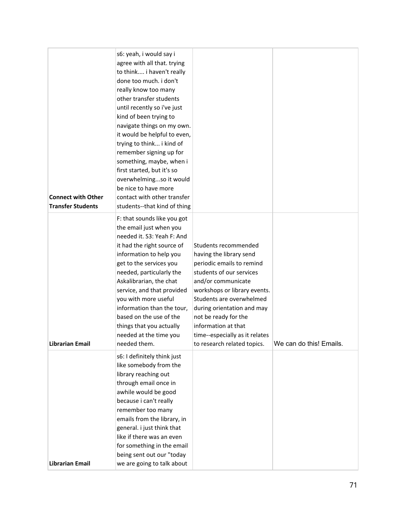| <b>Connect with Other</b><br><b>Transfer Students</b> | s6: yeah, i would say i<br>agree with all that. trying<br>to think i haven't really<br>done too much. i don't<br>really know too many<br>other transfer students<br>until recently so i've just<br>kind of been trying to<br>navigate things on my own.<br>it would be helpful to even,<br>trying to think i kind of<br>remember signing up for<br>something, maybe, when i<br>first started, but it's so<br>overwhelmingso it would<br>be nice to have more<br>contact with other transfer<br>students--that kind of thing |                                                                                                                                                                                                                                                                                                                                          |                         |
|-------------------------------------------------------|-----------------------------------------------------------------------------------------------------------------------------------------------------------------------------------------------------------------------------------------------------------------------------------------------------------------------------------------------------------------------------------------------------------------------------------------------------------------------------------------------------------------------------|------------------------------------------------------------------------------------------------------------------------------------------------------------------------------------------------------------------------------------------------------------------------------------------------------------------------------------------|-------------------------|
| <b>Librarian Email</b>                                | F: that sounds like you got<br>the email just when you<br>needed it. S3: Yeah F: And<br>it had the right source of<br>information to help you<br>get to the services you<br>needed, particularly the<br>Askalibrarian, the chat<br>service, and that provided<br>you with more useful<br>information than the tour,<br>based on the use of the<br>things that you actually<br>needed at the time you<br>needed them.                                                                                                        | Students recommended<br>having the library send<br>periodic emails to remind<br>students of our services<br>and/or communicate<br>workshops or library events.<br>Students are overwhelmed<br>during orientation and may<br>not be ready for the<br>information at that<br>time--especially as it relates<br>to research related topics. | We can do this! Emails. |
| <b>Librarian Email</b>                                | s6: I definitely think just<br>like somebody from the<br>library reaching out<br>through email once in<br>awhile would be good<br>because i can't really<br>remember too many<br>emails from the library, in<br>general. i just think that<br>like if there was an even<br>for something in the email<br>being sent out our "today<br>we are going to talk about                                                                                                                                                            |                                                                                                                                                                                                                                                                                                                                          |                         |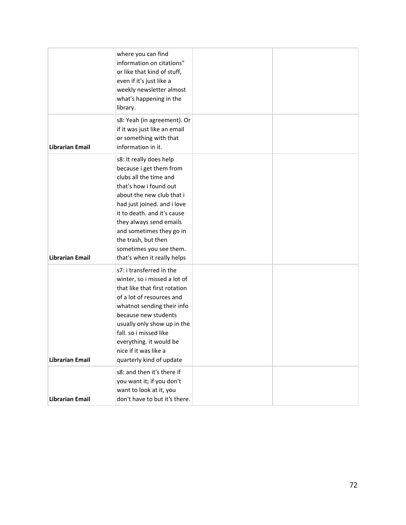|                        | where you can find<br>information on citations"<br>or like that kind of stuff,<br>even if it's just like a<br>weekly newsletter almost<br>what's happening in the<br>library.                                                                                                                                                             |  |
|------------------------|-------------------------------------------------------------------------------------------------------------------------------------------------------------------------------------------------------------------------------------------------------------------------------------------------------------------------------------------|--|
| <b>Librarian Email</b> | s8: Yeah (in agreement). Or<br>if it was just like an email<br>or something with that<br>information in it.                                                                                                                                                                                                                               |  |
| <b>Librarian Email</b> | s8: It really does help<br>because i get them from<br>clubs all the time and<br>that's how i found out<br>about the new club that i<br>had just joined. and i love<br>it to death. and it's cause<br>they always send emails<br>and sometimes they go in<br>the trash, but then<br>sometimes you see them.<br>that's when it really helps |  |
| <b>Librarian Email</b> | s7: i transferred in the<br>winter, so i missed a lot of<br>that like that first rotation<br>of a lot of resources and<br>whatnot sending their info<br>because new students<br>usually only show up in the<br>fall. so i missed like<br>everything. it would be<br>nice if it was like a<br>quarterly kind of update                     |  |
| <b>Librarian Email</b> | s8: and then it's there if<br>you want it; if you don't<br>want to look at it, you<br>don't have to but it's there.                                                                                                                                                                                                                       |  |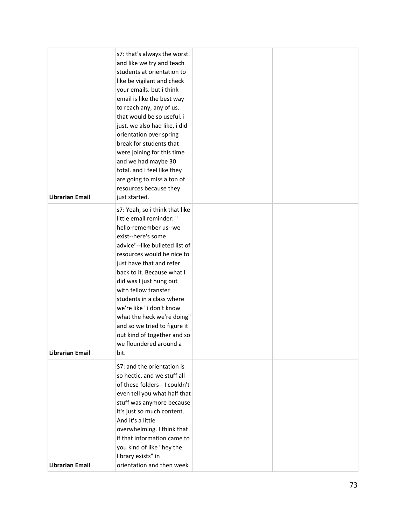| <b>Librarian Email</b> | s7: that's always the worst.<br>and like we try and teach<br>students at orientation to<br>like be vigilant and check<br>your emails. but i think<br>email is like the best way<br>to reach any, any of us.<br>that would be so useful. i<br>just. we also had like, i did<br>orientation over spring<br>break for students that<br>were joining for this time<br>and we had maybe 30<br>total. and i feel like they<br>are going to miss a ton of<br>resources because they<br>just started. |  |
|------------------------|-----------------------------------------------------------------------------------------------------------------------------------------------------------------------------------------------------------------------------------------------------------------------------------------------------------------------------------------------------------------------------------------------------------------------------------------------------------------------------------------------|--|
| <b>Librarian Email</b> | s7: Yeah, so i think that like<br>little email reminder: "<br>hello-remember us--we<br>exist--here's some<br>advice"--like bulleted list of<br>resources would be nice to<br>just have that and refer<br>back to it. Because what I<br>did was I just hung out<br>with fellow transfer<br>students in a class where<br>we're like "i don't know<br>what the heck we're doing"<br>and so we tried to figure it<br>out kind of together and so<br>we floundered around a<br>bit.                |  |
| <b>Librarian Email</b> | S7: and the orientation is<br>so hectic, and we stuff all<br>of these folders-- I couldn't<br>even tell you what half that<br>stuff was anymore because<br>it's just so much content.<br>And it's a little<br>overwhelming. I think that<br>if that information came to<br>you kind of like "hey the<br>library exists" in<br>orientation and then week                                                                                                                                       |  |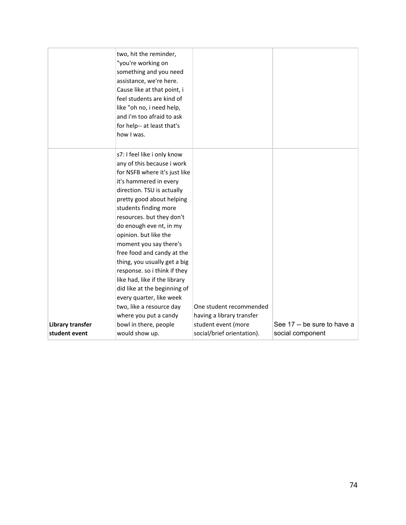| assistance, we're here.                  | Cause like at that point, i<br>feel students are kind of<br>like "oh no, i need help,<br>and i'm too afraid to ask<br>for help-- at least that's<br>how I was.                                                                                                                                                                                                                                                                                                                                                                                                                                                 |                                                                                                           |                                                 |
|------------------------------------------|----------------------------------------------------------------------------------------------------------------------------------------------------------------------------------------------------------------------------------------------------------------------------------------------------------------------------------------------------------------------------------------------------------------------------------------------------------------------------------------------------------------------------------------------------------------------------------------------------------------|-----------------------------------------------------------------------------------------------------------|-------------------------------------------------|
| <b>Library transfer</b><br>student event | s7: I feel like i only know<br>any of this because i work<br>for NSFB where it's just like<br>it's hammered in every<br>direction. TSU is actually<br>pretty good about helping<br>students finding more<br>resources. but they don't<br>do enough eve nt, in my<br>opinion. but like the<br>moment you say there's<br>free food and candy at the<br>thing, you usually get a big<br>response. so i think if they<br>like had, like if the library<br>did like at the beginning of<br>every quarter, like week<br>two, like a resource day<br>where you put a candy<br>bowl in there, people<br>would show up. | One student recommended<br>having a library transfer<br>student event (more<br>social/brief orientation). | See 17 -- be sure to have a<br>social component |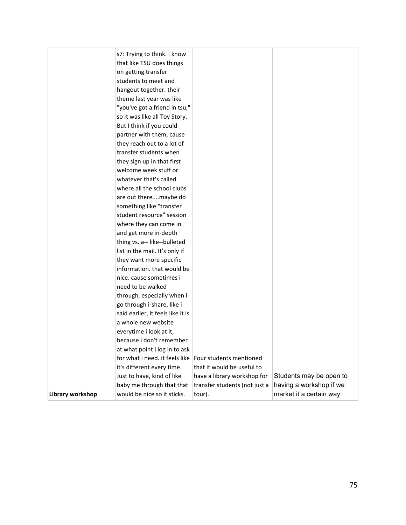|                  | s7: Trying to think. i know       |                               |                         |
|------------------|-----------------------------------|-------------------------------|-------------------------|
|                  | that like TSU does things         |                               |                         |
|                  | on getting transfer               |                               |                         |
|                  | students to meet and              |                               |                         |
|                  | hangout together. their           |                               |                         |
|                  | theme last year was like          |                               |                         |
|                  | "you've got a friend in tsu,"     |                               |                         |
|                  | so it was like all Toy Story.     |                               |                         |
|                  | But I think if you could          |                               |                         |
|                  | partner with them, cause          |                               |                         |
|                  | they reach out to a lot of        |                               |                         |
|                  | transfer students when            |                               |                         |
|                  | they sign up in that first        |                               |                         |
|                  | welcome week stuff or             |                               |                         |
|                  | whatever that's called            |                               |                         |
|                  | where all the school clubs        |                               |                         |
|                  | are out theremaybe do             |                               |                         |
|                  | something like "transfer          |                               |                         |
|                  | student resource" session         |                               |                         |
|                  | where they can come in            |                               |                         |
|                  | and get more in-depth             |                               |                         |
|                  | thing vs. a-- like--bulleted      |                               |                         |
|                  | list in the mail. It's only if    |                               |                         |
|                  | they want more specific           |                               |                         |
|                  | information. that would be        |                               |                         |
|                  | nice. cause sometimes i           |                               |                         |
|                  | need to be walked                 |                               |                         |
|                  | through, especially when i        |                               |                         |
|                  | go through i-share, like i        |                               |                         |
|                  | said earlier, it feels like it is |                               |                         |
|                  | a whole new website               |                               |                         |
|                  | everytime i look at it,           |                               |                         |
|                  | because i don't remember          |                               |                         |
|                  | at what point i log in to ask     |                               |                         |
|                  | for what i need. it feels like    | Four students mentioned       |                         |
|                  | it's different every time.        | that it would be useful to    |                         |
|                  | Just to have, kind of like        | have a library workshop for   | Students may be open to |
|                  | baby me through that that         | transfer students (not just a | having a workshop if we |
| Library workshop | would be nice so it sticks.       | tour).                        | market it a certain way |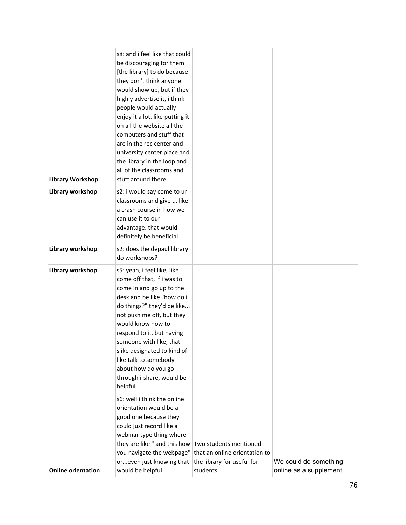| <b>Library Workshop</b>   | s8: and i feel like that could<br>be discouraging for them<br>[the library] to do because<br>they don't think anyone<br>would show up, but if they<br>highly advertise it, i think<br>people would actually<br>enjoy it a lot. like putting it<br>on all the website all the<br>computers and stuff that<br>are in the rec center and<br>university center place and<br>the library in the loop and<br>all of the classrooms and<br>stuff around there. |                                                                                                    |                                                  |
|---------------------------|---------------------------------------------------------------------------------------------------------------------------------------------------------------------------------------------------------------------------------------------------------------------------------------------------------------------------------------------------------------------------------------------------------------------------------------------------------|----------------------------------------------------------------------------------------------------|--------------------------------------------------|
| Library workshop          | s2: i would say come to ur<br>classrooms and give u, like<br>a crash course in how we<br>can use it to our<br>advantage. that would<br>definitely be beneficial.                                                                                                                                                                                                                                                                                        |                                                                                                    |                                                  |
| Library workshop          | s2: does the depaul library<br>do workshops?                                                                                                                                                                                                                                                                                                                                                                                                            |                                                                                                    |                                                  |
| Library workshop          | s5: yeah, i feel like, like<br>come off that, if i was to<br>come in and go up to the<br>desk and be like "how do i<br>do things?" they'd be like<br>not push me off, but they<br>would know how to<br>respond to it. but having<br>someone with like, that'<br>slike designated to kind of<br>like talk to somebody<br>about how do you go<br>through i-share, would be<br>helpful.                                                                    |                                                                                                    |                                                  |
| <b>Online orientation</b> | s6: well i think the online<br>orientation would be a<br>good one because they<br>could just record like a<br>webinar type thing where<br>they are like " and this how<br>you navigate the webpage"<br>oreven just knowing that<br>would be helpful.                                                                                                                                                                                                    | Two students mentioned<br>that an online orientation to<br>the library for useful for<br>students. | We could do something<br>online as a supplement. |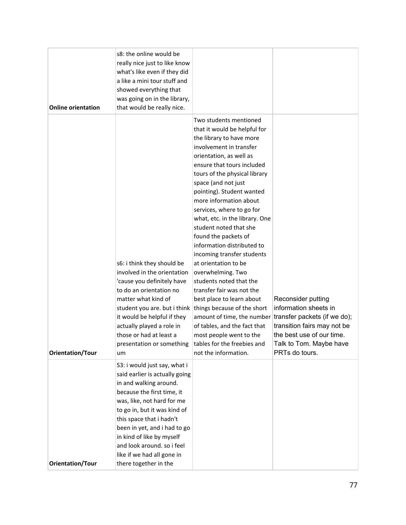| <b>Online orientation</b> | s8: the online would be<br>really nice just to like know<br>what's like even if they did<br>a like a mini tour stuff and<br>showed everything that<br>was going on in the library,<br>that would be really nice.                                                                                                                                                   |                                                                                                                                                                                                                                                                                                                                                                                                                                                                                                                                                                                                                                                                                                                                                      |                                                                                                                                                                                      |
|---------------------------|--------------------------------------------------------------------------------------------------------------------------------------------------------------------------------------------------------------------------------------------------------------------------------------------------------------------------------------------------------------------|------------------------------------------------------------------------------------------------------------------------------------------------------------------------------------------------------------------------------------------------------------------------------------------------------------------------------------------------------------------------------------------------------------------------------------------------------------------------------------------------------------------------------------------------------------------------------------------------------------------------------------------------------------------------------------------------------------------------------------------------------|--------------------------------------------------------------------------------------------------------------------------------------------------------------------------------------|
| <b>Orientation/Tour</b>   | s6: i think they should be<br>involved in the orientation<br>'cause you definitely have<br>to do an orientation no<br>matter what kind of<br>student you are. but i think things because of the short<br>it would be helpful if they<br>actually played a role in<br>those or had at least a<br>presentation or something<br>um                                    | Two students mentioned<br>that it would be helpful for<br>the library to have more<br>involvement in transfer<br>orientation, as well as<br>ensure that tours included<br>tours of the physical library<br>space (and not just<br>pointing). Student wanted<br>more information about<br>services, where to go for<br>what, etc. in the library. One<br>student noted that she<br>found the packets of<br>information distributed to<br>incoming transfer students<br>at orientation to be<br>overwhelming. Two<br>students noted that the<br>transfer fair was not the<br>best place to learn about<br>amount of time, the number<br>of tables, and the fact that<br>most people went to the<br>tables for the freebies and<br>not the information. | Reconsider putting<br>information sheets in<br>transfer packets (if we do);<br>transition fairs may not be<br>the best use of our time.<br>Talk to Tom. Maybe have<br>PRTs do tours. |
| <b>Orientation/Tour</b>   | S3: i would just say, what i<br>said earlier is actually going<br>in and walking around.<br>because the first time, it<br>was, like, not hard for me<br>to go in, but it was kind of<br>this space that i hadn't<br>been in yet, and i had to go<br>in kind of like by myself<br>and look around. so i feel<br>like if we had all gone in<br>there together in the |                                                                                                                                                                                                                                                                                                                                                                                                                                                                                                                                                                                                                                                                                                                                                      |                                                                                                                                                                                      |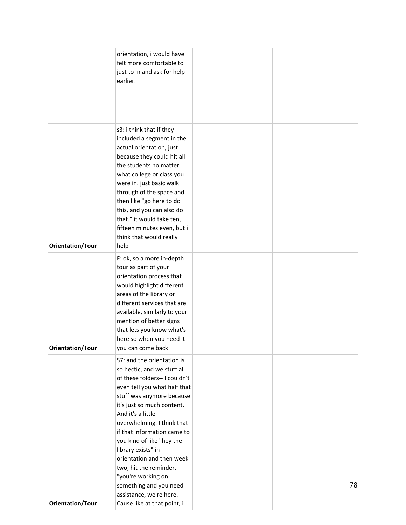|                         | orientation, i would have<br>felt more comfortable to<br>just to in and ask for help<br>earlier.                                                                                                                                                                                                                                                                                                        |    |
|-------------------------|---------------------------------------------------------------------------------------------------------------------------------------------------------------------------------------------------------------------------------------------------------------------------------------------------------------------------------------------------------------------------------------------------------|----|
| <b>Orientation/Tour</b> | s3: i think that if they<br>included a segment in the<br>actual orientation, just<br>because they could hit all<br>the students no matter<br>what college or class you<br>were in. just basic walk<br>through of the space and<br>then like "go here to do<br>this, and you can also do<br>that." it would take ten,<br>fifteen minutes even, but i<br>think that would really<br>help                  |    |
| <b>Orientation/Tour</b> | F: ok, so a more in-depth<br>tour as part of your<br>orientation process that<br>would highlight different<br>areas of the library or<br>different services that are<br>available, similarly to your<br>mention of better signs<br>that lets you know what's<br>here so when you need it<br>you can come back                                                                                           |    |
|                         | S7: and the orientation is<br>so hectic, and we stuff all<br>of these folders-- I couldn't<br>even tell you what half that<br>stuff was anymore because<br>it's just so much content.<br>And it's a little<br>overwhelming. I think that<br>if that information came to<br>you kind of like "hey the<br>library exists" in<br>orientation and then week<br>two, hit the reminder,<br>"you're working on |    |
| <b>Orientation/Tour</b> | something and you need<br>assistance, we're here.<br>Cause like at that point, i                                                                                                                                                                                                                                                                                                                        | 78 |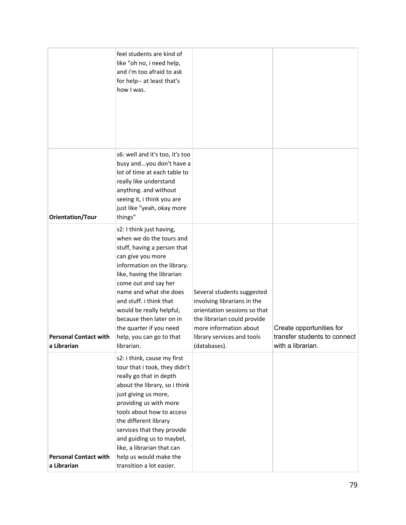|                                             | feel students are kind of<br>like "oh no, i need help,<br>and i'm too afraid to ask<br>for help-- at least that's<br>how I was.                                                                                                                                                                                                                                                 |                                                                                                                                                                                                  |                                                                               |
|---------------------------------------------|---------------------------------------------------------------------------------------------------------------------------------------------------------------------------------------------------------------------------------------------------------------------------------------------------------------------------------------------------------------------------------|--------------------------------------------------------------------------------------------------------------------------------------------------------------------------------------------------|-------------------------------------------------------------------------------|
| <b>Orientation/Tour</b>                     | s6: well and it's too, it's too<br>busy andyou don't have a<br>lot of time at each table to<br>really like understand<br>anything. and without<br>seeing it, i think you are<br>just like "yeah, okay more<br>things"                                                                                                                                                           |                                                                                                                                                                                                  |                                                                               |
| <b>Personal Contact with</b><br>a Librarian | s2: I think just having,<br>when we do the tours and<br>stuff, having a person that<br>can give you more<br>information on the library.<br>like, having the librarian<br>come out and say her<br>name and what she does<br>and stuff. i think that<br>would be really helpful,<br>because then later on in<br>the quarter if you need<br>help, you can go to that<br>librarian. | Several students suggested<br>involving librarians in the<br>orientation sessions so that<br>the librarian could provide<br>more information about<br>library services and tools<br>(databases). | Create opportunities for<br>transfer students to connect<br>with a librarian. |
| <b>Personal Contact with</b><br>a Librarian | s2: i think, cause my first<br>tour that i took, they didn't<br>really go that in depth<br>about the library, so i think<br>just giving us more,<br>providing us with more<br>tools about how to access<br>the different library<br>services that they provide<br>and guiding us to maybel,<br>like, a librarian that can<br>help us would make the<br>transition a lot easier. |                                                                                                                                                                                                  |                                                                               |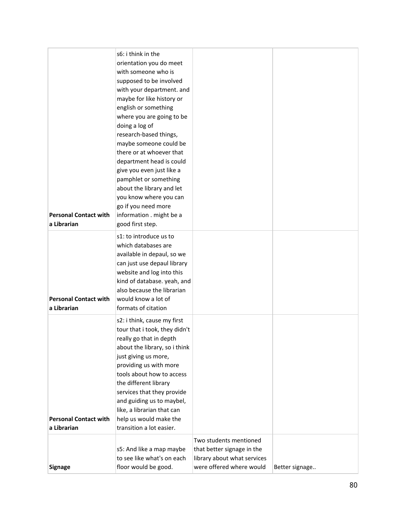| <b>Personal Contact with</b><br>a Librarian | s6: i think in the<br>orientation you do meet<br>with someone who is<br>supposed to be involved<br>with your department. and<br>maybe for like history or<br>english or something<br>where you are going to be<br>doing a log of<br>research-based things,<br>maybe someone could be<br>there or at whoever that<br>department head is could<br>give you even just like a<br>pamphlet or something<br>about the library and let<br>you know where you can<br>go if you need more<br>information . might be a<br>good first step. |                                                                                                                 |                |
|---------------------------------------------|----------------------------------------------------------------------------------------------------------------------------------------------------------------------------------------------------------------------------------------------------------------------------------------------------------------------------------------------------------------------------------------------------------------------------------------------------------------------------------------------------------------------------------|-----------------------------------------------------------------------------------------------------------------|----------------|
| <b>Personal Contact with</b><br>a Librarian | s1: to introduce us to<br>which databases are<br>available in depaul, so we<br>can just use depaul library<br>website and log into this<br>kind of database. yeah, and<br>also because the librarian<br>would know a lot of<br>formats of citation                                                                                                                                                                                                                                                                               |                                                                                                                 |                |
| <b>Personal Contact with</b><br>a Librarian | s2: i think, cause my first<br>tour that i took, they didn't<br>really go that in depth<br>about the library, so i think<br>just giving us more,<br>providing us with more<br>tools about how to access<br>the different library<br>services that they provide<br>and guiding us to maybel,<br>like, a librarian that can<br>help us would make the<br>transition a lot easier.                                                                                                                                                  |                                                                                                                 |                |
| <b>Signage</b>                              | s5: And like a map maybe<br>to see like what's on each<br>floor would be good.                                                                                                                                                                                                                                                                                                                                                                                                                                                   | Two students mentioned<br>that better signage in the<br>library about what services<br>were offered where would | Better signage |